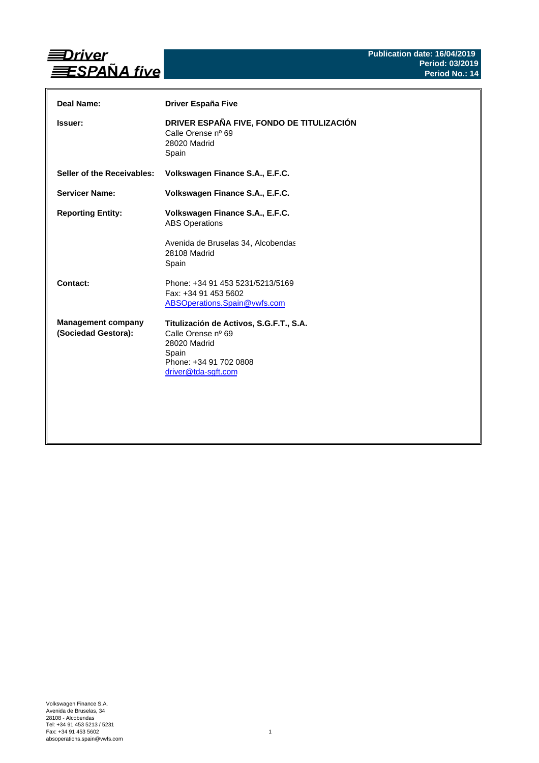

| Deal Name:                                       | <b>Driver España Five</b>                                                                                                               |
|--------------------------------------------------|-----------------------------------------------------------------------------------------------------------------------------------------|
| <b>Issuer:</b>                                   | DRIVER ESPAÑA FIVE, FONDO DE TITULIZACIÓN<br>Calle Orense nº 69<br>28020 Madrid<br>Spain                                                |
| Seller of the Receivables:                       | Volkswagen Finance S.A., E.F.C.                                                                                                         |
| <b>Servicer Name:</b>                            | Volkswagen Finance S.A., E.F.C.                                                                                                         |
| <b>Reporting Entity:</b>                         | Volkswagen Finance S.A., E.F.C.<br><b>ABS Operations</b>                                                                                |
|                                                  | Avenida de Bruselas 34, Alcobendas<br>28108 Madrid<br>Spain                                                                             |
| Contact:                                         | Phone: +34 91 453 5231/5213/5169<br>Fax: +34 91 453 5602<br>ABSOperations.Spain@vwfs.com                                                |
| <b>Management company</b><br>(Sociedad Gestora): | Titulización de Activos, S.G.F.T., S.A.<br>Calle Orense nº 69<br>28020 Madrid<br>Spain<br>Phone: +34 91 702 0808<br>driver@tda-sgft.com |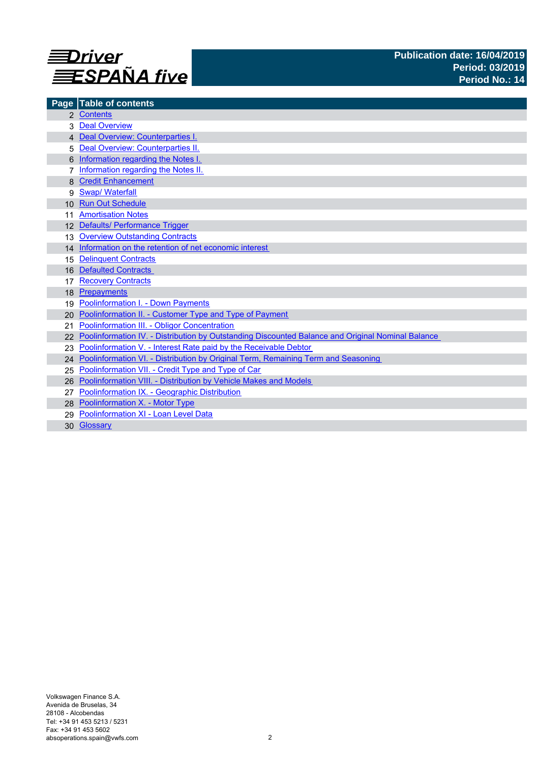

|                 | Page Table of contents                                                                            |
|-----------------|---------------------------------------------------------------------------------------------------|
|                 | 2 Contents                                                                                        |
|                 | <b>Deal Overview</b>                                                                              |
|                 | 4 Deal Overview: Counterparties I.                                                                |
| 5               | Deal Overview: Counterparties II.                                                                 |
|                 | Information regarding the Notes I.                                                                |
|                 | Information regarding the Notes II.                                                               |
|                 | <b>Credit Enhancement</b>                                                                         |
| 9               | <b>Swap/ Waterfall</b>                                                                            |
| 10 <sup>1</sup> | <b>Run Out Schedule</b>                                                                           |
|                 | <b>Amortisation Notes</b>                                                                         |
|                 | 12 Defaults/ Performance Trigger                                                                  |
| 13              | <b>Overview Outstanding Contracts</b>                                                             |
|                 | 14 Information on the retention of net economic interest                                          |
| 15              | <b>Delinquent Contracts</b>                                                                       |
| 16              | <b>Defaulted Contracts</b>                                                                        |
|                 | <b>Recovery Contracts</b>                                                                         |
| 18              | Prepayments                                                                                       |
| 19              | <b>Poolinformation I. - Down Payments</b>                                                         |
| 20              | Poolinformation II. - Customer Type and Type of Payment                                           |
| 21              | Poolinformation III. - Obligor Concentration                                                      |
|                 | Poolinformation IV. - Distribution by Outstanding Discounted Balance and Original Nominal Balance |
| 23              | Poolinformation V. - Interest Rate paid by the Receivable Debtor                                  |
| 24              | Poolinformation VI. - Distribution by Original Term, Remaining Term and Seasoning                 |
| 25              | Poolinformation VII. - Credit Type and Type of Car                                                |
| 26              | Poolinformation VIII. - Distribution by Vehicle Makes and Models                                  |
| 27              | Poolinformation IX. - Geographic Distribution                                                     |
|                 | 28 Poolinformation X. - Motor Type                                                                |
| 29              | Poolinformation XI - Loan Level Data                                                              |
|                 | 30 Glossary                                                                                       |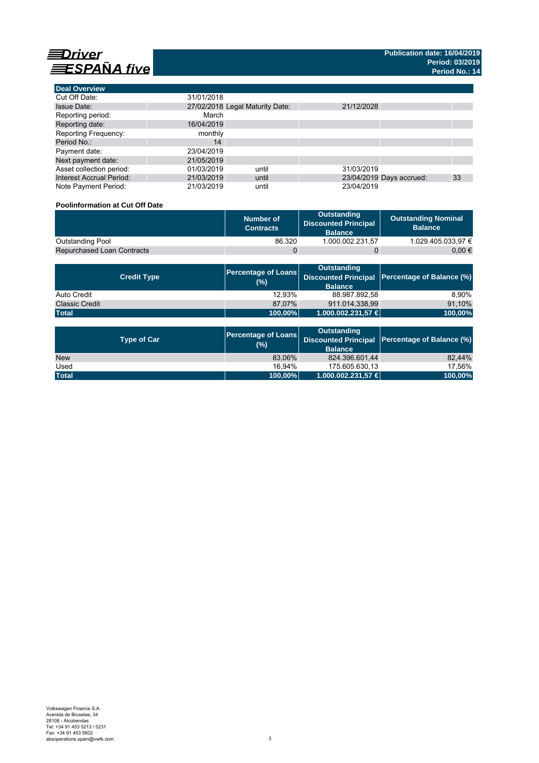

| <b>Deal Overview</b>            |            |                                 |            |                          |    |
|---------------------------------|------------|---------------------------------|------------|--------------------------|----|
| Cut Off Date:                   | 31/01/2018 |                                 |            |                          |    |
| <b>Issue Date:</b>              |            | 27/02/2018 Legal Maturity Date: | 21/12/2028 |                          |    |
| Reporting period:               | March      |                                 |            |                          |    |
| Reporting date:                 | 16/04/2019 |                                 |            |                          |    |
| <b>Reporting Frequency:</b>     | monthly    |                                 |            |                          |    |
| Period No.:                     | 14         |                                 |            |                          |    |
| Payment date:                   | 23/04/2019 |                                 |            |                          |    |
| Next payment date:              | 21/05/2019 |                                 |            |                          |    |
| Asset collection period:        | 01/03/2019 | until                           | 31/03/2019 |                          |    |
| <b>Interest Accrual Period:</b> | 21/03/2019 | until                           |            | 23/04/2019 Days accrued: | 33 |
| Note Payment Period:            | 21/03/2019 | until                           | 23/04/2019 |                          |    |

# **Poolinformation at Cut Off Date**

|                                   | Number of<br><b>Contracts</b> | Outstanding<br><b>Discounted Principal</b><br><b>Balance</b> | <b>Outstanding Nominal</b><br><b>Balance</b> |
|-----------------------------------|-------------------------------|--------------------------------------------------------------|----------------------------------------------|
| Outstanding Pool                  | 86.320                        | 1.000.002.231.57                                             | 1.029.405.033.97 €                           |
| <b>Repurchased Loan Contracts</b> |                               |                                                              | 0.00 €                                       |

| <b>Credit Type</b>    | <b>Percentage of Loans</b><br>(%) | Outstanding<br><b>Balance</b> | Discounted Principal   Percentage of Balance (%) |
|-----------------------|-----------------------------------|-------------------------------|--------------------------------------------------|
| Auto Credit           | 12.93%                            | 88.987.892.58                 | 8.90%                                            |
| <b>Classic Credit</b> | 87.07%                            | 911.014.338,99                | 91,10%                                           |
| <b>Total</b>          | 100,00%                           | 1.000.002.231,57 €            | 100,00%                                          |

| <b>Type of Car</b> | <b>Percentage of Loans</b><br>(%) | <b>Outstanding</b><br><b>Balance</b> | Discounted Principal   Percentage of Balance (%) |
|--------------------|-----------------------------------|--------------------------------------|--------------------------------------------------|
| <b>New</b>         | 83,06%                            | 824.396.601,44                       | 82.44%                                           |
| Used               | 16.94%                            | 175.605.630.13                       | 17.56%                                           |
| <b>Total</b>       | 100,00%                           | $1.000.002.231.57 \in$               | 100,00%                                          |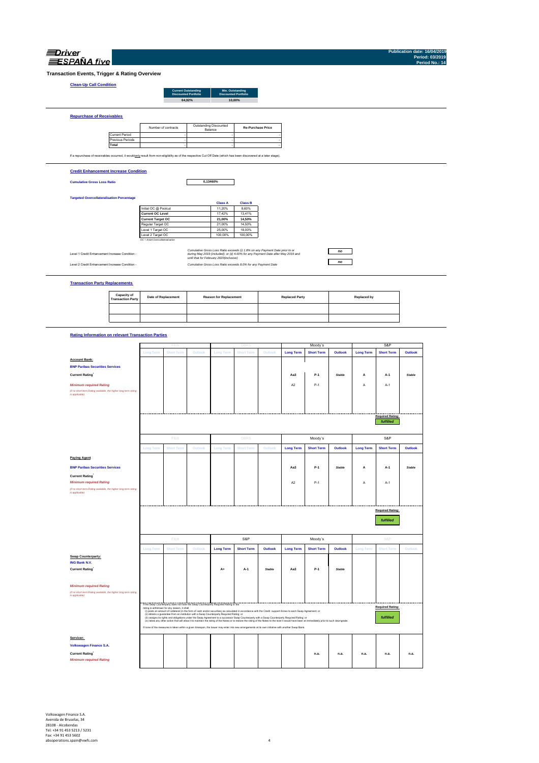| <i><b>Jrive</b></i> |
|---------------------|
| <b>SPANA</b> five   |

**Publication date: 16/04/2019 Period: 03/2019 Period No.: 14**

**Transaction Events, Trigger & Rating Overview**

### **Clean-Up Call Con**

|                                                                                                                                                                   |                       |                     | <b>Current Outstanding</b><br><b>Discounted Portfolio</b> |                                   | Min. Outstanding<br><b>Discounted Portfolio</b> |                          |  |
|-------------------------------------------------------------------------------------------------------------------------------------------------------------------|-----------------------|---------------------|-----------------------------------------------------------|-----------------------------------|-------------------------------------------------|--------------------------|--|
|                                                                                                                                                                   |                       |                     |                                                           | 64,92%                            | 10.00%                                          |                          |  |
| <b>Repurchase of Receivables</b>                                                                                                                                  |                       |                     |                                                           |                                   |                                                 |                          |  |
|                                                                                                                                                                   |                       | Number of contracts |                                                           | Outstanding Discounted<br>Balance |                                                 | <b>Re-Purchase Price</b> |  |
|                                                                                                                                                                   | <b>Current Period</b> |                     |                                                           |                                   |                                                 |                          |  |
|                                                                                                                                                                   | Previous Periods      |                     |                                                           |                                   |                                                 |                          |  |
|                                                                                                                                                                   | Total                 |                     |                                                           |                                   |                                                 |                          |  |
| If a repurchase of receivables occurred, it wouldonly result from non-eligibility as of the respective Cut Off Date (which has been discovered at a later stage). |                       |                     |                                                           |                                   |                                                 |                          |  |

### **Credit Enhancement Increase Condition**

**Cumulative Gross Loss Ratio**

**0,13460%**

### **Targeted Overcollateralisation Percentage**

|                                  | <b>Class A</b> | <b>Class B</b> |
|----------------------------------|----------------|----------------|
| Initial OC @ Poolcut             | 11.20%         | 8.60%          |
| Current OC Level                 | 17.42%         | 13.41%         |
| <b>Current Target OC</b>         | 21.00%         | 14.50%         |
| Regular Target OC                | 21.00%         | 14.50%         |
| Level 1 Target OC                | 25.00%         | 18.00%         |
| Level 2 Target OC                | 100.00%        | 100.00%        |
| OC = Asset Overcollateralisation |                |                |

Level 1 Credit Enhancement Increase Condition -

Level 2 Credit Enhancement Increase Condition - *Cumulative Gross Loss Ratio exceeds 8.0% for any Payment Date Cumulative Gross Loss Ratio exceeds (i) 1.8% on any Payment Date prior to or during May 2019 (included); or (ii) 4.00% for any Payment Date after May 2019 and until that for February 2020(inclusive)*

### *no no*

**Transaction Party Replacements**

| <b>Capacity of<br/>Transaction Party</b> | <b>Date of Replacement</b> | <b>Reason for Replacement</b> | <b>Replaced Party</b> | Replaced by |
|------------------------------------------|----------------------------|-------------------------------|-----------------------|-------------|
|                                          |                            |                               |                       |             |
|                                          |                            |                               |                       |             |

### **Rating Information on relevant Transaction Parties**

|                                                                                   |                  | Fitch                                                                                                                               |         |                  | DBRS                                                                                                                                                                                                                                                                                                                                               |               |                  | Moody's           |               |                  | S&P                     |               |
|-----------------------------------------------------------------------------------|------------------|-------------------------------------------------------------------------------------------------------------------------------------|---------|------------------|----------------------------------------------------------------------------------------------------------------------------------------------------------------------------------------------------------------------------------------------------------------------------------------------------------------------------------------------------|---------------|------------------|-------------------|---------------|------------------|-------------------------|---------------|
|                                                                                   | <b>Long Term</b> | <b>Short Term</b>                                                                                                                   | Outlook | <b>Long Term</b> | <b>Short Term</b>                                                                                                                                                                                                                                                                                                                                  | Outlook       | <b>Long Term</b> | <b>Short Term</b> | Outlook       | <b>Long Term</b> | <b>Short Term</b>       | Outlook       |
| <b>Account Bank:</b>                                                              |                  |                                                                                                                                     |         |                  |                                                                                                                                                                                                                                                                                                                                                    |               |                  |                   |               |                  |                         |               |
|                                                                                   |                  |                                                                                                                                     |         |                  |                                                                                                                                                                                                                                                                                                                                                    |               |                  |                   |               |                  |                         |               |
| <b>BNP Paribas Securities Services</b>                                            |                  |                                                                                                                                     |         |                  |                                                                                                                                                                                                                                                                                                                                                    |               |                  |                   |               |                  |                         |               |
| Current Rating                                                                    |                  |                                                                                                                                     |         |                  |                                                                                                                                                                                                                                                                                                                                                    |               | Aa3              | $P-1$             | Stable        | А                | A-1                     | <b>Stable</b> |
| <b>Minimum required Rating</b>                                                    |                  |                                                                                                                                     |         |                  |                                                                                                                                                                                                                                                                                                                                                    |               | A <sub>2</sub>   | $P-1$             |               | A                | $A-1$                   |               |
| (if no short term Rating available, the higher long term rating<br>is applicable) |                  |                                                                                                                                     |         |                  |                                                                                                                                                                                                                                                                                                                                                    |               |                  |                   |               |                  |                         |               |
|                                                                                   |                  |                                                                                                                                     |         |                  |                                                                                                                                                                                                                                                                                                                                                    |               |                  |                   |               |                  |                         |               |
|                                                                                   |                  |                                                                                                                                     |         |                  |                                                                                                                                                                                                                                                                                                                                                    |               |                  |                   |               |                  |                         |               |
|                                                                                   |                  |                                                                                                                                     |         |                  |                                                                                                                                                                                                                                                                                                                                                    |               |                  |                   |               |                  |                         |               |
|                                                                                   |                  |                                                                                                                                     |         |                  |                                                                                                                                                                                                                                                                                                                                                    |               |                  |                   |               |                  | <b>Required Rating:</b> |               |
|                                                                                   |                  |                                                                                                                                     |         |                  |                                                                                                                                                                                                                                                                                                                                                    |               |                  |                   |               |                  | fulfilled               |               |
|                                                                                   |                  | Fitch                                                                                                                               |         |                  | <b>DBRS</b>                                                                                                                                                                                                                                                                                                                                        |               |                  | Moody's           |               |                  | S&P                     |               |
|                                                                                   | <b>Long Term</b> | <b>Short Term</b>                                                                                                                   | Outlook | <b>Long Term</b> | <b>Short Term</b>                                                                                                                                                                                                                                                                                                                                  | Outlook       | <b>Long Term</b> | <b>Short Term</b> | Outlook       | <b>Long Term</b> | <b>Short Term</b>       | Outlook       |
| <b>Paying Agent</b>                                                               |                  |                                                                                                                                     |         |                  |                                                                                                                                                                                                                                                                                                                                                    |               |                  |                   |               |                  |                         |               |
| <b>BNP Paribas Securities Services</b>                                            |                  |                                                                                                                                     |         |                  |                                                                                                                                                                                                                                                                                                                                                    |               | Aa3              | $P-1$             | <b>Stable</b> | A                | $A-1$                   | <b>Stable</b> |
| <b>Current Rating</b>                                                             |                  |                                                                                                                                     |         |                  |                                                                                                                                                                                                                                                                                                                                                    |               |                  |                   |               |                  |                         |               |
| <b>Minimum required Rating</b>                                                    |                  |                                                                                                                                     |         |                  |                                                                                                                                                                                                                                                                                                                                                    |               | A2               | $P-1$             |               | Α                | A-1                     |               |
| (if no short term Rating available, the higher long term rating                   |                  |                                                                                                                                     |         |                  |                                                                                                                                                                                                                                                                                                                                                    |               |                  |                   |               |                  |                         |               |
| is applicable)                                                                    |                  |                                                                                                                                     |         |                  |                                                                                                                                                                                                                                                                                                                                                    |               |                  |                   |               |                  |                         |               |
|                                                                                   |                  |                                                                                                                                     |         |                  |                                                                                                                                                                                                                                                                                                                                                    |               |                  |                   |               |                  |                         |               |
|                                                                                   |                  |                                                                                                                                     |         |                  |                                                                                                                                                                                                                                                                                                                                                    |               |                  |                   |               |                  |                         |               |
|                                                                                   |                  |                                                                                                                                     |         |                  |                                                                                                                                                                                                                                                                                                                                                    |               |                  |                   |               |                  |                         |               |
|                                                                                   |                  |                                                                                                                                     |         |                  |                                                                                                                                                                                                                                                                                                                                                    |               |                  |                   |               |                  | <b>Required Rating:</b> |               |
|                                                                                   |                  |                                                                                                                                     |         |                  |                                                                                                                                                                                                                                                                                                                                                    |               |                  |                   |               |                  |                         |               |
|                                                                                   |                  |                                                                                                                                     |         |                  |                                                                                                                                                                                                                                                                                                                                                    |               |                  |                   |               |                  | fulfilled               |               |
|                                                                                   |                  |                                                                                                                                     |         |                  |                                                                                                                                                                                                                                                                                                                                                    |               |                  |                   |               |                  |                         |               |
|                                                                                   |                  |                                                                                                                                     |         |                  |                                                                                                                                                                                                                                                                                                                                                    |               |                  |                   |               |                  |                         |               |
|                                                                                   |                  | Fitch                                                                                                                               |         |                  | S&P                                                                                                                                                                                                                                                                                                                                                |               |                  | Moody's           |               |                  | S&P                     |               |
|                                                                                   | <b>Long Term</b> | <b>Short Term</b>                                                                                                                   | Outlook | <b>Long Term</b> | <b>Short Term</b>                                                                                                                                                                                                                                                                                                                                  | Outlook       | <b>Long Term</b> | <b>Short Term</b> | Outlook       | <b>Long Term</b> | <b>Short Term</b>       | Outlook       |
| <b>Swap Counterparty:</b>                                                         |                  |                                                                                                                                     |         |                  |                                                                                                                                                                                                                                                                                                                                                    |               |                  |                   |               |                  |                         |               |
|                                                                                   |                  |                                                                                                                                     |         |                  |                                                                                                                                                                                                                                                                                                                                                    |               |                  |                   |               |                  |                         |               |
| ING Bank N.V.                                                                     |                  |                                                                                                                                     |         |                  |                                                                                                                                                                                                                                                                                                                                                    |               |                  |                   |               |                  |                         |               |
| <b>Current Rating</b>                                                             |                  |                                                                                                                                     |         | A+               | A-1                                                                                                                                                                                                                                                                                                                                                | <b>Stable</b> | Aa3              | $P-1$             | Stable        |                  |                         |               |
|                                                                                   |                  |                                                                                                                                     |         |                  |                                                                                                                                                                                                                                                                                                                                                    |               |                  |                   |               |                  |                         |               |
|                                                                                   |                  |                                                                                                                                     |         |                  |                                                                                                                                                                                                                                                                                                                                                    |               |                  |                   |               |                  |                         |               |
| <b>Minimum required Rating</b>                                                    |                  |                                                                                                                                     |         |                  |                                                                                                                                                                                                                                                                                                                                                    |               |                  |                   |               |                  |                         |               |
| (if no short term Rating available, the higher long term rating<br>is applicable) |                  |                                                                                                                                     |         |                  |                                                                                                                                                                                                                                                                                                                                                    |               |                  |                   |               |                  |                         |               |
|                                                                                   |                  |                                                                                                                                     |         |                  |                                                                                                                                                                                                                                                                                                                                                    |               |                  |                   |               |                  |                         |               |
|                                                                                   |                  | If the Swap Counterparty does not have the Swap Counterparty Required Rating or the<br>rating is withdrawn for any reason, it shall |         |                  |                                                                                                                                                                                                                                                                                                                                                    |               |                  |                   |               |                  | <b>Required Rating:</b> |               |
|                                                                                   |                  | (ii) obtains a guarantee from an institution with a Swap Counterparty Required Rating; or                                           |         |                  | (i) posts an amount of collateral (in the form of cash and/or securities) as calculated in accordance with the Credit support Annex to each Swap Agreement; or                                                                                                                                                                                     |               |                  |                   |               |                  |                         |               |
|                                                                                   |                  |                                                                                                                                     |         |                  | (ii) assigns its rights and obligations under the Swap Agreement to a successor Swap Counterparty with a Swap Counterparty Required Rating; or<br>(iv) takes any other action that will allow it to maintain the rating of the Notes or to restore the rating of the Notes to the level it would have been at immediately prior to such downgrade. |               |                  |                   |               |                  | fulfilled               |               |
|                                                                                   |                  |                                                                                                                                     |         |                  | If none of the measures is taken within a given timespan, the Issuer may enter into new arrangements at its own initiative with another Swap Bank.                                                                                                                                                                                                 |               |                  |                   |               |                  |                         |               |
| Servicer:                                                                         |                  |                                                                                                                                     |         |                  |                                                                                                                                                                                                                                                                                                                                                    |               |                  |                   |               |                  |                         |               |
| Volkswagen Finance S.A.                                                           |                  |                                                                                                                                     |         |                  |                                                                                                                                                                                                                                                                                                                                                    |               |                  |                   |               |                  |                         |               |
|                                                                                   |                  |                                                                                                                                     |         |                  |                                                                                                                                                                                                                                                                                                                                                    |               |                  |                   |               |                  |                         |               |
| <b>Current Rating</b>                                                             |                  |                                                                                                                                     |         |                  |                                                                                                                                                                                                                                                                                                                                                    |               |                  | n.a.              | n.a.          | n.a.             | n.a.                    | n.a.          |
| <b>Minimum required Rating</b>                                                    |                  |                                                                                                                                     |         |                  |                                                                                                                                                                                                                                                                                                                                                    |               |                  |                   |               |                  |                         |               |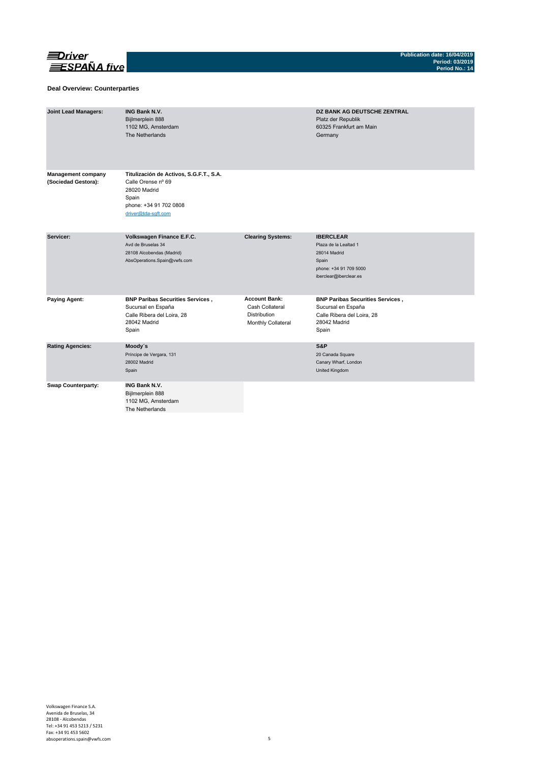

### **Deal Overview: Counterparties**

| <b>Joint Lead Managers:</b>                      | <b>ING Bank N.V.</b><br>Bijlmerplein 888<br>1102 MG, Amsterdam<br>The Netherlands                                                       |                                                                               | DZ BANK AG DEUTSCHE ZENTRAL<br>Platz der Republik<br>60325 Frankfurt am Main<br>Germany                                |
|--------------------------------------------------|-----------------------------------------------------------------------------------------------------------------------------------------|-------------------------------------------------------------------------------|------------------------------------------------------------------------------------------------------------------------|
| <b>Management company</b><br>(Sociedad Gestora): | Titulización de Activos, S.G.F.T., S.A.<br>Calle Orense nº 69<br>28020 Madrid<br>Spain<br>phone: +34 91 702 0808<br>driver@tda-sqft.com |                                                                               |                                                                                                                        |
| Servicer:                                        | Volkswagen Finance E.F.C.<br>Avd de Bruselas 34<br>28108 Alcobendas (Madrid)<br>AbsOperations.Spain@vwfs.com                            | <b>Clearing Systems:</b>                                                      | <b>IBERCLEAR</b><br>Plaza de la Lealtad 1<br>28014 Madrid<br>Spain<br>phone: +34 91 709 5000<br>iberclear@iberclear.es |
| <b>Paying Agent:</b>                             | <b>BNP Paribas Securities Services,</b><br>Sucursal en España<br>Calle Ribera del Loira, 28<br>28042 Madrid<br>Spain                    | <b>Account Bank:</b><br>Cash Collateral<br>Distribution<br>Monthly Collateral | <b>BNP Paribas Securities Services,</b><br>Sucursal en España<br>Calle Ribera del Loira, 28<br>28042 Madrid<br>Spain   |
| <b>Rating Agencies:</b>                          | Moody's<br>Príncipe de Vergara, 131<br>28002 Madrid<br>Spain                                                                            |                                                                               | S&P<br>20 Canada Square<br>Canary Wharf, London<br>United Kingdom                                                      |
| <b>Swap Counterparty:</b>                        | <b>ING Bank N.V.</b><br>Bijlmerplein 888<br>1102 MG, Amsterdam<br>The Netherlands                                                       |                                                                               |                                                                                                                        |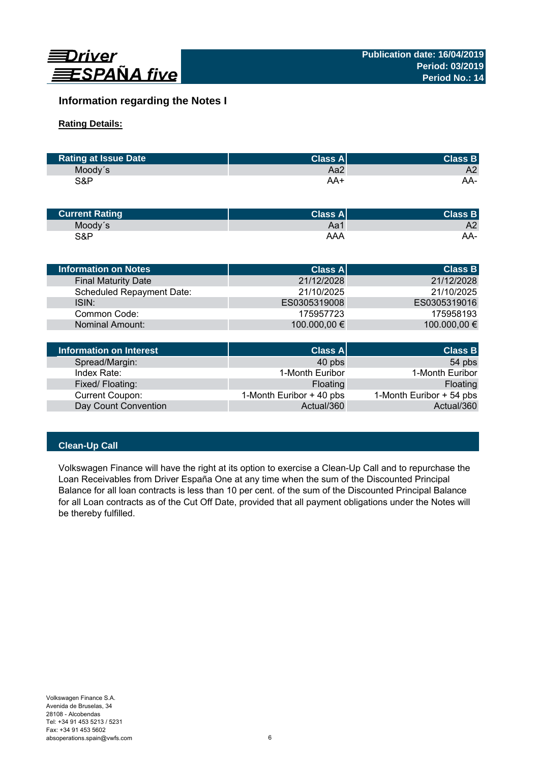

# **Information regarding the Notes I**

# **Rating Details:**

| <b>Rating at Issue Date</b> | <b>Class Al</b> | <b>Class B</b> |
|-----------------------------|-----------------|----------------|
| Moody's                     | Aa2             | A2             |
| S&P                         | AA+             | AA-            |

| <b>Current Rating</b> | $ Class A ^2$ | <b>Class B</b> |
|-----------------------|---------------|----------------|
| Moody's               | Aa1           | A2             |
| S&P                   | AAA           | AA-            |

| <b>Information on Notes</b>      | <b>Class All</b> | <b>Class B</b> |
|----------------------------------|------------------|----------------|
| <b>Final Maturity Date</b>       | 21/12/2028       | 21/12/2028     |
| <b>Scheduled Repayment Date:</b> | 21/10/2025       | 21/10/2025     |
| ISIN:                            | ES0305319008     | ES0305319016   |
| Common Code:                     | 175957723        | 175958193      |
| Nominal Amount:                  | 100.000,00 €     | 100.000,00 €   |
|                                  |                  |                |

| Information on Interest | Class A                  | <b>Class B</b>           |
|-------------------------|--------------------------|--------------------------|
| Spread/Margin:          | 40 pbs                   | 54 pbs                   |
| Index Rate:             | 1-Month Euribor          | 1-Month Euribor          |
| Fixed/Floating:         | Floating                 | Floating                 |
| <b>Current Coupon:</b>  | 1-Month Euribor + 40 pbs | 1-Month Euribor + 54 pbs |
| Day Count Convention    | Actual/360               | Actual/360               |

# **Clean-Up Call**

Volkswagen Finance will have the right at its option to exercise a Clean-Up Call and to repurchase the Loan Receivables from Driver España One at any time when the sum of the Discounted Principal Balance for all loan contracts is less than 10 per cent. of the sum of the Discounted Principal Balance for all Loan contracts as of the Cut Off Date, provided that all payment obligations under the Notes will be thereby fulfilled.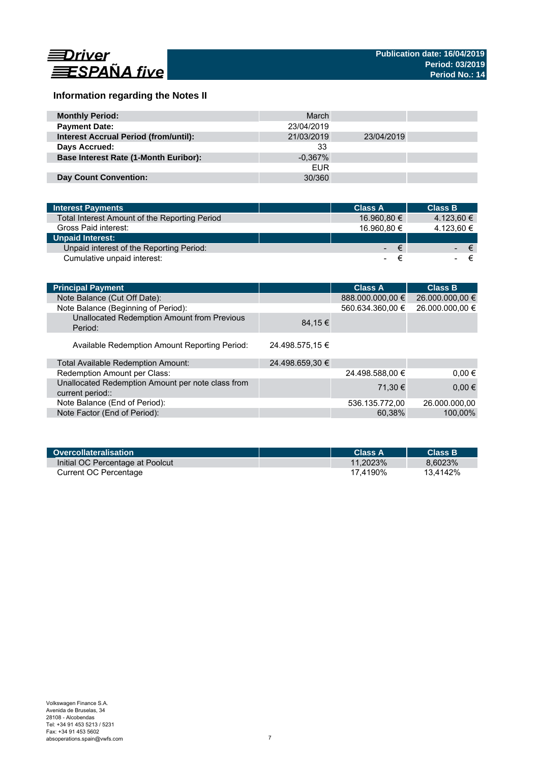

# **Information regarding the Notes II**

| <b>Monthly Period:</b>                       | March      |            |  |
|----------------------------------------------|------------|------------|--|
| <b>Payment Date:</b>                         | 23/04/2019 |            |  |
| <b>Interest Accrual Period (from/until):</b> | 21/03/2019 | 23/04/2019 |  |
| Days Accrued:                                | 33         |            |  |
| <b>Base Interest Rate (1-Month Euribor):</b> | $-0.367\%$ |            |  |
|                                              | <b>EUR</b> |            |  |
| Day Count Convention:                        | 30/360     |            |  |

| <b>Interest Payments</b>                      | <b>Class A</b> | <b>Class B</b> |
|-----------------------------------------------|----------------|----------------|
| Total Interest Amount of the Reporting Period | 16.960,80 €    | 4.123,60 €     |
| Gross Paid interest:                          | 16.960.80 €    | 4.123,60 €     |
| <b>Unpaid Interest:</b>                       |                |                |
| Unpaid interest of the Reporting Period:      | €              | $\epsilon$     |
| Cumulative unpaid interest:                   | -              |                |

| <b>Principal Payment</b>                                              |                 | <b>Class A</b>   | <b>Class B</b>  |
|-----------------------------------------------------------------------|-----------------|------------------|-----------------|
| Note Balance (Cut Off Date):                                          |                 | 888.000.000,00 € | 26.000.000,00 € |
| Note Balance (Beginning of Period):                                   |                 | 560.634.360,00 € | 26.000.000,00 € |
| Unallocated Redemption Amount from Previous<br>Period:                | 84.15 €         |                  |                 |
| Available Redemption Amount Reporting Period:                         | 24.498.575.15 € |                  |                 |
| Total Available Redemption Amount:                                    | 24.498.659,30 € |                  |                 |
| Redemption Amount per Class:                                          |                 | 24.498.588,00 €  | $0.00 \in$      |
| Unallocated Redemption Amount per note class from<br>current period:: |                 | 71.30 €          | $0.00 \in$      |
| Note Balance (End of Period):                                         |                 | 536.135.772,00   | 26.000.000,00   |
| Note Factor (End of Period):                                          |                 | 60,38%           | 100,00%         |

| Overcollateralisation            | <b>Class A</b> | <b>Class B</b> |
|----------------------------------|----------------|----------------|
| Initial OC Percentage at Poolcut | 11.2023%       | 8.6023%        |
| Current OC Percentage            | 17.4190%       | 13.4142%       |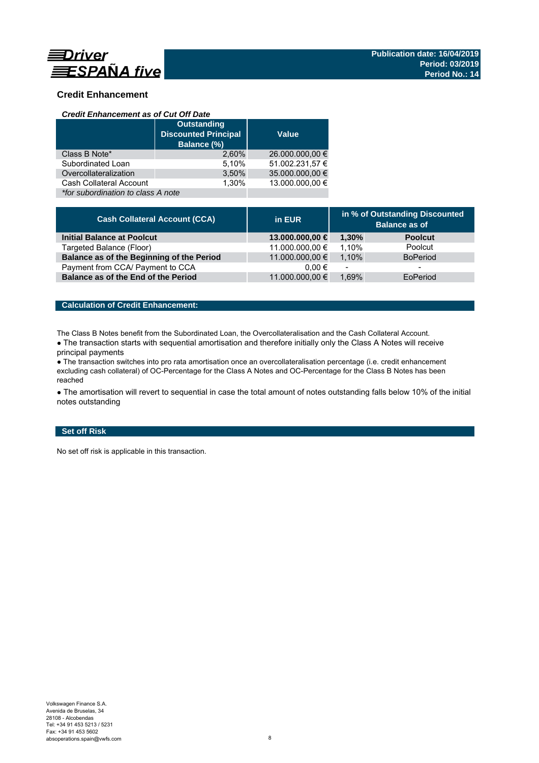

# **Credit Enhancement**

### *Credit Enhancement as of Cut Off Date*

|                                    | <b>Outstanding</b><br><b>Discounted Principal</b><br>Balance (%) | <b>Value</b>    |  |
|------------------------------------|------------------------------------------------------------------|-----------------|--|
| Class B Note*                      | 2.60%                                                            | 26.000.000,00 € |  |
| Subordinated Loan                  | 5,10%                                                            | 51.002.231,57 € |  |
| Overcollateralization              | 3,50%                                                            | 35.000.000,00 € |  |
| Cash Collateral Account            | 1.30%                                                            | 13.000.000.00 € |  |
| *for subordination to class A note |                                                                  |                 |  |

| <b>Cash Collateral Account (CCA)</b>      | in EUR          | in % of Outstanding Discounted<br><b>Balance as of</b> |                 |
|-------------------------------------------|-----------------|--------------------------------------------------------|-----------------|
| <b>Initial Balance at Poolcut</b>         | 13.000.000,00 € | 1.30%                                                  | <b>Poolcut</b>  |
| Targeted Balance (Floor)                  | 11.000.000,00 € | 1.10%                                                  | Poolcut         |
| Balance as of the Beginning of the Period | 11.000.000,00 € | 1.10%                                                  | <b>BoPeriod</b> |
| Payment from CCA/ Payment to CCA          | $0.00 \in$      | $\overline{\phantom{a}}$                               | -               |
| Balance as of the End of the Period       | 11.000.000,00 € | 1.69%                                                  | EoPeriod        |

# **Calculation of Credit Enhancement:**

The Class B Notes benefit from the Subordinated Loan, the Overcollateralisation and the Cash Collateral Account.

• The transaction starts with sequential amortisation and therefore initially only the Class A Notes will receive principal payments

● The transaction switches into pro rata amortisation once an overcollateralisation percentage (i.e. credit enhancement excluding cash collateral) of OC-Percentage for the Class A Notes and OC-Percentage for the Class B Notes has been reached

• The amortisation will revert to sequential in case the total amount of notes outstanding falls below 10% of the initial notes outstanding

# **Set off Risk**

No set off risk is applicable in this transaction.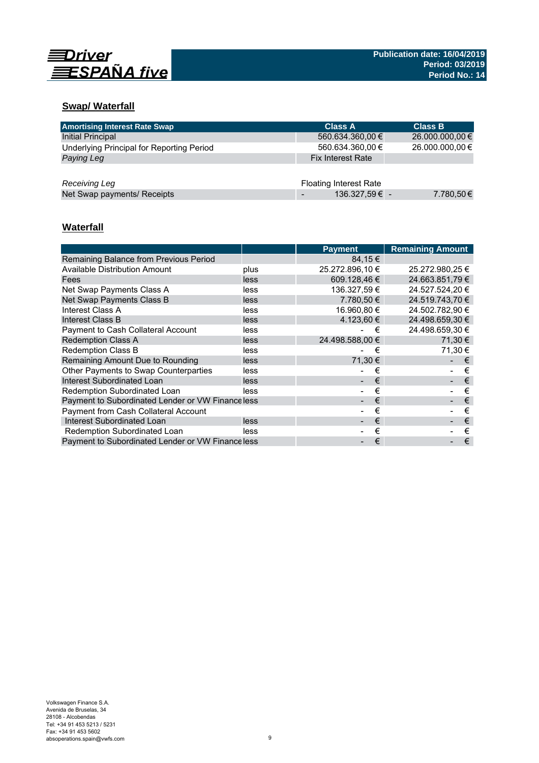

# **Swap/ Waterfall**

| <b>Amortising Interest Rate Swap</b>      | <b>Class A</b>                | <b>Class B</b>  |
|-------------------------------------------|-------------------------------|-----------------|
| Initial Principal                         | 560.634.360,00 €              | 26.000.000,00 € |
| Underlying Principal for Reporting Period | 560.634.360,00 €              | 26.000.000,00 € |
| Paying Leg                                | <b>Fix Interest Rate</b>      |                 |
|                                           |                               |                 |
| Receiving Leg                             | <b>Floating Interest Rate</b> |                 |
| Net Swap payments/ Receipts               | 136.327,59€ -                 | 7.780,50€       |

# **Waterfall**

|                                                  |      | <b>Payment</b>  | <b>Remaining Amount</b> |
|--------------------------------------------------|------|-----------------|-------------------------|
| Remaining Balance from Previous Period           |      | 84,15 €         |                         |
| Available Distribution Amount                    | plus | 25.272.896,10 € | 25.272.980,25 €         |
| Fees                                             | less | 609.128.46 €    | 24.663.851.79 €         |
| Net Swap Payments Class A                        | less | 136.327.59 €    | 24.527.524.20 €         |
| Net Swap Payments Class B                        | less | 7.780.50 €      | 24.519.743,70 €         |
| Interest Class A                                 | less | 16.960.80 €     | 24.502.782.90 €         |
| Interest Class B                                 | less | 4.123.60 €      | 24.498.659.30 €         |
| <b>Payment to Cash Collateral Account</b>        | less | €               | 24.498.659,30 €         |
| <b>Redemption Class A</b>                        | less | 24.498.588.00 € | 71.30 €                 |
| Redemption Class B                               | less | €               | 71.30 €                 |
| Remaining Amount Due to Rounding                 | less | 71,30 €         | €                       |
| Other Payments to Swap Counterparties            | less | €               | €                       |
| Interest Subordinated Loan                       | less | €               | €                       |
| Redemption Subordinated Loan                     | less | €               | €                       |
| Payment to Subordinated Lender or VW Financeless |      | €               | €                       |
| <b>Payment from Cash Collateral Account</b>      |      | €               | €                       |
| Interest Subordinated Loan                       | less | €               | €                       |
| Redemption Subordinated Loan                     | less | €               | €                       |
| Payment to Subordinated Lender or VW Financeless |      | €               | €                       |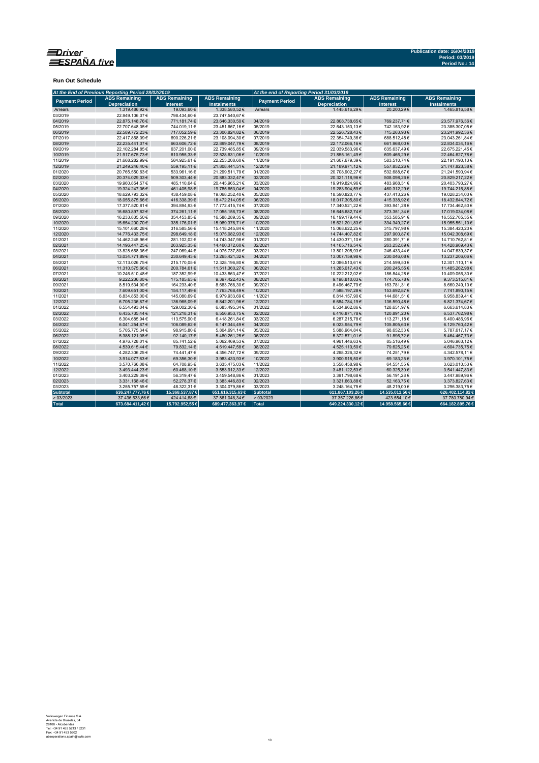

**Run Out Schedule**

|                       | At the End of Previous Reporting Period 28/02/2019 |                                         |                      | At the end of Reporting Period 31/03/2019 |                      |                      |                      |  |
|-----------------------|----------------------------------------------------|-----------------------------------------|----------------------|-------------------------------------------|----------------------|----------------------|----------------------|--|
| <b>Payment Period</b> | <b>ABS Remaining</b><br><b>Depreciation</b>        | <b>ABS Remaining</b><br><b>Interest</b> | <b>ABS Remaining</b> | <b>Payment Period</b>                     | <b>ABS Remaining</b> | <b>ABS Remaining</b> | <b>ABS Remaining</b> |  |
|                       |                                                    |                                         | <b>Instalments</b>   |                                           | <b>Depreciation</b>  | <b>Interest</b>      | <b>Instalments</b>   |  |
| Arrears               | 1.319.486.92€                                      | 19,093,60€                              | 1.338.580.52€        | Arrears                                   | 1.445.616.29€        | 20.200.29€           | 1.465.816.58€        |  |
| 03/2019               | 22.949.106.07€                                     | 798.434.60€                             | 23.747.540.67€       |                                           |                      |                      |                      |  |
| 04/2019               | 22.875.148,76€                                     | 771.181,74€                             | 23.646.330,50€       | 04/2019                                   | 22.808.738,65€       | 769.237,71€          | 23.577.976,36€       |  |
| 05/2019               | 22.707.648,05€                                     | 744.019,11€                             | 23.451.667,16€       | 05/2019                                   | 22.643.153,13€       | 742.153,92€          | 23.385.307,05€       |  |
| 06/2019               | 22.589.772,23€                                     | 717.052,59€                             | 23.306.824,82€       | 06/2019                                   | 22.526.728,43€       | 715.263,93€          | 23.241.992,36€       |  |
| 07/2019               | 22.417.868,09€                                     | 690.226,21€                             | 23.108.094,30€       | 07/2019                                   | 22.354.749,36€       | 688.512,48€          | 23.043.261,84€       |  |
| 08/2019               | 22.235.441.07€                                     | 663.606,72€                             | 22.899.047,79€       | 08/2019                                   | 22.172.066,16€       | 661.968,00€          | 22.834.034,16€       |  |
| 09/2019               | 22.102.284,85€                                     | 637.201,00€                             | 22.739.485,85€       | 09/2019                                   | 22.039.583,96€       | 635.637,49€          | 22.675.221,45€       |  |
| 10/2019               | 21.917.675,73€                                     | 610.955,33€                             | 22.528.631,06€       | 10/2019                                   | 21.855.161,49€       | 609.466,29€          | 22.464.627,78€       |  |
| 11/2019               | 21.668.282,99€                                     | 584.925,61€                             | 22.253.208,60€       | 11/2019                                   | 21.607.679,39€       | 583.510,74€          | 22.191.190,13€       |  |
| 12/2019               | 21.249.246,40€                                     | 559.195,11€                             | 21.808.441,51€       | 12/2019                                   | 21.189.971,12€       | 557.852,26€          | 21.747.823,38€       |  |
| 01/2020               | 20.765.550.63€                                     | 533.961.16€                             | 21.299.511.79€       | 01/2020                                   | 20.708.902,27€       | 532.688.67€          | 21.241.590,94€       |  |
| 02/2020               | 20.374.029,03€                                     | 509.303,44 €                            | 20.883.332,47€       | 02/2020                                   | 20.321.118,96€       | 508.098,26€          | 20.829.217,22€       |  |
| 03/2020               | 19.960.854,57€                                     | 485.110,64€                             | 20.445.965,21€       | 03/2020                                   | 19.919.824,96€       | 483.968,31€          | 20.403.793,27€       |  |
| 04/2020               | 19.324.247.06€                                     | 461.405,98€                             | 19.785.653,04€       | 04/2020                                   | 19.283.904,59€       | 460.312.29€          | 19.744.216,88€       |  |
| 05/2020               | 18.629.793.32€                                     | 438.459,08€                             | 19.068.252,40€       | 05/2020                                   | 18.590.820,77€       | 437.413,26€          | 19.028.234,03€       |  |
| 06/2020               | 18.055.875,66€                                     | 416.338,39€                             | 18.472.214,05€       | 06/2020                                   | 18.017.305,80€       | 415.338,92€          | 18.432.644,72€       |  |
| 07/2020               | 17.377.520,81€                                     | 394.894,93€                             | 17.772.415,74€       | 07/2020                                   | 17.340.521,22€       | 393.941,28€          | 17.734.462,50€       |  |
| 08/2020               | 16.680.897,62€                                     | 374.261,11€                             | 17.055.158,73€       | 08/2020                                   | 16.645.682,74€       | 373.351,34 €         | 17.019.034,08€       |  |
| 09/2020               | 16.233.835,50€                                     | 354.453,85€                             | 16.588.289,35€       | 09/2020                                   | 16.199.179,44€       | 353.585,91€          | 16.552.765,35€       |  |
| 10/2020               | 15.654.200.70€                                     | 335.176,01€                             | 15.989.376,71€       | 10/2020                                   | 15.621.201,83€       | 334.349,27€          | 15.955.551,10€       |  |
| 11/2020               | 15.101.660,28€                                     | 316.585,56€                             | 15.418.245,84€       | 11/2020                                   | 15.068.622,25€       | 315.797,98€          | 15.384.420,23€       |  |
| 12/2020               | 14.776.433,75€                                     | 298.649,18€                             | 15.075.082,93€       | 12/2020                                   | 14.744.407,82€       | 297.900,87€          | 15.042.308,69€       |  |
| 01/2021               | 14.462.245.96€                                     | 281.102,02€                             | 14.743.347,98€       | 01/2021                                   | 14.430.371,10€       | 280.391.71€          | 14.710.762,81€       |  |
| 02/2021               | 14.196.447,25€                                     | 263.925,35€                             | 14.460.372,60€       | 02/2021                                   | 14.165.716,54€       | 263.252,89€          | 14.428.969,43€       |  |
| 03/2021               | 13.828.668.36€                                     | 247.069.44€                             | 14.075.737.80€       | 03/2021                                   | 13.801.205.93€       | 246.433.44 €         | 14.047.639.37€       |  |
| 04/2021               | 13.034.771,89€                                     | 230.649,43€                             | 13.265.421,32€       | 04/2021                                   | 13.007.159,98€       | 230.046,08€          | 13.237.206,06€       |  |
| 05/2021               | 12.113.026,75€                                     | 215.170,05€                             | 12.328.196,80€       | 05/2021                                   | 12.086.510,61€       | 214.599,50€          | 12.301.110,11€       |  |
| 06/2021               | 11.310.575.66€                                     | 200.784,61€                             | 11.511.360,27€       | 06/2021                                   | 11.285.017,43€       | 200.245.55€          | 11.485.262.98€       |  |
| 07/2021               | 10.246.510.48€                                     | 187.352,99€                             | 10.433.863,47€       | 07/2021                                   | 10.222.212.02€       | 186.844.28€          | 10.409.056,30€       |  |
| 08/2021               | 9.222.236,80€                                      | 175.185,63€                             | 9.397.422,43€        | 08/2021                                   | 9.198.810,03€        | 174.705,78€          | 9.373.515,81€        |  |
| 09/2021               | 8.519.534,90€                                      | 164.233,40€                             | 8.683.768,30 €       | 09/2021                                   | 8.496.467,79€        | 163.781,31€          | 8.660.249,10€        |  |
| 10/2021               | 7.609.651,00€                                      | 154.117,49€                             | 7.763.768,49€        | 10/2021                                   | 7.588.197,28€        | 153.692,87€          | 7.741.890,15€        |  |
| 11/2021               | 6.834.853,00€                                      | 145.080,69€                             | 6.979.933,69€        | 11/2021                                   | 6.814.157,90€        | 144.681,51€          | 6.958.839,41€        |  |
| 12/2021               | 6.705.236.87€                                      | 136.965.09€                             | 6.842.201.96€        | 12/2021                                   | 6.684.784,19€        | 136.590,48€          | 6.821.374,67€        |  |
| 01/2022               | 6.554.493,04€                                      | 129.002,30 €                            | 6.683.495,34 €       | 01/2022                                   | 6.534.962,86€        | 128.651,97€          | 6.663.614,83€        |  |
| 02/2022               | 6.435.735,44€                                      | 121.218,31€                             | 6.556.953,75€        | 02/2022                                   | 6.416.871,78€        | 120.891,20€          | 6.537.762,98€        |  |
| 03/2022               | 6.304.685,94€                                      | 113.575,90€                             | 6.418.261,84€        | 03/2022                                   | 6.287.215,78€        | 113.271,18€          | 6.400.486,96€        |  |
| 04/2022               | 6.041.254,87€                                      | 106.089,62€                             | 6.147.344,49€        | 04/2022                                   | 6.023.954,79€        | 105.805,63€          | 6.129.760,42€        |  |
| 05/2022               | 5.705.775.34€                                      | 98.915.80€                              | 5.804.691.14€        | 05/2022                                   | 5.688.964.84€        | 98.652.33€           | 5.787.617.17€        |  |
| 06/2022               | 5.388.121,08€                                      | 92.140,17€                              | 5.480.261,25€        | 06/2022                                   | 5.372.571,01€        | 91.896,72€           | 5.464.467,73€        |  |
| 07/2022               | 4.976.728,01€                                      | 85.741,52€                              | 5.062.469,53€        | 07/2022                                   | 4.961.446,63€        | 85.516,49€           | 5.046.963,12€        |  |
| 08/2022               | 4.539.615,44€                                      | 79.832,14€                              | 4.619.447,58€        | 08/2022                                   | 4.525.110,50€        | 79.625,25€           | 4.604.735,75€        |  |
| 09/2022               | 4.282.306,25€                                      | 74.441,47€                              | 4.356.747,72€        | 09/2022                                   | 4.268.326,32€        | 74.251,79€           | 4.342.578,11€        |  |
| 10/2022               | 3.914.077,63€                                      | 69.356,30€                              | 3.983.433,93 €       | 10/2022                                   | 3.900.918,50€        | 69.183,25€           | 3.970.101,75€        |  |
| 11/2022               | 3.570.766,08€                                      | 64.708,95€                              | 3.635.475,03€        | 11/2022                                   | 3.558.458,98€        | 64.551,55€           | 3.623.010,53 €       |  |
| 12/2022               | 3.493.444,23€                                      | 60.468,10€                              | 3.553.912,33 €       | 12/2022                                   | 3.481.122,53€        | 60.325,30€           | 3.541.447,83€        |  |
| 01/2023               | 3.403.229,39€                                      | 56.319,47€                              | 3.459.548,86 €       | 01/2023                                   | 3.391.798,68€        | 56.191,28€           | 3.447.989,96€        |  |
| 02/2023               | 3.331.168.46€                                      | 52.278.37€                              | 3.383.446.83€        | 02/2023                                   | 3.321.663.88€        | 52.163.75€           | 3.373.827.63€        |  |
| 03/2023               | 3.255.757,55€                                      | 48.322,31€                              | 3.304.079,86€        | 03/2023                                   | 3.248.164,75€        | 48.219,00€           | 3.296.383,75€        |  |
| <b>Subtotal</b>       | 636.247.777,76€                                    | 15.368.537,87 €                         | 651.616.315,63 €     | Subtotal                                  | 611.867.103,26 €     | 14.535.011,56 €      | 626.402.114,82€      |  |
| >03/2023              | 37.436.633,66€                                     | 424.414,68€                             | 37.861.048,34€       | >03/2023                                  | 37.357.226,86€       | 423.554,10€          | 37.780.780,94€       |  |
| <b>Total</b>          | 673.684.411,42€                                    | 15.792.952.55 €                         | 689.477.363,97 €     | Total                                     | 649.224.330,12€      | 14.958.565.66 €      | 664.182.895,76€      |  |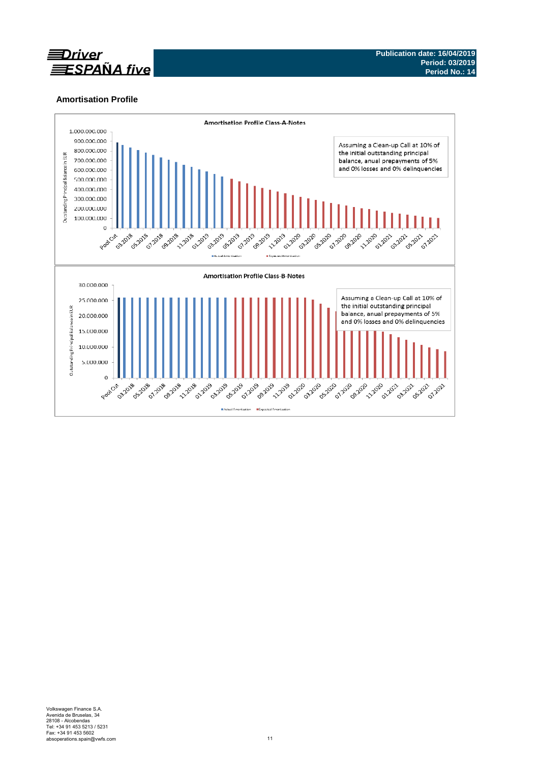

# **Amortisation Profile**

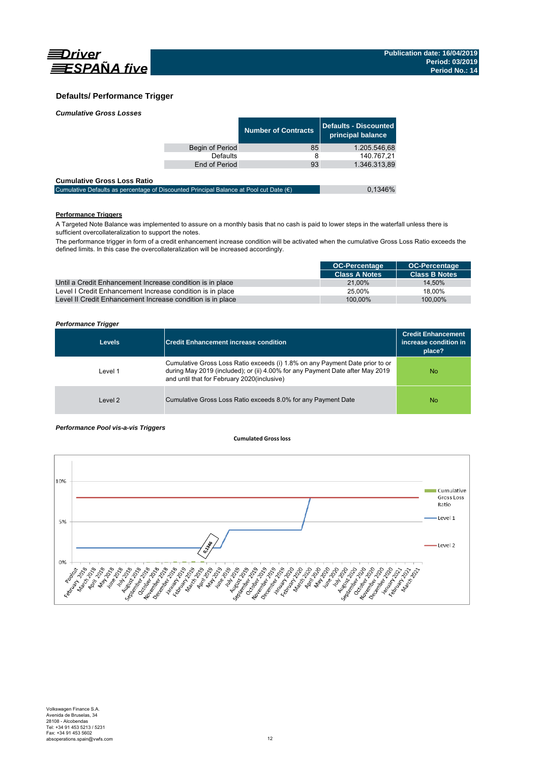

## **Defaults/ Performance Trigger**

| <b>Cumulative Gross Losses</b> |  |
|--------------------------------|--|
|                                |  |

|                 | <b>Number of Contracts</b> | Defaults - Discounted  <br>principal balance |
|-----------------|----------------------------|----------------------------------------------|
| Begin of Period | 85                         | 1.205.546,68                                 |
| <b>Defaults</b> | 8                          | 140.767.21                                   |
| End of Period   | 93                         | 1.346.313,89                                 |
|                 |                            |                                              |

### **Cumulative Gross Loss Ratio**

| -------------------------------                                                                 |         |
|-------------------------------------------------------------------------------------------------|---------|
| Cumulative Defaults as percentage of Discounted Principal Balance at Pool cut Date $(\epsilon)$ | 0.1346% |
|                                                                                                 |         |

## **Performance Triggers**

A Targeted Note Balance was implemented to assure on a monthly basis that no cash is paid to lower steps in the waterfall unless there is sufficient overcollateralization to support the notes.

The performance trigger in form of a credit enhancement increase condition will be activated when the cumulative Gross Loss Ratio exceeds the defined limits. In this case the overcollateralization will be increased accordingly.

|                                                            | <b>OC-Percentage</b> | <b>OC-Percentage</b> |
|------------------------------------------------------------|----------------------|----------------------|
|                                                            | <b>Class A Notes</b> | <b>Class B Notes</b> |
| Until a Credit Enhancement Increase condition is in place  | 21.00%               | 14.50%               |
| Level I Credit Enhancement Increase condition is in place  | 25.00%               | 18.00%               |
| Level II Credit Enhancement Increase condition is in place | 100.00%              | 100.00%              |

### *Performance Trigger*

| <b>Levels</b> | <b>Credit Enhancement increase condition</b>                                                                                                                                                                 | <b>Credit Enhancement</b><br>increase condition in<br>place? |
|---------------|--------------------------------------------------------------------------------------------------------------------------------------------------------------------------------------------------------------|--------------------------------------------------------------|
| Level 1       | Cumulative Gross Loss Ratio exceeds (i) 1.8% on any Payment Date prior to or<br>during May 2019 (included); or (ii) 4.00% for any Payment Date after May 2019<br>and until that for February 2020(inclusive) | No                                                           |
| Level 2       | Cumulative Gross Loss Ratio exceeds 8.0% for any Payment Date                                                                                                                                                | No                                                           |

### *Performance Pool vis-a-vis Triggers*

### **Cumulated Grossloss**

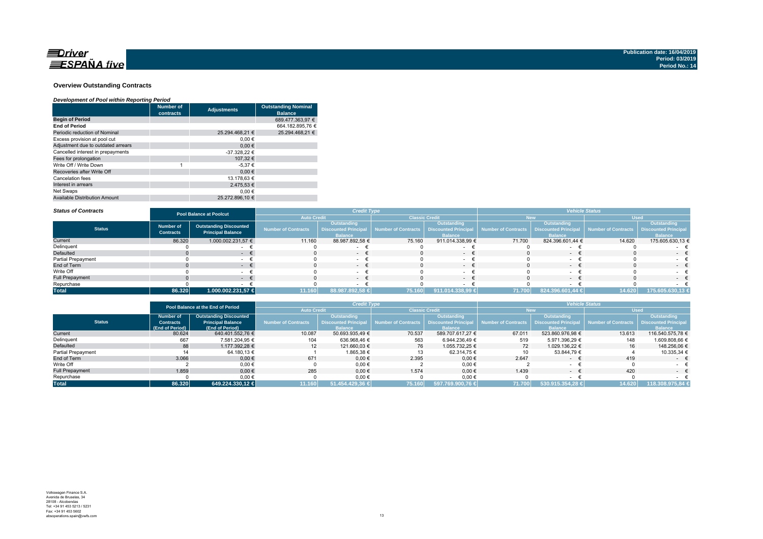

### **Overview Outstanding Contracts**

### *Development of Pool within Reporting Period*

|                                      | <b>Number of</b><br>contracts | <b>Adjustments</b> | <b>Outstanding Nominal</b><br><b>Balance</b> |
|--------------------------------------|-------------------------------|--------------------|----------------------------------------------|
| <b>Begin of Period</b>               |                               |                    | 689.477.363.97 €                             |
| <b>End of Period</b>                 |                               |                    | 664.182.895.76 €                             |
| Periodic reduction of Nominal        |                               | 25.294.468.21 €    | 25.294.468.21 €                              |
| Excess provision at pool cut         |                               | 0.00€              |                                              |
| Adjustment due to outdated arrears   |                               | 0.00€              |                                              |
| Cancelled interest in prepayments    |                               | -37.328,22 €       |                                              |
| Fees for prolongation                |                               | 107.32 €           |                                              |
| Write Off / Write Down               | 4                             | $-5.37€$           |                                              |
| Recoveries after Write Off           |                               | 0.00€              |                                              |
| Cancelation fees                     |                               | 13.178.63 €        |                                              |
| Interest in arrears                  |                               | 2.475.53 €         |                                              |
| Net Swaps                            |                               | 0.00€              |                                              |
| <b>Available Distribution Amount</b> |                               | 25.272.896.10 €    |                                              |

#### *Status of Contracts*

| <b>Status of Contracts</b> |                                      | <b>Pool Balance at Poolcut</b>                            |                            | <b>Credit Type</b>                                    |                       |                                                              | <b>Vehicle Status</b> |                                                              |                     |                                                              |
|----------------------------|--------------------------------------|-----------------------------------------------------------|----------------------------|-------------------------------------------------------|-----------------------|--------------------------------------------------------------|-----------------------|--------------------------------------------------------------|---------------------|--------------------------------------------------------------|
|                            |                                      |                                                           | <b>Auto Credit</b>         |                                                       | <b>Classic Credit</b> |                                                              | <b>New</b>            |                                                              | <b>Used</b>         |                                                              |
| <b>Status</b>              | <b>Number of</b><br><b>Contracts</b> | <b>Outstanding Discounted</b><br><b>Principal Balance</b> | <b>Number of Contracts</b> | Outstanding<br>Discounted Principal<br><b>Balance</b> | Number of Contracts   | Outstanding<br><b>Discounted Principal</b><br><b>Balance</b> | Number of Contracts   | Outstanding<br><b>Discounted Principal</b><br><b>Balance</b> | Number of Contracts | Outstanding<br><b>Discounted Principal</b><br><b>Balance</b> |
| Current                    | 86.320                               | 1.000.002.231,57 €                                        | 11.160                     | 88.987.892,58 €                                       | 75.160                | 911.014.338,99 €                                             | 71.700                | 824.396.601,44 €                                             | 14.620              | 175.605.630,13 €                                             |
| Delinquent                 |                                      |                                                           |                            |                                                       |                       |                                                              |                       |                                                              |                     |                                                              |
| Defaulted                  |                                      | . .                                                       |                            | $\sim$                                                |                       | $\sim$                                                       |                       | $\sim$                                                       |                     | $\sim$                                                       |
| <b>Partial Prepayment</b>  |                                      |                                                           |                            |                                                       |                       |                                                              |                       |                                                              |                     |                                                              |
| End of Term                |                                      |                                                           |                            | $\sim$                                                |                       | $\sim$                                                       |                       | $\sim$                                                       |                     | . .                                                          |
| Write Off                  |                                      |                                                           |                            | $\sim$                                                |                       |                                                              |                       |                                                              |                     |                                                              |
| <b>Full Prepayment</b>     |                                      | . .                                                       |                            | - +                                                   |                       | $\sim$                                                       |                       |                                                              |                     | $\sim$                                                       |
| Repurchase                 |                                      |                                                           |                            |                                                       |                       |                                                              |                       |                                                              |                     |                                                              |
| <b>Total</b>               | 86.320                               | 1.000.002.231,57 €                                        | 11.160                     | 88.987.892,58 €                                       | 75.160                | 911.014.338,99 €                                             | 71.700                | 824.396.601,44 €                                             | 14.620              | 175.605.630,13 €                                             |
|                            |                                      |                                                           |                            |                                                       |                       |                                                              |                       |                                                              |                     |                                                              |

|                        |                  | Pool Balance at the End of Period | <b>Credit Type</b>  |                 |                                                               |                  | <b>Vehicle Status</b> |                  |                                                 |                             |
|------------------------|------------------|-----------------------------------|---------------------|-----------------|---------------------------------------------------------------|------------------|-----------------------|------------------|-------------------------------------------------|-----------------------------|
|                        |                  |                                   | <b>Auto Credit</b>  |                 | <b>Classic Credit</b>                                         |                  | <b>New</b>            |                  | <b>Used</b>                                     |                             |
|                        | <b>Number of</b> | <b>Outstanding Discounted</b>     |                     | Outstanding     |                                                               | Outstanding      |                       | Outstanding      |                                                 | Outstanding                 |
| <b>Status</b>          | <b>Contracts</b> | <b>Principal Balance</b>          | Number of Contracts |                 | Discounted Principal Number of Contracts Discounted Principal |                  | Number of Contracts   |                  | <b>Discounted Principal Number of Contracts</b> | <b>Discounted Principal</b> |
|                        | (End of Period)  | (End of Period)                   |                     | <b>Balance</b>  |                                                               | <b>Balance</b>   |                       | <b>Balance</b>   |                                                 | <b>Balance</b>              |
| Current                | 80.624           | 640.401.552.76 €                  | 10.087              | 50.693.935.49 € | 70.537                                                        | 589.707.617.27 € | 67.011                | 523.860.976.98 € | 13.613                                          | 116.540.575.78 €            |
| Delinquent             | 667              | 7.581.204.95 €                    | 104                 | 636.968.46 €    | 563                                                           | 6.944.236.49 €   | 519                   | 5.971.396.29 €   | 148                                             | 1.609.808,66 €              |
| Defaulted              | 88               | 1.177.392.28 €                    | 12                  | 121.660.03 €    | 76                                                            | 1.055.732.25 €   | 72                    | 1.029.136.22 €   | 16                                              | 148.256.06 €                |
| Partial Prepayment     |                  | 64.180.13 €                       |                     | 1.865.38 €      |                                                               | 62.314,75 €      | 10                    | 53.844.79 €      |                                                 | 10.335,34 €                 |
| End of Term            | 3.066            | $0.00 \in$                        | 671                 | $0,00 \in$      | 2.395                                                         | $0,00 \in$       | 2.647                 | $\sim$           | 419                                             | $ \epsilon$                 |
| Write Off              |                  | $0.00 \in$                        |                     | $0,00 \in$      |                                                               | $0,00$ €         |                       |                  |                                                 |                             |
| <b>Full Prepayment</b> | 1.859            | $0.00 \in$                        | 285                 | $0.00 \in$      | 1.574                                                         | $0.00 \in$       | 1.439                 | $\sim$           | 420                                             | $ \epsilon$                 |
| Repurchase             |                  | 0,00€                             |                     | 0,00€           |                                                               | $0,00 \in$       |                       |                  |                                                 |                             |
| <b>Total</b>           | 86.320           | 649.224.330.12 €                  | 11.160              | 51.454.429,36 € | 75.160                                                        | 597.769.900,76 € | 71.700                | 530.915.354,28 € | 14.620                                          | 118.308.975.84 €            |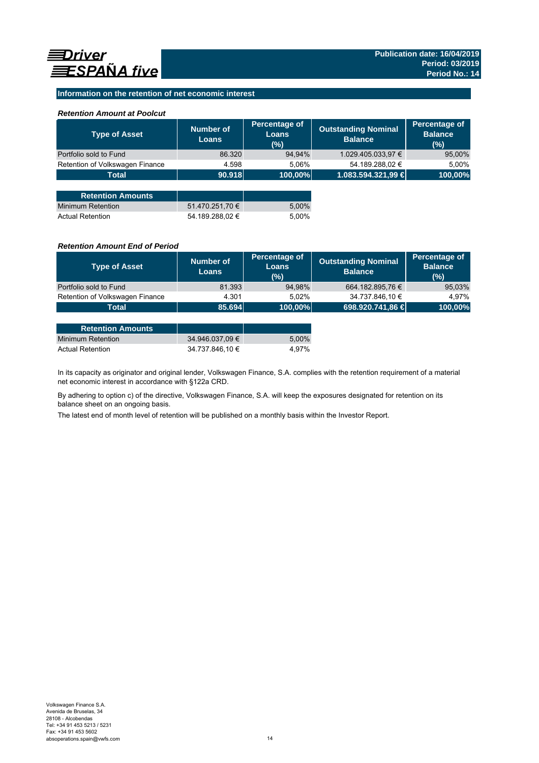## **Information on the retention of net economic interest**

## *Retention Amount at Poolcut*

| <b>Type of Asset</b>            | Number of<br><b>Loans</b> | Percentage of<br>Loans<br>(%) | <b>Outstanding Nominal</b><br><b>Balance</b> | Percentage of<br><b>Balance</b><br>(%) |
|---------------------------------|---------------------------|-------------------------------|----------------------------------------------|----------------------------------------|
| Portfolio sold to Fund          | 86.320                    | 94,94%                        | 1.029.405.033,97 €                           | 95,00%                                 |
| Retention of Volkswagen Finance | 4.598                     | 5,06%                         | 54.189.288,02 €                              | 5,00%                                  |
| <b>Total</b>                    | 90.918                    | 100,00%                       | 1.083.594.321,99 €                           | 100,00%                                |
|                                 |                           |                               |                                              |                                        |
| <b>Retention Amounts</b>        |                           |                               |                                              |                                        |
| Minimum Retention               | 51.470.251,70 €           | 5,00%                         |                                              |                                        |
| <b>Actual Retention</b>         | 54.189.288.02 €           | 5.00%                         |                                              |                                        |

### *Retention Amount End of Period*

| <b>Type of Asset</b>            | Number of<br><b>Loans</b> | Percentage of<br>Loans<br>(%) | <b>Outstanding Nominal</b><br><b>Balance</b> | Percentage of<br><b>Balance</b><br>(%) |
|---------------------------------|---------------------------|-------------------------------|----------------------------------------------|----------------------------------------|
| Portfolio sold to Fund          | 81.393                    | 94,98%                        | 664.182.895,76 €                             | 95,03%                                 |
| Retention of Volkswagen Finance | 4.301                     | 5.02%                         | 34.737.846,10 €                              | 4.97%                                  |
| Total                           | 85.694                    | $ 100,00\% $                  | 698.920.741,86 €                             | 100,00%                                |

| <b>Retention Amounts</b> |                 |       |
|--------------------------|-----------------|-------|
| Minimum Retention        | 34.946.037.09 € | 5.00% |
| <b>Actual Retention</b>  | 34.737.846.10 € | 4.97% |

In its capacity as originator and original lender, Volkswagen Finance, S.A. complies with the retention requirement of a material net economic interest in accordance with §122a CRD.

By adhering to option c) of the directive, Volkswagen Finance, S.A. will keep the exposures designated for retention on its balance sheet on an ongoing basis.

The latest end of month level of retention will be published on a monthly basis within the Investor Report.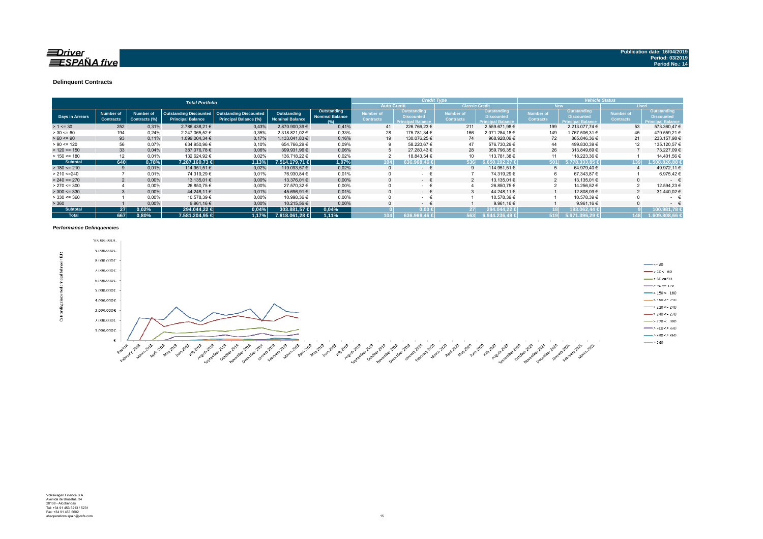### $\equiv$ Driver **ESPAÑA** five

#### **Delinquent Contracts**

|                 | <b>Total Portfolio</b>               |                            |                                                           |                                                        |                                       |                                              |                                      | <b>Credit Type</b>                                           |                                      |                                                              | <b>Vehicle Status</b>                |                                                              |                                      |                                                                     |
|-----------------|--------------------------------------|----------------------------|-----------------------------------------------------------|--------------------------------------------------------|---------------------------------------|----------------------------------------------|--------------------------------------|--------------------------------------------------------------|--------------------------------------|--------------------------------------------------------------|--------------------------------------|--------------------------------------------------------------|--------------------------------------|---------------------------------------------------------------------|
|                 |                                      |                            |                                                           |                                                        |                                       |                                              | <b>Auto Credit</b>                   |                                                              |                                      | <b>Classic Credit</b>                                        |                                      | <b>New</b>                                                   |                                      | <b>Used</b>                                                         |
| Days in Arrears | <b>Number of</b><br><b>Contracts</b> | Number of<br>Contracts (%) | <b>Outstanding Discounted</b><br><b>Principal Balance</b> | <b>Outstanding Discounted</b><br>Principal Balance (%) | Outstanding<br><b>Nominal Balance</b> | Outstanding<br><b>Nominal Balance</b><br>(%) | <b>Number of</b><br><b>Contracts</b> | Outstanding<br><b>Discounted</b><br><b>Principal Balance</b> | <b>Number of</b><br><b>Contracts</b> | Outstanding<br><b>Discounted</b><br><b>Principal Balance</b> | <b>Number</b> of<br><b>Contracts</b> | Outstanding<br><b>Discounted</b><br><b>Principal Balance</b> | <b>Number of</b><br><b>Contracts</b> | <b>Outstanding</b><br><b>Discounted</b><br><b>Principal Balance</b> |
| $> 1 \le 30$    | 252                                  | 0,31%                      | 2.786.438.21 €                                            | 0,43%                                                  | 2.870.900,39 €                        | 0.41%                                        | 41                                   | 226.766,23 €                                                 | 211                                  | 2.559.671,98 €                                               | 199                                  | 2.213.077.74 €                                               | 53                                   | 573.360,47 €                                                        |
| $> 30 \le 60$   | 194                                  | 0.24%                      | 2.247.065,52 €                                            | 0,35%                                                  | 2.318.821,02 €                        | 0,33%                                        | 28                                   | 175.781.34 €                                                 | 166                                  | 2.071.284.18 €                                               | 149                                  | 1.767.506,31 €                                               | 45                                   | 479.559,21 €                                                        |
| $> 60 \le 90$   | 93                                   | 0,11%                      | 1.099.004,34 €                                            | 0,17%                                                  | 1.133.041.83 €                        | 0,16%                                        | 19                                   | 130.076.25 €                                                 | 74                                   | 968.928,09 €                                                 | 72                                   | 865.846,36 €                                                 | 21                                   | 233.157,98 €                                                        |
| $> 90 \le 120$  | 56                                   | 0.07%                      | 634.950,96 €                                              | 0.10%                                                  | 654.766.29 €                          | 0,09%                                        |                                      | 58.220,67 €                                                  |                                      | 576.730,29€                                                  | 44                                   | 499.830,39 €                                                 | 12                                   | 135.120,57 €                                                        |
| $> 120 \le 150$ | 33                                   | 0,04%                      | 387.076,78 €                                              | 0,06%                                                  | 399.931,96 €                          | 0,06%                                        | 5                                    | 27.280,43 €                                                  | 28                                   | 359.796,35 €                                                 | 26                                   | 313.849,69 €                                                 |                                      | 73.227,09 €                                                         |
| $> 150 \le 180$ | 12                                   | 0.01%                      | 132.624.92 €                                              | 0.02%                                                  | 136.718.22 €                          | 0,02%                                        |                                      | 18.843,54 €                                                  |                                      | 113.781,38 €                                                 |                                      | 118.223,36 €                                                 |                                      | 14.401,56 €                                                         |
| <b>Subtotal</b> | 640                                  | 0,78%                      | 7.287.160.73 €                                            | 1.13%                                                  | 7.514.179.71 €                        | 1,07%                                        | 104                                  | 636.968.46 €                                                 | 536                                  | $.650.192.27 \in$                                            | 501                                  | .778.333.85 €                                                | 139                                  | 1.508.826.88 €                                                      |
| $> 180 \le 210$ |                                      | 0.01%                      | 114.951,51 €                                              | 0,02%                                                  | 119.093.57 €                          | 0,02%                                        |                                      | $\sim$                                                       |                                      | 114.951,51 €                                                 |                                      | 64.979.40 €                                                  |                                      | 49.972,11 €                                                         |
| > 210 < 240     |                                      | 0.01%                      | 74.319.29 €                                               | 0,01%                                                  | 76.930.84 €                           | 0,01%                                        |                                      | $\sim$                                                       |                                      | 74.319.29 €                                                  |                                      | 67.343,87 €                                                  |                                      | 6.975.42 €                                                          |
| $> 240 \le 270$ |                                      | 0.00%                      | 13.135,01 €                                               | 0,00%                                                  | 13.376.01 €                           | 0,00%                                        |                                      | $ \epsilon$                                                  |                                      | 13.135,01 €                                                  |                                      | 13.135,01 €                                                  | $\Omega$                             | $ \epsilon$                                                         |
| $> 270 \le 300$ |                                      | 0,00%                      | 26.850,75 €                                               | 0,00%                                                  | 27.570,32 €                           | 0,00%                                        |                                      | $\sim$ 10 $\pm$                                              |                                      | 26.850,75€                                                   |                                      | 14.256,52 €                                                  | $\sim$                               | 12.594,23 €                                                         |
| $>$ 300 <= 330  |                                      | 0,00%                      | 44.248,11 €                                               | 0.01%                                                  | 45.696.91 €                           | 0,01%                                        |                                      | $ \pm$                                                       |                                      | 44.248,11 €                                                  |                                      | 12.808,09 €                                                  |                                      | 31.440,02 €                                                         |
| $>$ 330 <= 360  |                                      | 0,00%                      | 10.578,39 €                                               | 0,00%                                                  | 10.998,36 €                           | 0,00%                                        |                                      | $\sim$ 10 $\pm$                                              |                                      | 10.578,39 €                                                  |                                      | 10.578,39 €                                                  |                                      | $\sim$                                                              |
| > 360           |                                      | 0.00%                      | 9.961.16 $\in$                                            | 0.00%                                                  | 10.215.56 €                           | 0.00%                                        |                                      | $\sim$                                                       |                                      | 9.961.16€                                                    |                                      | 9.961.16 $\in$                                               |                                      | $\sim$                                                              |
| <b>Subtotal</b> | 27 <sup>1</sup>                      | 0.02%                      | 294.044.22 €                                              | 0,04%                                                  | 303.881.57 €                          | 0.04%                                        |                                      | $0.00 \le$                                                   | 27 <sup>1</sup>                      | 294.044,22€                                                  |                                      | 193.062.44 €                                                 |                                      | 100.981.78                                                          |
| <b>Total</b>    | 667                                  | 0,80%                      | 7.581.204.95 €                                            | 1.17%                                                  | 7.818.061.28 €                        | 1.11%                                        |                                      | 636.968.46 €                                                 | 563                                  | $6.944.236,49$ €                                             | 519                                  | 5.971.396.29 €                                               | 148                                  | 1.609.808.66 €                                                      |

#### *Performance Delinquencies*

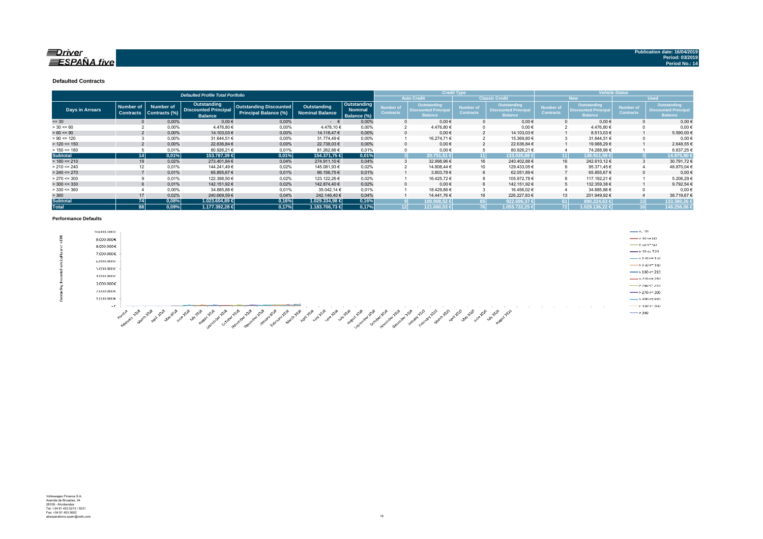### $\equiv$ Driver  $ESPA\tilde{N}A$  five

**Defaulted Contracts** 

|                 |                  |                  | <b>Defaulted Profile Total Portfolio</b>      |                               |                        |                               |                  |                                               | <b>Credit Type</b> |                                               | <b>Vehicle Status</b> |                                              |                  |                                               |
|-----------------|------------------|------------------|-----------------------------------------------|-------------------------------|------------------------|-------------------------------|------------------|-----------------------------------------------|--------------------|-----------------------------------------------|-----------------------|----------------------------------------------|------------------|-----------------------------------------------|
|                 |                  |                  |                                               |                               |                        |                               |                  | <b>Auto Credit</b>                            |                    | <b>Classic Credit</b>                         | New.                  |                                              |                  | <b>Used</b>                                   |
|                 | <b>Number of</b> | <b>Number of</b> | <b>Outstanding</b>                            | <b>Outstanding Discounted</b> | Outstanding            | Outstanding                   | <b>Number of</b> | Outstanding                                   | Number of          | <b>Outstanding</b>                            | <b>Number of</b>      | <b>Outstanding</b>                           | Number of        | Outstanding                                   |
| Days in Arrears | <b>Contracts</b> | Contracts (%)    | <b>Discounted Principal</b><br><b>Balance</b> | Principal Balance (%)         | <b>Nominal Balance</b> | <b>Nominal</b><br>Balance (%) | <b>Contracts</b> | <b>Discounted Principal</b><br><b>Balance</b> | <b>Contracts</b>   | <b>Discounted Principal</b><br><b>Balance</b> | <b>Contracts</b>      | <b>Discounted Principa</b><br><b>Balance</b> | <b>Contracts</b> | <b>Discounted Principal</b><br><b>Balance</b> |
| $= 30$          |                  | 0.00%            | $0.00 \in$                                    | 0.00%                         | $ \epsilon$            | 0.00%                         |                  | $0.00 \in$                                    |                    | $0.00 \in$                                    |                       | $0.00 \in$                                   |                  | 0.00€                                         |
| $> 30 \le 60$   |                  | 0,00%            | 4.476,80 €                                    | 0,00%                         | 4.478,10€              | 0.00%                         |                  | 4.476,80 €                                    |                    | $0,00 \in$                                    |                       | 4.476,80 €                                   |                  | $0,00 \in$                                    |
| $> 60 \le 90$   |                  | 0.00%            | 14.103,03 €                                   | 0.00%                         | 14.118,47 €            | 0.00%                         |                  | $0.00 \in$                                    |                    | 14.103,03 €                                   |                       | 8.513,03 €                                   |                  | 5.590,00 €                                    |
| $> 90 \le 120$  |                  | 0,00%            | 31.644,51 €                                   | 0,00%                         | 31.774,49€             | 0,00%                         |                  | 16.274,71 €                                   |                    | 15.369,80 €                                   |                       | 31.644,51 €                                  |                  | $0,00 \in$                                    |
| $> 120 \le 150$ |                  | 0,00%            | 22.636,84 €                                   | 0.00%                         | 22.738.03 €            | 0.00%                         |                  | $0.00 \in$                                    |                    | 22.636.84 €                                   |                       | 19.988.29 €                                  |                  | 2.648,55 €                                    |
| $> 150 \le 180$ |                  | 0,01%            | 80.926,21 €                                   | 0.01%                         | 81.262,66 €            | 0,01%                         |                  | $0,00 \in$                                    |                    | 80.926,21 €                                   |                       | 74.288,96€                                   |                  | 6.637,25€                                     |
| <b>Subtotal</b> | 14               | 0,01%            | 153.787,39 €                                  | 0,01%                         | 154.371.75 €           | 0,01%                         |                  | 20.751.51 €                                   | 11                 | 133.035.88 €                                  | 11                    | 138.911.59 €                                 |                  | 14.875.80                                     |
| $> 180 \le 210$ | 19               | 0,02%            | 273.401,84 €                                  | 0,04%                         | 274.911,10 €           | 0.04%                         |                  | 32.998,96 €                                   | 16                 | 240.402,88 €                                  | 16                    | 242.610,12 €                                 |                  | 30.791,72€                                    |
| $> 210 \le 240$ |                  | 0,01%            | 144.241,49€                                   | 0,02%                         | 145.081,93 €           | 0,02%                         |                  | 14.808,44 €                                   | 10                 | 129.433,05 €                                  |                       | 95.371,45€                                   |                  | 48.870,04 €                                   |
| $> 240 \le 270$ |                  | 0,01%            | 65.855,67€                                    | 0,01%                         | 66.156,75 €            | 0.01%                         |                  | 3.803,78€                                     | 6                  | 62.051,89€                                    |                       | 65.855,67€                                   |                  | $0,00$ €                                      |
| $> 270 \le 300$ |                  | 0,01%            | 122.398,50 €                                  | 0,02%                         | 123.122,26 €           | 0,02%                         |                  | 16.425,72 €                                   | 8                  | 105.972,78 €                                  |                       | 117.192,21 €                                 |                  | 5.206,29€                                     |
| $> 300 \le 330$ |                  | 0.01%            | 142.151,92 €                                  | 0.02%                         | 142.874.40 €           | 0.02%                         |                  | $0.00 \in$                                    | 6                  | 142.151.92 €                                  |                       | 132.359,38 €                                 |                  | 9.792,54€                                     |
| $>$ 330 <= 360  |                  | 0,00%            | 34.885,88 €                                   | 0.01%                         | 35.042.14 €            | 0,01%                         |                  | 18.429,86€                                    |                    | 16.456,02€                                    |                       | 34.885,88 €                                  |                  | $0.00*$                                       |
| > 360           | 17               | 0,02%            | 240.669,59€                                   | 0,04%                         | 242.146,40 €           | 0,04%                         |                  | 14.441,76 €                                   | 16                 | 226.227,83€                                   | 13                    | 201.949,92 €                                 |                  | 38.719,67 €                                   |
| <b>Subtotal</b> | <b>74</b>        | 0,08%            | 1.023.604,89 €                                | 0,16%                         | 1.029.334.98 €         | 0,16%                         |                  | 100.908.52 €                                  |                    | 922.696.37 €                                  | 61 I                  | 890.224.63 €                                 |                  | 133.380,26                                    |
| <b>Total</b>    | 88               | 0,09%            | 1.177.392.28 €                                | 0,17%                         | 1.183.706,73 €         | 0.17%                         |                  | 121.660.03 €                                  |                    | 1.055.732.25 €                                | 721                   | 1.029.136.22 €                               |                  | 148.256,06                                    |

#### **Performance Defaults**

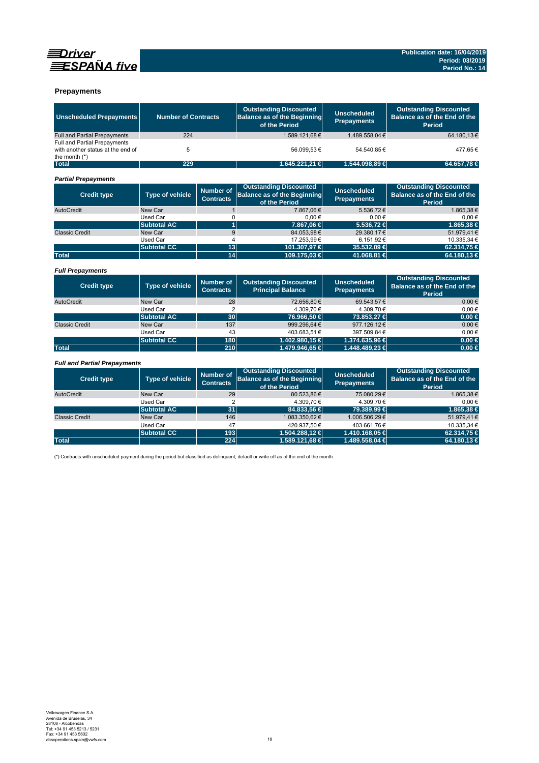



### **Prepayments**

| <b>Unscheduled Prepayments</b>                       | <b>Number of Contracts</b> |                                      | <b>Outstanding Discounted</b><br><b>Balance as of the Beginning</b><br>of the Period | <b>Unscheduled</b><br><b>Prepayments</b> | <b>Outstanding Discounted</b><br>Balance as of the End of the<br><b>Period</b> |
|------------------------------------------------------|----------------------------|--------------------------------------|--------------------------------------------------------------------------------------|------------------------------------------|--------------------------------------------------------------------------------|
| <b>Full and Partial Prepayments</b>                  | 224                        |                                      | 1.589.121.68€                                                                        | 1.489.558.04 €                           | 64.180.13€                                                                     |
| Full and Partial Prepayments                         |                            |                                      |                                                                                      |                                          |                                                                                |
| with another status at the end of<br>the month $(*)$ | 5                          |                                      | 56.099.53€                                                                           | 54.540.85€                               | 477.65€                                                                        |
| <b>Total</b>                                         | 229                        |                                      | 1.645.221,21 €                                                                       | 1.544.098,89 €                           | 64.657,78 €                                                                    |
| <b>Partial Prepayments</b>                           |                            |                                      |                                                                                      |                                          |                                                                                |
| <b>Credit type</b>                                   | <b>Type of vehicle</b>     | <b>Number of</b><br><b>Contracts</b> | <b>Outstanding Discounted</b><br><b>Balance as of the Beginning</b><br>of the Period | <b>Unscheduled</b><br><b>Prepayments</b> | <b>Outstanding Discounted</b><br>Balance as of the End of the<br>Period        |
| AutoCredit                                           | New Car                    | $\mathbf{1}$                         | 7.867.06€                                                                            | 5.536.72€                                | 1.865.38€                                                                      |
|                                                      | Used Car                   | 0                                    | 0.00€                                                                                | 0.00€                                    | 0.00€                                                                          |
|                                                      | <b>Subtotal AC</b>         | $\overline{1}$                       | 7.867,06 €                                                                           | 5.536,72 €                               | 1.865,38 €                                                                     |
| <b>Classic Credit</b>                                | New Car                    | 9                                    | 84.053.98€                                                                           | 29.380.17€                               | 51.979.41€                                                                     |
|                                                      | <b>Used Car</b>            | 4                                    | 17.253.99€                                                                           | 6.151.92€                                | 10.335,34 €                                                                    |
|                                                      | <b>Subtotal CC</b>         | 13                                   | 101.307,97 €                                                                         | 35.532,09 €                              | 62.314,75 €                                                                    |
| <b>Total</b>                                         |                            | 14                                   | 109.175,03 €                                                                         | 41.068,81 €                              | 64.180,13 €                                                                    |
| <b>Full Prepayments</b>                              |                            |                                      |                                                                                      |                                          |                                                                                |
| <b>Credit type</b>                                   | <b>Type of vehicle</b>     | <b>Number of</b><br><b>Contracts</b> | <b>Outstanding Discounted</b><br><b>Principal Balance</b>                            | <b>Unscheduled</b><br><b>Prepayments</b> | <b>Outstanding Discounted</b><br>Balance as of the End of the<br><b>Period</b> |
| AutoCredit                                           | New Car                    | 28                                   | 72.656,80€                                                                           | 69.543,57€                               | $0,00 \in$                                                                     |
|                                                      | Used Car                   | $\overline{2}$                       | 4.309.70 €                                                                           | 4.309.70€                                | 0.00€                                                                          |
|                                                      | <b>Subtotal AC</b>         | 30                                   | 76.966,50 €                                                                          | 73.853,27 €                              | $0.00 \in$                                                                     |
| <b>Classic Credit</b>                                | New Car                    | 137                                  | 999.296.64€                                                                          | 977.126.12€                              | $0,00 \in$                                                                     |
|                                                      | Used Car                   | 43                                   | 403.683,51€                                                                          | 397.509.84 €                             | $0,00 \in$                                                                     |
|                                                      | <b>Subtotal CC</b>         | 180                                  | 1.402.980,15 €                                                                       | 1.374.635,96 €                           | $0.00 \in$                                                                     |
| <b>Total</b>                                         |                            | 210                                  | 1.479.946,65 €                                                                       | 1.448.489,23 €                           | $0,00 \in$                                                                     |
| <b>Full and Partial Prepayments</b>                  |                            |                                      |                                                                                      |                                          |                                                                                |
| <b>Credit type</b>                                   | <b>Type of vehicle</b>     | <b>Number of</b><br><b>Contracts</b> | <b>Outstanding Discounted</b><br><b>Balance as of the Beginning</b><br>of the Period | <b>Unscheduled</b><br><b>Prepayments</b> | <b>Outstanding Discounted</b><br>Balance as of the End of the<br><b>Period</b> |
| AutoCredit                                           | New Car                    | 29                                   | 80.523.86€                                                                           | 75.080.29€                               | 1.865.38€                                                                      |

|                       |                    |     | of the Period      | . .                | Period      |
|-----------------------|--------------------|-----|--------------------|--------------------|-------------|
| AutoCredit            | New Car            | 29  | 80.523,86€         | 75.080,29€         | 1.865,38€   |
|                       | Used Car           |     | 4.309.70 €         | 4.309.70 €         | $0.00 \in$  |
|                       | Subtotal AC        | 31  | 84,833,56 €        | 79.389.99 €        | 1.865.38 €  |
| <b>Classic Credit</b> | New Car            | 146 | 1.083.350.62€      | 1.006.506,29€      | 51.979,41€  |
|                       | Used Car           | 47  | 420.937.50€        | 403.661.76€        | 10.335.34 € |
|                       | <b>Subtotal CC</b> | 193 | $1.504.288.12 \in$ | $1.410.168.05 \in$ | 62.314.75 € |
| <b>Total</b>          |                    | 224 | 1.589.121,68 €     | 1.489.558,04 €     | 64.180.13 € |

(\*) Contracts with unscheduled payment during the period but classified as delinquent, default or write off as of the end of the month.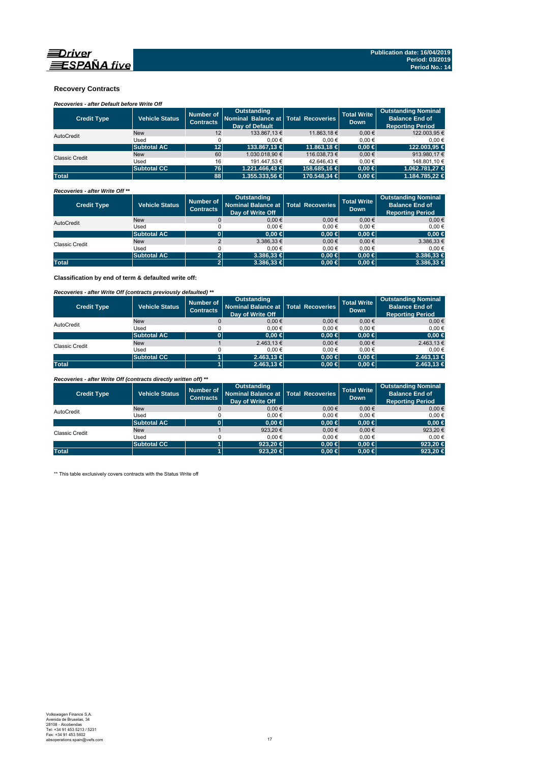

### **Recovery Contracts**

# *Recoveries - after Default before Write Off*

| <b>Credit Type</b> | <b>Vehicle Status</b> | Number of<br><b>Contracts</b> | Outstanding<br>Nominal Balance at Total Recoveries<br>Day of Default |              | <b>Total Write</b><br><b>Down</b> | <b>Outstanding Nominal</b><br><b>Balance End of</b><br><b>Reporting Period</b> |
|--------------------|-----------------------|-------------------------------|----------------------------------------------------------------------|--------------|-----------------------------------|--------------------------------------------------------------------------------|
| AutoCredit         | <b>New</b>            | 12                            | 133.867.13 €                                                         | 11.863.18 €  | $0.00 \in$                        | 122.003,95 €                                                                   |
|                    | Used                  |                               | 0.00€                                                                | $0.00 \in$   | 0.00€                             | 0.00€                                                                          |
|                    | <b>Subtotal AC</b>    | 12 <sup>1</sup>               | 133,867.13 €                                                         | 11.863.18 €  | $0.00 \in$                        | 122.003.95 €                                                                   |
| Classic Credit     | <b>New</b>            | 60                            | 1.030.018.90 €                                                       | 116.038.73 € | $0.00 \in$                        | 913.980.17 €                                                                   |
|                    | Used                  | 16                            | 191.447.53 €                                                         | 42.646.43 €  | 0.00€                             | 148.801.10 €                                                                   |
|                    | <b>Subtotal CC</b>    | 76                            | $1.221.466.43 \in$                                                   | 158,685.16 € | $0.00 \in$                        | 1.062.781.27 €                                                                 |
| <b>Total</b>       |                       | 88                            | $1.355.333.56 \in$                                                   | 170.548.34 € | $0.00 \in$                        | 1.184.785.22 €                                                                 |

### *Recoveries - after Write Off \*\**

| <b>Credit Type</b>    | <b>Vehicle Status</b> | Number of<br><b>Contracts</b> | Outstanding<br>Nominal Balance at   Total Recoveries<br>Day of Write Off |            | <b>Total Write</b><br><b>Down</b> | <b>Outstanding Nominal</b><br><b>Balance End of</b><br><b>Reporting Period</b> |
|-----------------------|-----------------------|-------------------------------|--------------------------------------------------------------------------|------------|-----------------------------------|--------------------------------------------------------------------------------|
| AutoCredit            | <b>New</b>            |                               | $0.00 \in$                                                               | $0.00 \in$ | $0.00 \in$                        | $0,00 \in$                                                                     |
|                       | Used                  |                               | 0.00€                                                                    | 0.00€      | 0.00€                             | $0.00 \in$                                                                     |
|                       | <b>Subtotal AC</b>    |                               | 0.00 ∈                                                                   | $0,00 \in$ | $0.00 \in$                        | $0,00 \in$                                                                     |
| <b>Classic Credit</b> | <b>New</b>            |                               | $3.386.33 \in$                                                           | $0.00 \in$ | $0,00 \in$                        | 3.386,33 €                                                                     |
|                       | Used                  |                               | 0.00€                                                                    | 0.00€      | 0.00€                             | $0.00 \in$                                                                     |
|                       | <b>Subtotal AC</b>    |                               | $3.386.33 \in$                                                           | $0,00 \in$ | $0.00 \in$                        | $3.386,33 \in$                                                                 |
| <b>Total</b>          |                       |                               | $3.386.33 \in$                                                           | $0,00 \in$ | $0.00 \in$                        | $3.386,33 \in$                                                                 |

**Classification by end of term & defaulted write off:**

### *Recoveries - after Write Off (contracts previously defaulted) \*\**

| <b>Credit Type</b> | <b>Vehicle Status</b> | Number of<br><b>Contracts</b> | <b>Outstanding</b><br>Nominal Balance at Total Recoveries<br>Day of Write Off |            | <b>Total Write</b><br><b>Down</b> | <b>Outstanding Nominal</b><br><b>Balance End of</b><br><b>Reporting Period</b> |
|--------------------|-----------------------|-------------------------------|-------------------------------------------------------------------------------|------------|-----------------------------------|--------------------------------------------------------------------------------|
| AutoCredit         | <b>New</b>            |                               | 0.00€                                                                         | $0.00 \in$ | 0.00€                             | $0,00 \in$                                                                     |
|                    | Used                  |                               | 0.00€                                                                         | $0.00 \in$ | 0.00€                             | $0.00 \in$                                                                     |
|                    | <b>Subtotal AC</b>    |                               | 0.00 ∈                                                                        | $0,00 \in$ | $0.00 \in$                        | $0,00 \in$                                                                     |
| Classic Credit     | <b>New</b>            |                               | 2.463,13 €                                                                    | 0.00€      | 0.00€                             | 2.463,13 €                                                                     |
|                    | Used                  |                               | 0.00€                                                                         | $0.00 \in$ | 0.00€                             | $0.00 \in$                                                                     |
|                    | <b>Subtotal CC</b>    |                               | $2.463.13 \in$                                                                | $0.00 \in$ | $0.00 \in$                        | 2.463,13 €                                                                     |
| <b>Total</b>       |                       |                               | $2.463.13 \in$                                                                | $0,00 \in$ | $0.00 \in$                        | 2.463.13 €                                                                     |

*Recoveries - after Write Off (contracts directly written off) \*\**

| <b>Credit Type</b> | <b>Vehicle Status</b> | Number of<br><b>Contracts</b> | <b>Outstanding</b><br>Nominal Balance at Total Recoveries<br>Day of Write Off |            | <b>Total Write</b><br><b>Down</b> | <b>Outstanding Nominal</b><br><b>Balance End of</b><br><b>Reporting Period</b> |
|--------------------|-----------------------|-------------------------------|-------------------------------------------------------------------------------|------------|-----------------------------------|--------------------------------------------------------------------------------|
| AutoCredit         | <b>New</b>            |                               | 0.00€                                                                         | $0.00 \in$ | 0.00€                             | $0,00 \in$                                                                     |
|                    | Used                  |                               | 0.00€                                                                         | 0.00€      | 0.00€                             | $0.00 \in$                                                                     |
|                    | <b>Subtotal AC</b>    |                               | $0.00 \in$                                                                    | $0,00 \in$ | $0.00 \in$                        | $0,00 \in$                                                                     |
| Classic Credit     | <b>New</b>            |                               | 923,20€                                                                       | $0.00 \in$ | 0.00€                             | 923,20€                                                                        |
|                    | Used                  |                               | 0.00€                                                                         | 0.00€      | 0.00€                             | $0.00 \in$                                                                     |
|                    | <b>Subtotal CC</b>    |                               | 923.20 $\in$                                                                  | $0.00 \in$ | $0.00 \in$                        | 923,20 €                                                                       |
| <b>Total</b>       |                       |                               | 923,20 $\in$                                                                  | $0,00 \in$ | $0.00 \in$                        | 923,20 €                                                                       |

\*\* This table exclusively covers contracts with the Status Write off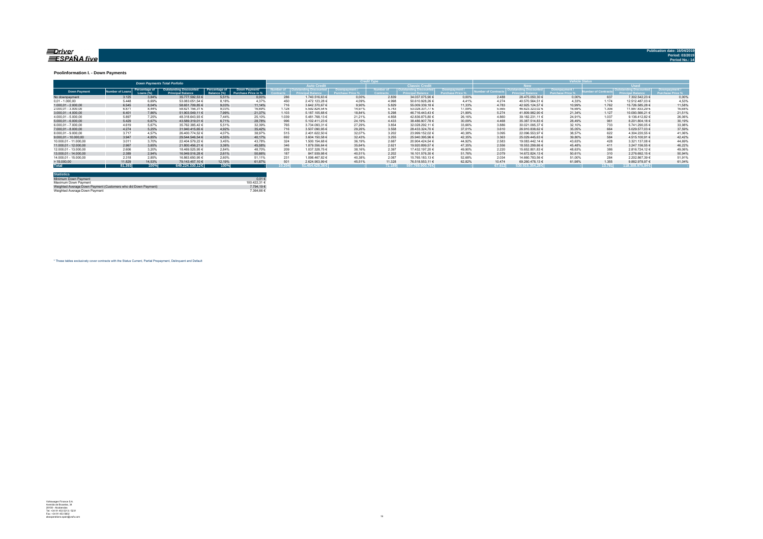#### <u>=Driver</u> ESPAÑA five

**Publication date: 16/04/20** 

#### **Poolinformation I. - Down Payments**

|                       | <b>Down Payments Total Porfolio</b> |                            |                                                    |                              |                                      |                 |                                              |                    |                              |                         |             | ______          |                             |                    |               |                 |                |
|-----------------------|-------------------------------------|----------------------------|----------------------------------------------------|------------------------------|--------------------------------------|-----------------|----------------------------------------------|--------------------|------------------------------|-------------------------|-------------|-----------------|-----------------------------|--------------------|---------------|-----------------|----------------|
|                       |                                     |                            |                                                    |                              |                                      |                 | <b>Auto Credit</b>                           |                    |                              | <b>Classic Credit</b>   |             |                 |                             |                    | <b>Head</b>   |                 |                |
| <b>Down Payment</b>   | umber of Loan:                      | Percentage of<br>Loans (%) | Outstanding Discounted<br><b>Principal Balance</b> | Percentage of<br>Balance (%) | Down Payment/<br>Purchase Price in % |                 | <b>Cutstanding Discounted</b><br>ial Ralance | <b>Downpayment</b> | <b>Jumber</b> c<br>Contracts | <i><b>Iscounted</b></i> | Downpayment | mber of Contrac | <b>Outstanding Discount</b> | <b>Downpayment</b> | nber of Contr | Principa        | rchase Price % |
| No downpayment        | 3.125                               | 3.84%                      | 35.777.592.53 €                                    | 5.51%                        | 0.00%                                | 286             | 1.740.516.63 €                               | 0.00%              | 2.839                        | 34.037.075.90 €         | 0.00%       | 2.488           | 28.475.050.30 €             | 0.00%              | 637           | 7.302.542.23 €  | 0.00%          |
| $0.01 - 1.000.00$     | 5.448                               | 6.69%                      | 53.083.051.54 €                                    | 8.18%                        | 4.37%                                | 450             | 2.472.123,28 €                               | 4.09%              | 4.998                        | 50.610.928.26 €         | 4 4 1%      | 4 2 7 4         | 40.570.564.51 €             | 4.33%              | 1.174         | 12.512.487.03 € | 4,53%          |
| $1.000.01 - 2.000.00$ | 6.545                               | 8.04%                      | 58.651.709.85 €                                    | 9.03%                        | 11.14%                               | 716             | 3.642.370.67 €                               | 9.90%              | 5.829                        | 55,009,339,18 €         | 11.33%      | 4.783           | 42.925.124.57 €             | 10.99%             | 1.762         | 15.726.585.28 € | 11.58%         |
| 2.000.01 - 3.000.00   | 6.871                               | 8.44%                      | 58.621.156.31 €                                    | 9.03%                        | 16.69%                               | 1.128           | 5.592.824.54 €                               | 14.97%             | 5.743                        | 53.028.331.77 €         | 17.09%      | 5.565           | 46.623.323.02 €             | 16.69%             | 1.306         | 11.997.833.29 € | 16,68%         |
| $3.000.01 - 4.000.00$ | 6.401                               | 7.86%                      | 51.903.549.11 €                                    | 7.99%                        | 21.37%                               | 1.103           | 5.187.105.68 €                               | 18.84%             | 5.298                        | 46.716.443.43 €         | 21.99%      | 5.274           | 41.809.982.90 €             | 21.34%             | 1.127         | 10.093.566.21 € | 21.51%         |
| 4.000.01 - 5.000.00   | 5.897                               | 7.25%                      | 48.318.643.93 €                                    | 7.44%                        | 25.10%                               | 1.039           | 5.481.768.13 €                               | 21.21%             | 4.858                        | 42.836.875.80 €         | 26.16%      | 4.860           | 39.182.231.11 €             | 24.91%             | 1.037         | 9.136.412.82 €  | 26,06%         |
| $5.000.01 - 6.000.00$ | 5.429                               | 6.67%                      | 43.589.319.01 €                                    | 6.71%                        | 28.78%                               | 996             | 5.102.411.23 €                               | 24.19%             | 4.433                        | 38.486.907.78 €         | 30.09%      | 4.468           | 35.387.514.83 €             | 28.49%             | 961           | 8.201.804.18 €  | 30,19%         |
| 6.000.01 - 7.000.00   | 4.619                               | 5.67%                      | 35.762.385.42 €                                    | 5.51%                        | 32.39%                               | 765             | 3.734.093.31 €                               | 27.29%             | 3.854                        | 32.028.292.11 €         | 33.66%      | 3.886           | 30.021.095.37 €             | 32.10%             | 733           | 5.741.290.05 €  | 33,98%         |
| 7.000.01 - 8.000.00   | 4.274                               | 5.25%                      | 31.940.415.65 €                                    | 4.92%                        | 35.42%                               | 716             | 3.507.090.95 €                               | 29.26%             | 3.558                        | 28.433.324.70 €         | 37.01%      | 3.610           | 26.910.838.62 €             | 35.05%             | 664           | 5.029.577.03 €  | 37,59%         |
| 8.000.01 - 9.000.00   | 3.717                               | 4.57%                      | 26.400.774.52 €                                    | 4.07%                        | 38.97%                               | 515             | 2.401.622.50 €                               | 32.07%             | 3.202                        | 23.999.152.02 €         | 40.38%      | 3.095           | 22.096.553.97 €             | 38.57%             | 622           | 4.304.220.55 €  | 41.06%         |
| 9.000.01 - 10.000.00  | 3.947                               | 4.85%                      | 29.544.546.54 €                                    | 4.55%                        | 40.17%                               | 692             | 3.604.150.58 €                               | 32.43%             | 3.255                        | 25.940.395.96 €         | 42.35%      | 3.363           | 25.029.445.63 €             | 39.80%             | 584           | 4.515.100.91 €  | 42.42%         |
| 10.000.01 - 11.000.00 | 3.011                               | 3.70%                      | 22.404.579.22 €                                    | 3.45%                        | 43.78%                               | 324             | 1.500.154.68 €                               | 36.19%             | 2.687                        | 20.904.424.54 €         | 44.92%      | 2.583           | 19.083.442.14 €             | 43.63%             | 428           | 3.321.137.08 €  | 44.69%         |
| 11.000.01 - 12.000.00 | 2.967                               | 3.65%                      | 21.800.456.21 €                                    | 3.36%                        | 45.58%                               | 346             | 1.879.556.64 €                               | 35.64%             | 2.621                        | 19.920.899.57 €         | 47.35%      | 2.556           | 18.553.299.66 €             | 45.48%             | 411           | 3.247.156.55 €  | 46.22%         |
| 12.000.01 - 13.000.00 | 2.606                               | 3.20%                      | 18,469,525.95 €                                    | 2.84%                        | 48.70%                               | 209             | 1.037.328,75 €                               | 38.16%             | 2.397                        | 17.432.197.20 €         | 49.90%      | 2.220           | 15.652.801.83 €             | 48.63%             | 386           | 2.816.724.12 €  | 49.06%         |
| 13.000.01 - 14.000.00 | 2.389                               | 2.94%                      | 16.949.516.28 €                                    | 2.61%                        | 50.66%                               | 187             | 847.939.98                                   | 40.51%             | 2.202                        | 16.101.576.30 €         | 51.76%      | 2.079           | 14.672.824.13 €             | 50.61%             | 310           | 2.276.692.15 €  | 50.94%         |
| 14.000.01 - 15.000.00 | 2.318                               | 2.85%                      | 16.863.650.95 €                                    | 2.60%                        | 51.11%                               | 231             | 1.098.467.82 €                               | 40.38%             | 2.087                        | 15.765.183.13 €         | 52.68%      | 2.034           | 14.660.783.56 €             | 51.00%             | 284           | 2.202.867.39 €  | 51.91%         |
| >15.000,00            | 11.829                              | 14.53%                     | 79.143.457.10 €                                    | 12.19%                       | 61.87%                               | 50 <sup>°</sup> | 2.624.903.99 €                               | 45.51%             | 11.328                       | 76.518.553.11 €         | 62.82%      | 10.474          | 69.260.478.13 €             | 61.98%             | 1.355         | 9.882.978.97 €  | 61.04%         |
| <b>Total</b>          | 81.393                              | 100%                       | 649.224.330.12 €                                   | 100%                         |                                      | 0.204           | 51.454.429.36€                               |                    | 71.189                       | 597.769.900.76€         |             | 67.612          | 530.915.354.28€             |                    | 13,781        | 118,308,975,84€ |                |

| <b>Statistics</b>                                              |                       |
|----------------------------------------------------------------|-----------------------|
| Minimum Down Payment                                           | 0.01€                 |
| Maximum Down Payment                                           | 100 422 31 $\epsilon$ |
| Weighted Average Down Payment (Customers who did Down Payment) | 7.794.19 €            |
| Weighted Average Down Payment                                  | 7 364 66 €            |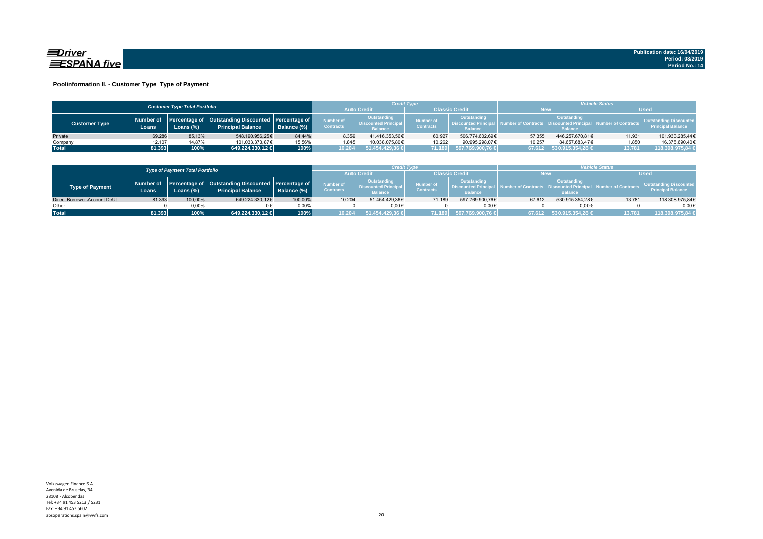

### **Poolinformation II. - Customer Type\_Type of Payment**

|                      |                     | <b>Customer Type Total Portfolio</b> |                                                                                    |             |                                                                                               | Credit Type     |                                      |                                                                    | <b>Vehicle Status</b> |                                                                          |                                |                                                           |  |
|----------------------|---------------------|--------------------------------------|------------------------------------------------------------------------------------|-------------|-----------------------------------------------------------------------------------------------|-----------------|--------------------------------------|--------------------------------------------------------------------|-----------------------|--------------------------------------------------------------------------|--------------------------------|-----------------------------------------------------------|--|
|                      |                     |                                      |                                                                                    |             | <b>Auto Credi</b>                                                                             |                 | Classic Credit                       |                                                                    | <b>New</b>            |                                                                          | <b>Used</b>                    |                                                           |  |
| <b>Customer Type</b> | Number of<br>Loans. | Loans (%)                            | Percentage of   Outstanding Discounted   Percentage of<br><b>Principal Balance</b> | Balance (%) | Outstanding<br>Number of<br><b>Discounted Principal</b><br><b>Contracts</b><br><b>Balance</b> |                 | <b>Number of</b><br><b>Contracts</b> | <b>Outstanding</b><br><b>Discounted Principa</b><br><b>Balance</b> |                       | Outstanding<br>umber of Contracts丨 Discounted Principa<br><b>Balance</b> | <b>All Number of Contracts</b> | <b>Outstanding Discounted</b><br><b>Principal Balance</b> |  |
| Private              | 69.286              | 85.13%                               | 548.190.956.25€                                                                    | 84.44%      | 8.359                                                                                         | 41.416.353.56€  | 60.927                               | 506.774.602.69€                                                    | 57.355                | 446.257.670.81€                                                          | 11.931                         | 101.933.285.44€                                           |  |
| Company              | 12.107              | 14.87%                               | 101.033.373.87€                                                                    | 15,56%      | 1.845                                                                                         | 10.038.075.80€  | 10.262                               | 90.995.298.07€                                                     | 10.257                | 84.657.683.47€                                                           | 1.850                          | 16.375.690.40€                                            |  |
| <b>Total</b>         | 81.393              | 100%                                 | 649.224.330.12 €                                                                   | 100%        | 10.204                                                                                        | 51.454.429,36 € | 71.189                               | 597.769.900,76 €                                                   | 67.612                | $530.915.354.28 \in \n$                                                  | 13.781                         | 118.308.975,84 €                                          |  |

|                              |        | <b>Type of Payment Total Portfolio</b> |                                                                                          |             |                                      | <b>Credit Type</b>                                          |                                      |                                                                 | <b>Vehicle Status</b> |                                                         |                              |                                                    |  |
|------------------------------|--------|----------------------------------------|------------------------------------------------------------------------------------------|-------------|--------------------------------------|-------------------------------------------------------------|--------------------------------------|-----------------------------------------------------------------|-----------------------|---------------------------------------------------------|------------------------------|----------------------------------------------------|--|
|                              |        |                                        |                                                                                          |             | <b>Auto Credi</b>                    |                                                             | Classic Credit                       |                                                                 | New                   |                                                         | <b>Used</b>                  |                                                    |  |
| <b>Type of Payment</b>       | Loans  | Loans (%)                              | Number of Percentage of Outstanding Discounted Percentage of<br><b>Principal Balance</b> | Balance (%) | <b>Number of</b><br><b>Contracts</b> | Outstanding<br><b>Discounted Principa</b><br><b>Balance</b> | <b>Number of</b><br><b>Contracts</b> | Outstanding<br><b>N. Discounted Principal</b><br><b>Balance</b> | A Number of Contracts | Outstanding<br>- Discounted Principal<br><b>Balance</b> | <b>I</b> Number of Contracts | Outstanding Discounted<br><b>Principal Balance</b> |  |
| Direct Borrower Account DeUt | 81.393 | 100,00%                                | 649.224.330,12€                                                                          | 100,00%     | 10.204                               | 51.454.429.36€                                              | 71.189                               | 597.769.900.76€                                                 | 67.612                | 530.915.354.28€                                         | 13.781                       | 118.308.975,84€                                    |  |
| Other                        |        | $0.00\%$                               |                                                                                          | 0.00%       |                                      | $0.00 \in$                                                  |                                      | 0.006                                                           |                       | $0.00 \in$                                              |                              | $0.00 \in$                                         |  |
| <b>Total</b>                 | 81.393 | 100%                                   | 649.224.330.12 €                                                                         | 100%        | 10.204                               | 51.454.429.36 <del>€</del>                                  | 71.189                               | 1597.769.900.76 €                                               | 67.612 <sub>0</sub>   | 530.915.354,28€                                         | 13.781                       | 118.308.975.84 €                                   |  |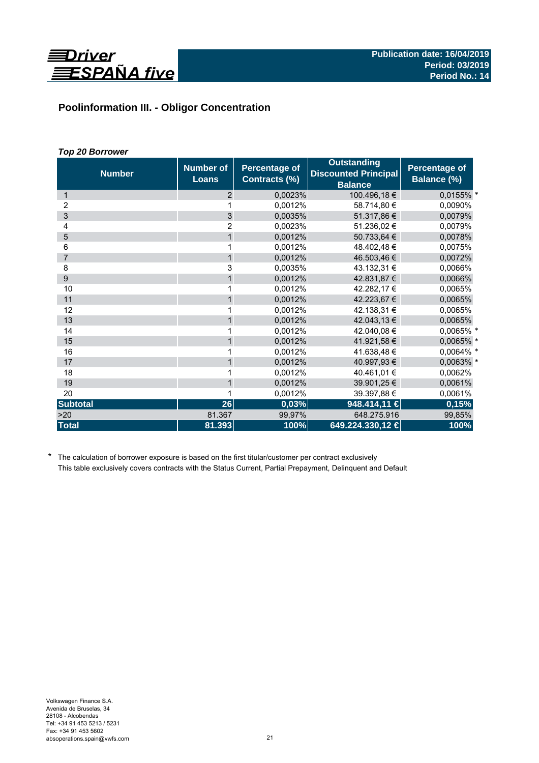

# **Poolinformation III. - Obligor Concentration**

# *Top 20 Borrower*

| <b>Number</b>   | <b>Number of</b><br><b>Loans</b> | <b>Percentage of</b><br>Contracts (%) | <b>Outstanding</b><br><b>Discounted Principal</b><br><b>Balance</b> | Percentage of<br>Balance (%) |
|-----------------|----------------------------------|---------------------------------------|---------------------------------------------------------------------|------------------------------|
| $\mathbf{1}$    | 2                                | 0,0023%                               | 100.496,18 €                                                        | 0,0155% *                    |
| 2               |                                  | 0,0012%                               | 58.714,80 €                                                         | 0,0090%                      |
| 3               | 3                                | 0.0035%                               | 51.317,86 €                                                         | 0,0079%                      |
| 4               | $\overline{2}$                   | 0,0023%                               | 51.236,02€                                                          | 0.0079%                      |
| 5               | $\mathbf{1}$                     | 0,0012%                               | 50.733,64 €                                                         | 0,0078%                      |
| 6               | 1                                | 0,0012%                               | 48.402,48 €                                                         | 0,0075%                      |
| $\overline{7}$  | $\mathbf{1}$                     | 0,0012%                               | 46.503,46 €                                                         | 0,0072%                      |
| 8               | 3                                | 0,0035%                               | 43.132,31 €                                                         | 0,0066%                      |
| 9               | $\mathbf{1}$                     | 0,0012%                               | 42.831,87 €                                                         | 0,0066%                      |
| 10              | 1                                | 0.0012%                               | 42.282,17 €                                                         | 0,0065%                      |
| 11              | $\mathbf{1}$                     | 0,0012%                               | 42.223,67 €                                                         | 0,0065%                      |
| 12              | 1                                | 0,0012%                               | 42.138,31 €                                                         | 0,0065%                      |
| 13              | $\mathbf{1}$                     | 0,0012%                               | 42.043,13 €                                                         | 0,0065%                      |
| 14              | 1                                | 0,0012%                               | 42.040,08 €                                                         | 0,0065% *                    |
| 15              | $\mathbf{1}$                     | 0,0012%                               | 41.921,58 €                                                         | 0,0065% *                    |
| 16              | 1                                | 0,0012%                               | 41.638,48€                                                          | 0,0064% *                    |
| 17              | $\mathbf{1}$                     | 0,0012%                               | 40.997,93 €                                                         | 0,0063% *                    |
| 18              | 1                                | 0.0012%                               | 40.461,01 €                                                         | 0,0062%                      |
| 19              | $\mathbf{1}$                     | 0,0012%                               | 39.901,25 €                                                         | 0,0061%                      |
| 20              |                                  | 0,0012%                               | 39.397,88 €                                                         | 0,0061%                      |
| <b>Subtotal</b> | 26                               | 0,03%                                 | 948.414,11 €                                                        | 0,15%                        |
| >20             | 81.367                           | 99,97%                                | 648.275.916                                                         | 99,85%                       |
| <b>Total</b>    | 81.393                           | 100%                                  | 649.224.330,12 €                                                    | 100%                         |

\* The calculation of borrower exposure is based on the first titular/customer per contract exclusively This table exclusively covers contracts with the Status Current, Partial Prepayment, Delinquent and Default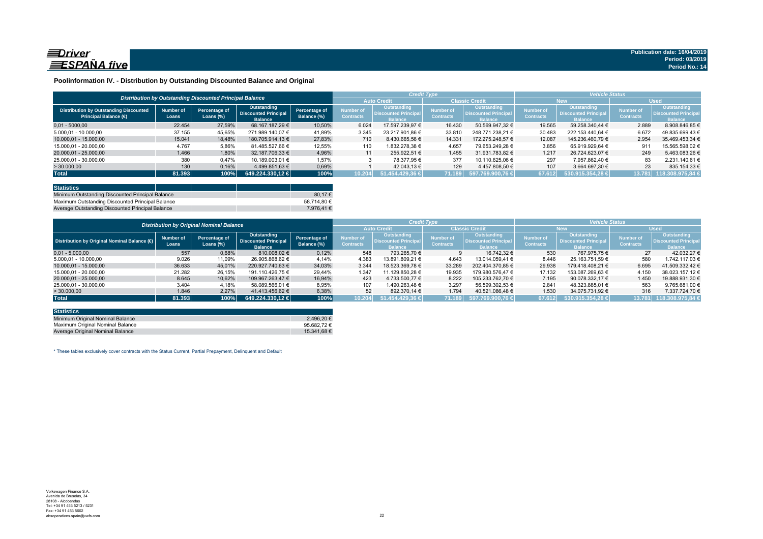

### **Poolinformation IV. - Distribution by Outstanding Discounted Balance and Original**

|                                                                              |                    |                                                          |                                                              |                              |                               | <b>Credit Type</b>                                           |                                      |                                                                     | <b>Vehicle Status</b>                |                                                             |                                      |                                                                    |  |
|------------------------------------------------------------------------------|--------------------|----------------------------------------------------------|--------------------------------------------------------------|------------------------------|-------------------------------|--------------------------------------------------------------|--------------------------------------|---------------------------------------------------------------------|--------------------------------------|-------------------------------------------------------------|--------------------------------------|--------------------------------------------------------------------|--|
|                                                                              |                    | Distribution by Outstanding Discounted Principal Balance |                                                              |                              |                               | <b>Auto Credit</b>                                           |                                      | <b>Classic Credit</b>                                               | <b>New</b>                           |                                                             | <b>Used</b>                          |                                                                    |  |
| <b>Distribution by Outstanding Discounted</b><br><b>Principal Balance (€</b> | Number of<br>Loans | Percentage of<br>Loans (%)                               | Outstanding<br><b>Discounted Principal</b><br><b>Balance</b> | Percentage of<br>Balance (%) | Number of<br><b>Contracts</b> | <b>Outstanding</b><br><b>Discounted Principal</b><br>Ralance | <b>Number</b> of<br><b>Contracts</b> | <b>Outstanding</b><br><b>Discounted Principal</b><br><b>Balance</b> | <b>Number of</b><br><b>Contracts</b> | Outstanding<br><b>Discounted Principa</b><br><b>Ralance</b> | <b>Number of</b><br><b>Contracts</b> | <b>Outstanding</b><br><b>Discounted Principa</b><br><b>Balance</b> |  |
| $0.01 - 5000.00$                                                             | 22.454             | 27,59%                                                   | 68.167.187.29 €                                              | 10.50%                       | 6.024                         | 17.597.239.97 €                                              | 16.430                               | 50.569.947.32 €                                                     | 19.565                               | 59.258.340.44 €                                             | 2.889                                | 8.908.846.85 €                                                     |  |
| 5.000.01 - 10.000.00                                                         | 37.155             | 45.65%                                                   | 271.989.140.07 €                                             | 41.89%                       | 3.345                         | 23.217.901.86 €                                              | 33,810                               | 248.771.238.21 €                                                    | 30.483                               | 222.153.440.64 €                                            | 6.672                                | 49.835.699.43 €                                                    |  |
| 10.000.01 - 15.000.00                                                        | 15.041             | 18,48%                                                   | 180.705.914.13 €                                             | 27.83%                       | 710                           | 8.430.665.56 €                                               | 14.331                               | 172.275.248.57 €                                                    | 12.087                               | 145.236.460.79 €                                            | 2.954                                | 35.469.453.34 €                                                    |  |
| 15.000.01 - 20.000.00                                                        | 4.767              | 5,86%                                                    | 81.485.527.66 €                                              | 12,55%                       | 110                           | 1.832.278.38 €                                               | 4.657                                | 79.653.249.28 €                                                     | 3.856                                | 65.919.929.64 €                                             | 911                                  | 15.565.598.02 €                                                    |  |
| 20.000.01 - 25.000.00                                                        | 1.466              | 1,80%                                                    | 32.187.706.33 €                                              | 4,96%                        | 11                            | 255.922.51 €                                                 | 1.455                                | 31.931.783.82 €                                                     | 1.217                                | 26.724.623.07 €                                             | 249                                  | 5.463.083.26 €                                                     |  |
| 25.000,01 - 30.000,00                                                        | 380                | 0,47%                                                    | 10.189.003.01 €                                              | 1.57%                        |                               | 78.377.95 €                                                  | 377                                  | 10.110.625.06 €                                                     | 297                                  | 7.957.862.40 €                                              | 83                                   | 2.231.140.61 €                                                     |  |
| > 30.000,00                                                                  | 130                | 0,16%                                                    | 4.499.851.63 €                                               | 0,69%                        |                               | 42.043.13 €                                                  | 129                                  | 4.457.808.50 €                                                      | 107                                  | 3.664.697.30 €                                              | 23                                   | 835.154.33 €                                                       |  |
| <b>Total</b>                                                                 | 81.393             | 100%                                                     | 649.224.330.12 €                                             | 100%                         | 10.204                        | $51.454.429.36 \in \mathbb{R}$                               | 71.189                               | 597.769.900.76 €                                                    | 67.612                               | 530.915.354.28 €                                            | 13.781                               | 118.308.975.84 €                                                   |  |

| <b>Statistics</b>                                |             |
|--------------------------------------------------|-------------|
| Minimum Outstanding Discounted Principal Balance | 80.17€      |
| Maximum Outstanding Discounted Principal Balance | 58.714.80 € |
| Average Outstanding Discounted Principal Balance | 7.976.41 €  |

|                                                        | <b>Distribution by Original Nominal Balance</b> |                               |                                                              |                              |                               |                                                                     | <b>Credit Type</b>            |                                                              | <b>Vehicle Status</b>         |                                                                     |                               |                                                             |
|--------------------------------------------------------|-------------------------------------------------|-------------------------------|--------------------------------------------------------------|------------------------------|-------------------------------|---------------------------------------------------------------------|-------------------------------|--------------------------------------------------------------|-------------------------------|---------------------------------------------------------------------|-------------------------------|-------------------------------------------------------------|
|                                                        |                                                 |                               |                                                              |                              |                               | <b>Auto Credit</b>                                                  | <b>Classic Credit</b>         |                                                              | <b>New</b>                    |                                                                     | <b>Used</b>                   |                                                             |
| Distribution by Original Nominal Balance ( $\bigoplus$ | <b>Number of</b><br>Loans                       | Percentage of<br>Loans $(\%)$ | Outstanding<br><b>Discounted Principal</b><br><b>Balance</b> | Percentage of<br>Balance (%) | Number of<br><b>Contracts</b> | <b>Outstanding</b><br><b>Discounted Principal</b><br><b>Balance</b> | Number of<br><b>Contracts</b> | Outstanding<br><b>Discounted Principal</b><br><b>Balance</b> | Number of<br><b>Contracts</b> | <b>Outstanding</b><br><b>Discounted Principal</b><br><b>Balance</b> | Number of<br><b>Contracts</b> | <b>Outstanding</b><br>Discounted Principa<br><b>Balance</b> |
| $0.01 - 5.000.00$                                      | 557                                             | 0,68%                         | 810.008.02 €                                                 | 0,12%                        | 548                           | 793.265.70 €                                                        |                               | 16.742.32 €                                                  | 530                           | 767.975.75 €                                                        | 27                            | 42.032.27 €                                                 |
| 5.000,01 - 10.000,00                                   | 9.026                                           | 11,09%                        | 26.905.868,62 €                                              | 4.14%                        | 4.383                         | 13.891.809.21 €                                                     | 4.643                         | 13.014.059.41 €                                              | 8.446                         | 25.163.751.59 €                                                     | 580                           | 1.742.117.03 €                                              |
| 10.000.01 - 15.000.00                                  | 36.633                                          | 45.01%                        | 220.927.740.63 €                                             | 34.03%                       | 3.344                         | 18.523.369.78 €                                                     | 33.289                        | 202.404.370.85 €                                             | 29.938                        | 179.418.408.21 €                                                    | 6.695                         | 41.509.332.42 €                                             |
| 15.000.01 - 20.000.00                                  | 21.282                                          | 26,15%                        | 191.110.426.75 €                                             | 29.44%                       | 1.347                         | 11.129.850.28 €                                                     | 19.935                        | 179.980.576.47 €                                             | 17.132                        | 153.087.269.63 €                                                    | 4.150                         | 38.023.157.12 €                                             |
| 20.000.01 - 25.000.00                                  | 8.645                                           | 10,62%                        | 109.967.263.47 €                                             | 16.94%                       | 423                           | 4.733.500.77 €                                                      | 8.222                         | 105.233.762.70 €                                             | 7.195                         | 90.078.332.17 €                                                     | 1.450                         | 19.888.931.30 €                                             |
| 25.000.01 - 30.000.00                                  | 3.404                                           | 4,18%                         | 58.089.566.01 €                                              | 8,95%                        | 107                           | 1.490.263.48 €                                                      | 3.297                         | 56.599.302.53 €                                              | 2.841                         | 48.323.885.01 €                                                     | 563                           | 9.765.681.00 €                                              |
| >30.000,00                                             | 1.846                                           | 2,27%                         | 41.413.456.62 €                                              | 6,38%                        | 52                            | 892.370.14 €                                                        | 1.794                         | 40.521.086.48 €                                              | 1.530                         | 34.075.731.92 €                                                     | 316                           | 7.337.724.70 €                                              |
| <b>Total</b>                                           | 81.393                                          | 100%                          | 649.224.330.12 €                                             | 100%                         | 10.204                        | 51.454.429.36 €                                                     | 71.189                        | 597.769.900.76 €                                             | 67.612                        | 530.915.354.28 €                                                    | 13.781                        | 118.308.975.84                                              |

| <b>Statistics</b>                |             |
|----------------------------------|-------------|
| Minimum Original Nominal Balance | 2.496.20 €  |
| Maximum Original Nominal Balance | 95.682.72€  |
| Average Original Nominal Balance | 15.341.68 € |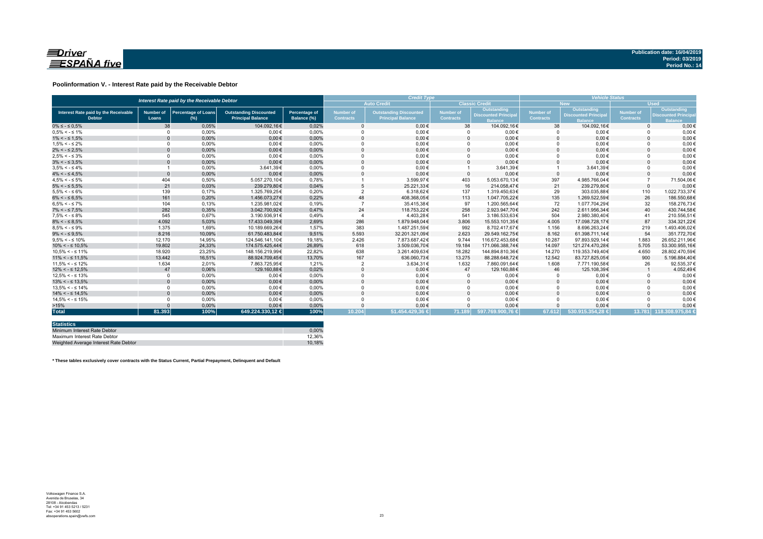

### **Poolinformation V. - Interest Rate paid by the Receivable Debtor**

|                                                       |                           | Interest Rate paid by the Receivable Debtor |                                                           |                              |                                      | <b>Credit Type</b>                                        | <b>Vehicle Status</b>         |                                                       |                               |                                                             |                               |                                                    |
|-------------------------------------------------------|---------------------------|---------------------------------------------|-----------------------------------------------------------|------------------------------|--------------------------------------|-----------------------------------------------------------|-------------------------------|-------------------------------------------------------|-------------------------------|-------------------------------------------------------------|-------------------------------|----------------------------------------------------|
|                                                       |                           |                                             |                                                           |                              |                                      | <b>Auto Credit</b>                                        |                               | <b>Classic Credit</b>                                 |                               | <b>New</b>                                                  | <b>Used</b>                   |                                                    |
| Interest Rate paid by the Receivable<br><b>Debtor</b> | <b>Number of</b><br>Loans | <b>Percentage of Loans</b><br>$(\%)$        | <b>Outstanding Discounted</b><br><b>Principal Balance</b> | Percentage of<br>Balance (%) | <b>Number of</b><br><b>Contracts</b> | <b>Outstanding Discounted</b><br><b>Principal Balance</b> | Number of<br><b>Contracts</b> | Outstanding<br><b>Discounted Principal</b><br>Balance | Number of<br><b>Contracts</b> | Outstanding<br><b>Discounted Principa</b><br><b>Ralance</b> | Number of<br><b>Contracts</b> | Outstanding<br>Discounted Princip<br><b>Raland</b> |
| $0\% \leq -\leq 0.5\%$                                | 38                        | 0.05%                                       | 104.092.16€                                               | 0,02%                        |                                      | $0.00 \in$                                                | 38                            | 104.092.16€                                           | 38                            | 104.092.16€                                                 | $\Omega$                      | $0.00 \in$                                         |
| $0.5\% < -5.1\%$                                      | $\Omega$                  | 0.00%                                       | $0.00 \in$                                                | 0.00%                        |                                      | $0.00 \in$                                                |                               | $0.00 \in$                                            |                               | $0.00 \in$                                                  |                               | $0.00 \in$                                         |
| $1\% < - \leq 1.5\%$                                  |                           | 0,00%                                       | $0.00 \in$                                                | 0,00%                        |                                      | $0.00 \in$                                                | $\Omega$                      | $0.00 \in$                                            | $\Omega$                      | $0.00 \in$                                                  |                               | $0.00 \in$                                         |
| $1.5\% < -5.2\%$                                      | $\Omega$                  | 0,00%                                       | $0,00 \in$                                                | 0,00%                        |                                      | $0,00 \in$                                                |                               | $0,00 \in$                                            |                               | $0,00 \in$                                                  |                               | $0,00 \in$                                         |
| $2\% < - \leq 2.5\%$                                  |                           | 0,00%                                       | $0.00 \in$                                                | 0,00%                        |                                      | $0.00 \in$                                                |                               | $0,00 \in$                                            | $\Omega$                      | $0,00 \in$                                                  |                               | $0,00 \in$                                         |
| $2.5\% < -5.3\%$                                      | $\Omega$                  | 0,00%                                       | $0.00 \in$                                                | 0,00%                        |                                      | $0,00 \in$                                                |                               | $0,00 \in$                                            |                               | $0,00 \in$                                                  |                               | $0,00 \in$                                         |
| $3\% < - \leq 3.5\%$                                  |                           | 0,00%                                       | $0.00 \in$                                                | 0,00%                        |                                      | $0.00 \in$                                                |                               | $0,00 \in$                                            | $\Omega$                      | $0,00 \in$                                                  |                               | $0.00 \in$                                         |
| $3.5\% < -5.4\%$                                      |                           | 0,00%                                       | 3.641.39€                                                 | 0,00%                        |                                      | $0,00 \in$                                                |                               | 3.641,39€                                             |                               | 3.641,39€                                                   |                               | $0,00 \in$                                         |
| $4\% < - \leq 4.5\%$                                  | $\Omega$                  | 0,00%                                       | $0.00 \in$                                                | 0,00%                        |                                      | $0.00 \in$                                                | $\Omega$                      | $0.00 \in$                                            | $\Omega$                      | $0.00 \in$                                                  |                               | $0,00 \in$                                         |
| $4.5\% < -5\%$                                        | 404                       | 0,50%                                       | 5.057.270.10€                                             | 0.78%                        |                                      | 3.599.97€                                                 | 403                           | 5.053.670.13€                                         | 397                           | 4.985.766.04€                                               |                               | 71.504,06€                                         |
| $5\% < - \leq 5.5\%$                                  | 21                        | 0,03%                                       | 239.279.80€                                               | 0.04%                        |                                      | 25.221.33€                                                | 16                            | 214.058.47€                                           | 21                            | 239.279.80€                                                 | $\Omega$                      | $0.00 \in$                                         |
| $5.5\% < -5.6\%$                                      | 139                       | 0.17%                                       | 1.325.769.25€                                             | 0.20%                        |                                      | 6.318.62€                                                 | 137                           | 1.319.450.63€                                         | 29                            | 303.035.88€                                                 | 110                           | 1.022.733.37€                                      |
| $6\% < - \leq 6.5\%$                                  | 161                       | 0,20%                                       | 1.456.073.27€                                             | 0,22%                        | 48                                   | 408.368,05€                                               | 113                           | 1.047.705,22€                                         | 135                           | 1.269.522.59€                                               | 26                            | 186.550,68€                                        |
| $6.5\% < -5.7\%$                                      | 104                       | 0,13%                                       | 1.235.981.02€                                             | 0.19%                        |                                      | 35.415.38€                                                | 97                            | 1.200.565.64€                                         | 72                            | 1.077.704.29€                                               | 32                            | 158.276.73€                                        |
| $7\% < -\leq 7.5\%$                                   | 282                       | 0,35%                                       | 3.042.700.92€                                             | 0,47%                        | 24                                   | 118.753,22€                                               | 258                           | 2.923.947,70€                                         | 242                           | 2.611.956,34€                                               | 40                            | 430.744,58€                                        |
| $7.5\% < -5.8\%$                                      | 545                       | 0.67%                                       | 3.190.936.91€                                             | 0,49%                        |                                      | 4.403.28€                                                 | 541                           | 3.186.533.63€                                         | 504                           | 2.980.380.40€                                               | 41                            | 210.556.51€                                        |
| $8\% < - \leq 8.5\%$                                  | 4.092                     | 5,03%                                       | 17.433.049.39€                                            | 2,69%                        | 286                                  | 1.879.948.04€                                             | 3.806                         | 15.553.101.35€                                        | 4.005                         | 17.098.728,17€                                              | 87                            | 334.321.22€                                        |
| $8.5\% < -5.9\%$                                      | 1.375                     | 1,69%                                       | 10.189.669.26€                                            | 1.57%                        | 383                                  | 1.487.251.59€                                             | 992                           | 8.702.417.67€                                         | 1.156                         | 8.696.263.24€                                               | 219                           | 1.493.406.02€                                      |
| $9\% < - \leq 9.5\%$                                  | 8.216                     | 10.09%                                      | 61.750.483.84€                                            | 9.51%                        | 5.593                                | 32.201.321.09€                                            | 2.623                         | 29.549.162.75€                                        | 8.162                         | 61.398.711.14€                                              | 54                            | 351.772.70€                                        |
| $9.5\% < -5.10\%$                                     | 12.170                    | 14.95%                                      | 124.546.141.10€                                           | 19.18%                       | 2.426                                | 7.873.687.42€                                             | 9.744                         | 116.672.453.68€                                       | 10.287                        | 97.893.929.14€                                              | 1.883                         | 26.652.211.96€                                     |
| $10\% < -\leq 10.5\%$                                 | 19,802                    | 24.33%                                      | 174.575.425.44€                                           | 26.89%                       | 618                                  | 3.509.036.70€                                             | 19.184                        | 171.066.388.74€                                       | 14.097                        | 121.274.470.28€                                             | 5.705                         | 53.300.955.16€                                     |
| $10.5\% < -5.11\%$                                    | 18,920                    | 23.25%                                      | 148.156.219.99€                                           | 22.82%                       | 638                                  | 3.261.409.63€                                             | 18.282                        | 144.894.810.36€                                       | 14.270                        | 119.353.749.40€                                             | 4.650                         | 28.802.470.59€                                     |
| $11\% < - \leq 11.5\%$                                | 13,442                    | 16,51%                                      | 88.924.709,45€                                            | 13,70%                       | 167                                  | 636.060,73€                                               | 13.275                        | 88.288.648,72€                                        | 12.542                        | 83.727.825,05€                                              | 900                           | 5.196.884,40€                                      |
| $11.5\% < -5.12\%$                                    | 1.634                     | 2,01%                                       | 7.863.725.95€                                             | 1.21%                        |                                      | 3.634,31€                                                 | 1.632                         | 7.860.091.64€                                         | 1.608                         | 7.771.190,58€                                               | 26                            | 92.535,37€                                         |
| $12\% < -512.5\%$                                     | 47                        | 0,06%                                       | 129.160,88€                                               | 0,02%                        |                                      | $0,00 \in$                                                | 47                            | 129.160,88€                                           | 46                            | 125.108,39€                                                 |                               | 4.052,49€                                          |
| $12.5\% < -5.13\%$                                    | $\Omega$                  | 0.00%                                       | $0,00 \in$                                                | 0.00%                        |                                      | $0,00 \in$                                                |                               | $0,00 \in$                                            | $\Omega$                      | $0,00 \in$                                                  |                               | $0,00 \in$                                         |
| $13\% < -513.5\%$                                     | $\Omega$                  | 0,00%                                       | $0.00 \in$                                                | 0,00%                        |                                      | $0.00 \in$                                                |                               | $0,00 \in$                                            | $\Omega$                      | $0.00 \in$                                                  |                               | $0,00 \in$                                         |
| $13.5\% < -5.14\%$                                    | $\Omega$                  | 0.00%                                       | $0.00 \in$                                                | 0.00%                        |                                      | $0,00 \in$                                                |                               | $0,00 \in$                                            |                               | $0.00 \in$                                                  |                               | $0,00 \in$                                         |
| $14\% < -5.14.5\%$                                    |                           | 0,00%                                       | $0.00 \in$                                                | 0.00%                        |                                      | $0.00 \in$                                                |                               | $0.00 \in$                                            | $\Omega$                      | $0.00 \in$                                                  |                               | $0,00 \in$                                         |
| $14.5\% < -5.15\%$                                    | $\Omega$                  | 0.00%                                       | $0.00 \in$                                                | 0.00%                        |                                      | $0.00 \in$                                                |                               | $0.00 \in$                                            |                               | $0.00 \in$                                                  |                               | $0.00 \in$                                         |
| >15%                                                  |                           | 0,00%                                       | $0.00 \in$                                                | 0.00%                        |                                      | $0.00 \in$                                                |                               | $0,00 \in$                                            | $\Omega$                      | $0.00 \in$                                                  |                               | $0,00 \in$                                         |
| <b>Total</b>                                          | 81.393                    | 100%                                        | 649.224.330,12 €                                          | 100%                         | 10.204                               | 51.454.429.36 €                                           | 71.189                        | 597.769.900.76 €                                      | 67.612                        | 530.915.354.28 €                                            |                               | 13.781 118.308.975.84 €                            |

| <b>Statistics</b>                     |        |
|---------------------------------------|--------|
| Minimum Interest Rate Debtor          | 0.00%  |
| Maximum Interest Rate Debtor          | 12.36% |
| Weighted Average Interest Rate Debtor | 10.18% |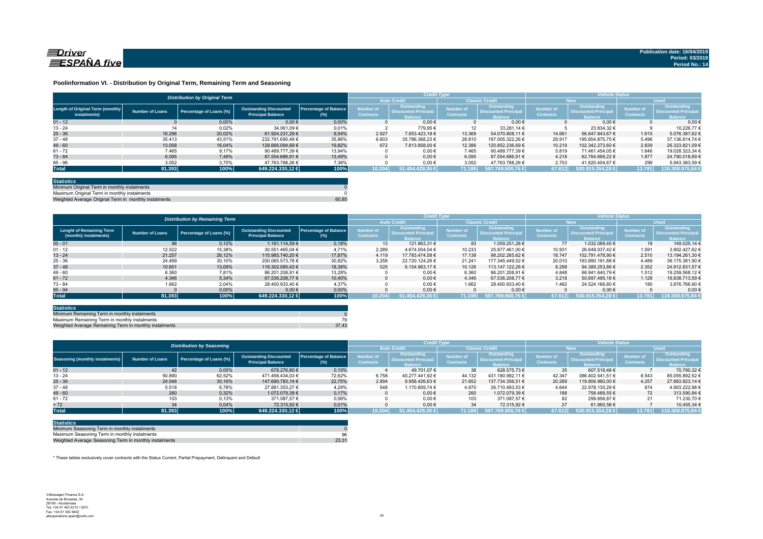

### **Poolinformation VI. - Distribution by Original Term, Remaining Term and Seasoning**

| <b>Auto Credit</b><br><b>Classic Credit</b><br>LUsed <sup>1</sup><br><b>New</b><br>Outstanding<br>Outstanding<br>Outstanding<br><b>Outstanding</b><br><b>Number of</b><br>Number of<br><b>Number of</b><br><b>Percentage of Balance</b><br><b>Number of</b><br><b>Outstanding Discounted</b><br><b>Discounted Principal</b><br><b>Discounted Principal</b><br><b>Discounted Principa</b><br>Number of Loans<br>Percentage of Loans (%)<br><b>Discounted Principa</b><br><b>Contracts</b><br><b>Contracts</b><br><b>Contracts</b><br><b>Contracts</b><br><b>Principal Balance</b><br>instalments)<br>(%)<br><b>Balance</b><br><b>Balance</b><br><b>Balance</b><br>alance<br>0.00%<br>$0,00 \in$<br>0.00%<br>$0.00 \in$<br>0.006<br>$0.00 \in$<br>$0.00 \in$<br>$01 - 12$<br>0,02%<br>0,01%<br>779,95€<br>10.226.77<br>$13 - 24$<br>14<br>34.061.09 €<br>12<br>33.281.14 €<br>23.834.32 €<br>16.296<br>20.02%<br>9.54%<br>2.927<br>13.369<br>1.615<br>7.853.423.18 €<br>14.681<br>56.847.843.67 €<br>5.076.387.62 €<br>61.924.231.29 €<br>54.070.808.11 €<br>35,86%<br>6.603<br>5.496<br>35.413<br>29.917<br>$37 - 48$<br>43,51%<br>232.791.690,49 €<br>28,810<br>195.654.875.75 €<br>35.786.368.23 €<br>197.005.322.26 €<br>37.136.814.74 6<br>13.058<br>19.82%<br>2.839<br>16.04%<br>672<br>12.386<br>10.219<br>128.666.094.69 €<br>7.813.858.00 €<br>120.852.236.69 €<br>102.342.273.60 €<br>$61 - 72$<br>7.465<br>13,94%<br>$0.00 \in$<br>9,17%<br>7.465<br>5.819<br>90.489.777,39 €<br>90.489.777,39 €<br>1.646<br>19.028.323,34 €<br>71.461.454.05 €<br>6.095<br>$0.00 \in$<br>1.877<br>7.49%<br>13.49%<br>6.095<br>87.554.686.91 €<br>4.218<br>62.764.668.22 €<br>24.790.018.69 €<br>87.554.686.91 €<br>$85 - 96$<br>3.052<br>$0.00 \in$<br>7,36%<br>3.052<br>2.753<br>299<br>3.75%<br>5.943.383,59 €<br>47.763.788,26 €<br>47.763.788.26 €<br>41.820.404,67 €<br>$\sim 100\%$<br>100%<br>81.393<br>51.454.429.36 €<br>10.204<br>71.189<br>597.769.900.76 €<br>530.915.354.28 €<br>118.308.975,84<br>649.224.330,12 €<br>67.612<br>13.781 |                                  | <b>Distribution by Original Term</b> |  | <b>Credit Type</b> |  | <b>Vehicle Status</b> |  |  |                 |
|------------------------------------------------------------------------------------------------------------------------------------------------------------------------------------------------------------------------------------------------------------------------------------------------------------------------------------------------------------------------------------------------------------------------------------------------------------------------------------------------------------------------------------------------------------------------------------------------------------------------------------------------------------------------------------------------------------------------------------------------------------------------------------------------------------------------------------------------------------------------------------------------------------------------------------------------------------------------------------------------------------------------------------------------------------------------------------------------------------------------------------------------------------------------------------------------------------------------------------------------------------------------------------------------------------------------------------------------------------------------------------------------------------------------------------------------------------------------------------------------------------------------------------------------------------------------------------------------------------------------------------------------------------------------------------------------------------------------------------------------------------------------------------------------------------------------------------------------------------------------------------------------------------------------------------------------------------------------------------------------------------------------------------------------|----------------------------------|--------------------------------------|--|--------------------|--|-----------------------|--|--|-----------------|
|                                                                                                                                                                                                                                                                                                                                                                                                                                                                                                                                                                                                                                                                                                                                                                                                                                                                                                                                                                                                                                                                                                                                                                                                                                                                                                                                                                                                                                                                                                                                                                                                                                                                                                                                                                                                                                                                                                                                                                                                                                                |                                  |                                      |  |                    |  |                       |  |  |                 |
|                                                                                                                                                                                                                                                                                                                                                                                                                                                                                                                                                                                                                                                                                                                                                                                                                                                                                                                                                                                                                                                                                                                                                                                                                                                                                                                                                                                                                                                                                                                                                                                                                                                                                                                                                                                                                                                                                                                                                                                                                                                | Length of Original Term (monthly |                                      |  |                    |  |                       |  |  |                 |
|                                                                                                                                                                                                                                                                                                                                                                                                                                                                                                                                                                                                                                                                                                                                                                                                                                                                                                                                                                                                                                                                                                                                                                                                                                                                                                                                                                                                                                                                                                                                                                                                                                                                                                                                                                                                                                                                                                                                                                                                                                                |                                  |                                      |  |                    |  |                       |  |  |                 |
|                                                                                                                                                                                                                                                                                                                                                                                                                                                                                                                                                                                                                                                                                                                                                                                                                                                                                                                                                                                                                                                                                                                                                                                                                                                                                                                                                                                                                                                                                                                                                                                                                                                                                                                                                                                                                                                                                                                                                                                                                                                |                                  |                                      |  |                    |  |                       |  |  |                 |
|                                                                                                                                                                                                                                                                                                                                                                                                                                                                                                                                                                                                                                                                                                                                                                                                                                                                                                                                                                                                                                                                                                                                                                                                                                                                                                                                                                                                                                                                                                                                                                                                                                                                                                                                                                                                                                                                                                                                                                                                                                                | $25 - 36$                        |                                      |  |                    |  |                       |  |  |                 |
|                                                                                                                                                                                                                                                                                                                                                                                                                                                                                                                                                                                                                                                                                                                                                                                                                                                                                                                                                                                                                                                                                                                                                                                                                                                                                                                                                                                                                                                                                                                                                                                                                                                                                                                                                                                                                                                                                                                                                                                                                                                |                                  |                                      |  |                    |  |                       |  |  |                 |
|                                                                                                                                                                                                                                                                                                                                                                                                                                                                                                                                                                                                                                                                                                                                                                                                                                                                                                                                                                                                                                                                                                                                                                                                                                                                                                                                                                                                                                                                                                                                                                                                                                                                                                                                                                                                                                                                                                                                                                                                                                                | $49 - 60$                        |                                      |  |                    |  |                       |  |  | 26.323.821.09 € |
|                                                                                                                                                                                                                                                                                                                                                                                                                                                                                                                                                                                                                                                                                                                                                                                                                                                                                                                                                                                                                                                                                                                                                                                                                                                                                                                                                                                                                                                                                                                                                                                                                                                                                                                                                                                                                                                                                                                                                                                                                                                |                                  |                                      |  |                    |  |                       |  |  |                 |
|                                                                                                                                                                                                                                                                                                                                                                                                                                                                                                                                                                                                                                                                                                                                                                                                                                                                                                                                                                                                                                                                                                                                                                                                                                                                                                                                                                                                                                                                                                                                                                                                                                                                                                                                                                                                                                                                                                                                                                                                                                                | $73 - 84$                        |                                      |  |                    |  |                       |  |  |                 |
|                                                                                                                                                                                                                                                                                                                                                                                                                                                                                                                                                                                                                                                                                                                                                                                                                                                                                                                                                                                                                                                                                                                                                                                                                                                                                                                                                                                                                                                                                                                                                                                                                                                                                                                                                                                                                                                                                                                                                                                                                                                |                                  |                                      |  |                    |  |                       |  |  |                 |
|                                                                                                                                                                                                                                                                                                                                                                                                                                                                                                                                                                                                                                                                                                                                                                                                                                                                                                                                                                                                                                                                                                                                                                                                                                                                                                                                                                                                                                                                                                                                                                                                                                                                                                                                                                                                                                                                                                                                                                                                                                                | <b>Total</b>                     |                                      |  |                    |  |                       |  |  |                 |

| <b>Statistics</b>                                     |       |
|-------------------------------------------------------|-------|
| Minimum Original Term in monthly instalments          |       |
| Maximum Original Term in monthly instalments          |       |
| Weighted Average Original Term in monthly instalments | 60.85 |

Weighted Average Original Term in monthly install

|                                                          |                        | <b>Distribution by Remaining Term</b> |                                                           |                                     |                                      | <b>Credit Type</b>                                           |                                      |                                                              | <b>Vehicle Status</b>         |                                                                    |                               |                                                                    |  |
|----------------------------------------------------------|------------------------|---------------------------------------|-----------------------------------------------------------|-------------------------------------|--------------------------------------|--------------------------------------------------------------|--------------------------------------|--------------------------------------------------------------|-------------------------------|--------------------------------------------------------------------|-------------------------------|--------------------------------------------------------------------|--|
|                                                          |                        |                                       |                                                           |                                     |                                      | <b>Auto Credit</b>                                           | <b>Classic Credit</b>                |                                                              | <b>New</b>                    |                                                                    | <b>Used</b>                   |                                                                    |  |
| <b>Lenght of Remaining Term</b><br>(monthly instalments) | <b>Number of Loans</b> | Percentage of Loans (%)               | <b>Outstanding Discounted</b><br><b>Principal Balance</b> | <b>Percentage of Balance</b><br>(%) | <b>Jumber</b> of<br><b>Contracts</b> | Outstanding<br><b>Discounted Principal</b><br><b>Balance</b> | <b>lumber</b> of<br><b>Contracts</b> | Outstanding<br><b>Discounted Principal</b><br><b>Balance</b> | Number of<br><b>Contracts</b> | <b>Outstanding</b><br><b>Discounted Principa</b><br><b>Balance</b> | Number of<br><b>Contracts</b> | <b>Outstanding</b><br><b>Discounted Principa</b><br><b>Balance</b> |  |
| $00 - 01$                                                | 96                     | 0,12%                                 | 1.181.114.59 €                                            | 0,18%                               | 13                                   | 121.863.31 €                                                 | 83                                   | 1.059.251.28 €                                               | 77                            | 1.032.089.45 €                                                     | 19                            | 149.025.14 €                                                       |  |
| $01 - 12$                                                | 12.522                 | 15,38%                                | 30.551.465.04 €                                           | 4.71%                               | 2.289                                | 4.674.004.04 $\in$                                           | 10.233                               | 25.877.461.00 €                                              | 10.931                        | 26.649.037.42 €                                                    | 1.591                         | 3.902.427.62 €                                                     |  |
| $13 - 24$                                                | 21.257                 | 26.12%                                | 115.985.740.20 €                                          | 17.87%                              | 4.119                                | 17.783.474.58 €                                              | 17.138                               | 98.202.265.62 €                                              | 18.747                        | 102.791.478.90 €                                                   | 2.510                         | 13.194.261.30 €                                                    |  |
| $25 - 36$                                                | 24.499                 | 30,10%                                | 200.065.573.78 €                                          | 30,82%                              | 3.258                                | 22.720.124.26 €                                              | 21.241                               | 177.345.449.52 €                                             | 20.010                        | 163.890.191.88 €                                                   | 4.489                         | 36.175.381.90 6                                                    |  |
| $37 - 48$                                                | 10.651                 | 13.09%                                | 119.302.085.43 €                                          | 18,38%                              | 525                                  | 6.154.963.17 €                                               | 10.126                               | 113.147.122.26 €                                             | 8.299                         | 94.389.253.86 €                                                    | 2.352                         | 24.912.831.57 6                                                    |  |
| $49 - 60$                                                | 6.360                  | 7,81%                                 | 86.201.208.91 €                                           | 13,28%                              |                                      | $0.00 \in$                                                   | 6.360                                | 86.201.208.91 €                                              | 4.848                         | 66.941.640.79 €                                                    | 1.512                         | 19.259.568.12 €                                                    |  |
| $61 - 72$                                                | 4.346                  | 5,34%                                 | 67.536.208.77 €                                           | 10.40%                              |                                      | $0.00 \in$                                                   | 4.346                                | 67.536.208.77 €                                              | 3.218                         | 50.697.495.18 €                                                    | 1.128                         | 16.838.713.59 6                                                    |  |
| $73 - 84$                                                | 1.662                  | 2.04%                                 | 28.400.933.40 €                                           | 4.37%                               |                                      | $0.00 \in$                                                   | 1.662                                | 28.400.933.40 €                                              | 1.482                         | 24.524.166.80 €                                                    | 180                           | 3.876.766,60 €                                                     |  |
| $85 - 94$                                                |                        | 0,00%                                 | $0,00 \in$                                                | 0,00%                               |                                      | $0.00 \in$                                                   |                                      | $0,00 \in$                                                   |                               | $0.00 \in$                                                         |                               | 0,00                                                               |  |
| <b>Total</b>                                             | 81.393                 | 100%                                  | 649.224.330.12 €                                          | 100%                                | 10.20                                | 51.454.429.36 €                                              | 71.189                               | 597.769.900.76 €                                             | 67.612                        | $\frac{1}{2}$ 530.915.354,28 €                                     | 13.781                        | 118.308.975,84                                                     |  |

| <b>Statistics</b>                                      |       |
|--------------------------------------------------------|-------|
| Minimum Remaining Term in monthly instalments          |       |
| Maximum Remaining Term in monthly instalments          | 79    |
| Weighted Average Remaining Term in monthly instalments | 37.43 |

|                                        |                        | <b>Distribution by Seasoning</b> |                                                           |                                        |                                      | <b>Credit Type</b>                                           |                               |                                                             | <b>Vehicle Status</b>                |                                                       |                                      |                                                       |
|----------------------------------------|------------------------|----------------------------------|-----------------------------------------------------------|----------------------------------------|--------------------------------------|--------------------------------------------------------------|-------------------------------|-------------------------------------------------------------|--------------------------------------|-------------------------------------------------------|--------------------------------------|-------------------------------------------------------|
|                                        |                        |                                  |                                                           |                                        |                                      | <b>Auto Credit</b>                                           |                               | <b>Classic Credit</b>                                       | <b>New</b>                           |                                                       | <b>Used</b>                          |                                                       |
| <b>Seasoning (monthly instalments)</b> | <b>Number of Loans</b> | Percentage of Loans (%)          | <b>Outstanding Discounted</b><br><b>Principal Balance</b> | <b>Percentage of Balance</b><br>$(\%)$ | <b>Number of</b><br><b>Contracts</b> | Outstanding<br><b>Discounted Principal</b><br><b>Balance</b> | Number of<br><b>Contracts</b> | Outstanding<br><b>Discounted Principa</b><br><b>Balance</b> | <b>Number of</b><br><b>Contracts</b> | Outstanding<br>Discounted Principal<br><b>Balance</b> | <b>Number of</b><br><b>Contracts</b> | Outstanding<br>Discounted Principal<br><b>Balance</b> |
| $01 - 12$                              | 42                     | 0.05%                            | 678.276.80 €                                              | 0.10%                                  |                                      | 49.701.07 €                                                  | 38                            | 628.575.73 €                                                | 35                                   | 607.516.48 €                                          |                                      | 70.760.32 €                                           |
| $13 - 24$                              | 50.890                 | 62,52%                           | 471.458.434.03 €                                          | 72,62%                                 | 6.758                                | 40.277.441.92 €                                              | 44.132                        | 431.180.992.11 €                                            | 42.347                               | 386.402.541.51 €                                      | 8.543                                | 85.055.892,52 €                                       |
| $25 - 36$                              | 24.546                 | 30,16%                           | 147.690.783.14 €                                          | 22,75%                                 | 2.894                                | 9.956.426.63 €                                               | 21.652                        | 137.734.356.51 €                                            | 20.289                               | 119,806,960,00 €                                      | 4.257                                | 27.883.823.14 €                                       |
| $37 - 48$                              | 5.518                  | 6,78%                            | 27.881.353.27 €                                           | 4.29%                                  | 548                                  | 1.170.859.74 €                                               | 4.970                         | 26.710.493.53 €                                             | 4.644                                | 22.978.130.29 €                                       | 874                                  | 4.903.222.98 €                                        |
| $49 - 60$                              | 260                    | 0.32%                            | 1.072.079.39 €                                            | 0.17%                                  |                                      | $0.00 \in$                                                   | 260                           | 1.072.079.39 €                                              | 188                                  | 758.488.55 €                                          | 72                                   | 313.590.84 €                                          |
| $61 - 72$                              | 103                    | 0,13%                            | 371.087.57 €                                              | 0,06%                                  |                                      | $0.00 \in$                                                   | 103                           | 371.087.57 €                                                | 82                                   | 299.856.87 €                                          | 21                                   | 71.230.70 €                                           |
| > 72                                   | 34                     | 0,04%                            | 72.315.92 €                                               | 0,01%                                  |                                      | $0.00 \in$                                                   | 34                            | 72.315.92 €                                                 | 27                                   | 61.860.58 €                                           |                                      | 10.455.34 €                                           |
| <b>Total</b>                           | 81.393                 | 100%                             | 649.224.330.12 €                                          | 100%                                   | 10.204                               | 51.454.429.36 €                                              | 71.189                        | 597.769.900.76 €                                            | 67.612                               | 1530.915.354.28 €                                     | 13.781                               | 118.308.975.84 €                                      |

| <b>Statistics</b>                                      |       |
|--------------------------------------------------------|-------|
| Minimum Seasoning Term in monthly instalments          |       |
| Maximum Seasoning Term in monthly instalments          | 96    |
| Weighted Average Seasoning Term in monthly instalments | 23.31 |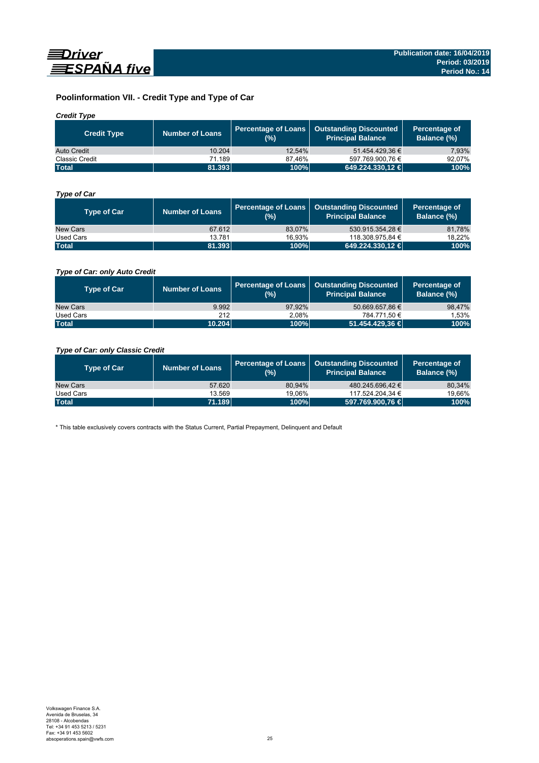

# **Poolinformation VII. - Credit Type and Type of Car**

# *Credit Type*

| <b>Credit Type</b>    | <b>Number of Loans</b> | $(%)^{1}$ | Percentage of Loans   Outstanding Discounted<br>l Principal Balance <sup>l</sup> | Percentage of<br>Balance (%) |
|-----------------------|------------------------|-----------|----------------------------------------------------------------------------------|------------------------------|
| Auto Credit           | 10.204                 | 12.54%    | 51.454.429.36 €                                                                  | 7.93%                        |
| <b>Classic Credit</b> | 71.189                 | 87.46%    | 597.769.900.76 €                                                                 | 92.07%                       |
| <b>Total</b>          | 81.393                 | 100%      | 649.224.330,12 €                                                                 | 100%                         |

# *Type of Car*

| <b>Type of Car</b> | <b>Number of Loans</b> | (%)    | Percentage of Loans   Outstanding Discounted<br><b>Principal Balance</b> | Percentage of<br>Balance (%) |
|--------------------|------------------------|--------|--------------------------------------------------------------------------|------------------------------|
| New Cars           | 67.612                 | 83.07% | 530.915.354.28 €                                                         | 81,78%                       |
| Used Cars          | 13.781                 | 16.93% | 118.308.975,84 €                                                         | 18,22%                       |
| <b>Total</b>       | 81.393                 | 100%   | 649.224.330,12 €                                                         | 100%                         |

# *Type of Car: only Auto Credit*

| <b>Type of Car</b> | <b>Number of Loans</b> | (%)    | Percentage of Loans   Outstanding Discounted<br><b>Principal Balance</b> | Percentage of<br>Balance (%) |
|--------------------|------------------------|--------|--------------------------------------------------------------------------|------------------------------|
| New Cars           | 9.992                  | 97.92% | 50.669.657.86 €                                                          | 98,47%                       |
| Used Cars          | 212                    | 2.08%  | 784.771.50 €                                                             | 1,53%                        |
| <b>Total</b>       | 10.204                 | 100%   | 51.454.429,36 €                                                          | 100%                         |

# *Type of Car: only Classic Credit*

| <b>Type of Car</b> | <b>Number of Loans</b> | (%)    | Percentage of Loans   Outstanding Discounted<br><b>Principal Balance</b> | Percentage of<br>Balance (%) |
|--------------------|------------------------|--------|--------------------------------------------------------------------------|------------------------------|
| New Cars           | 57.620                 | 80.94% | 480.245.696.42 €                                                         | 80,34%                       |
| Used Cars          | 13.569                 | 19.06% | 117.524.204.34 €                                                         | 19,66%                       |
| <b>Total</b>       | 71.189                 | 100%   | 597.769.900,76 €                                                         | 100%                         |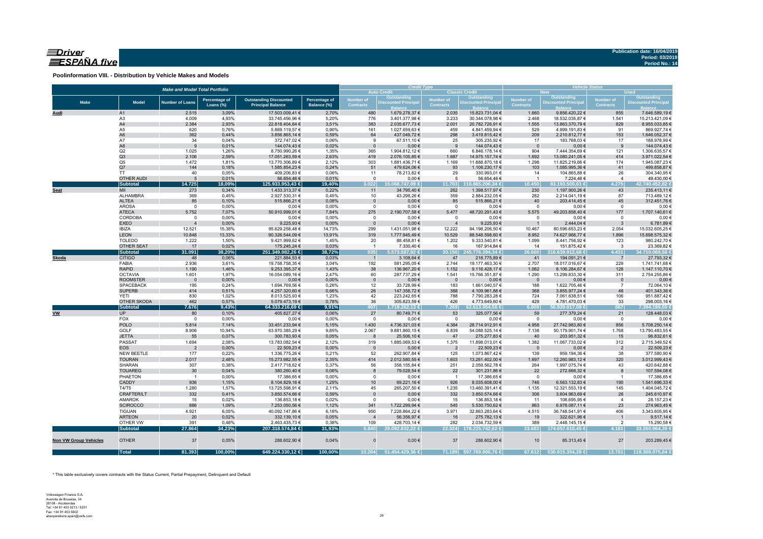# $\equiv$ Driver ESPAÑA five

**Poolinformation VIII. - Distribution by Vehicle Makes and Models**

| <b>Auto Credit</b><br><b>Classic Credit</b><br><b>New</b><br><b>Used</b><br>Outstanding<br>Outstanding<br><b>Outstanding</b><br>Number of<br><b>Number of</b><br><b>Percentage of</b><br><b>Outstanding Discounted</b><br>Percentage of<br><b>Number of</b><br><b>Number of</b><br><b>Make</b><br><b>Model</b><br><b>Discounted Principa</b><br><b>Discounted Principa</b><br><b>Discounted Principa</b><br><b>Number of Loans</b><br><b>Contracts</b><br><b>Contracts</b><br>Loans (%)<br><b>Principal Balance</b><br><b>Contracts</b><br><b>Contracts</b><br>Balance (%)<br>2.515<br>3,09%<br>17.503.009,41 €<br>2,70%<br>480<br>1.679.278,37 €<br>2.035<br>15.823.731,04 €<br>1.660<br>9.856.420,22 €<br>855<br>A1<br>Audi<br>33.745.456,96 €<br>A <sub>3</sub><br>4.009<br>4,93%<br>5,20%<br>776<br>3.401.377,98 €<br>3.233<br>30.344.078,98 €<br>2.468<br>18.532.035,87 €<br>1.541<br>A4<br>2.384<br>2,93%<br>22.818.404,64 €<br>3,51%<br>383<br>2.001<br>1.555<br>829<br>2.035.677,73 €<br>20.782.726,91 €<br>13.863.370,79 €<br>A5<br>620<br>0,76%<br>5.869.119,57 €<br>0,90%<br>161<br>1.027.659,63 €<br>459<br>4.841.459,94 €<br>529<br>4.999.191,83 €<br>91<br>A <sub>6</sub><br>362<br>0,44%<br>3.856.865,14 €<br>0,59%<br>64<br>437.049,72€<br>298<br>3.419.815,42 €<br>209<br>2.210.812,77 €<br>153<br>A7<br>34<br>0,04%<br>372.747,02€<br>67.511,10 €<br>25<br>305.235,92€<br>17<br>183.768,03 €<br>17<br>0,06%<br>9<br>A8<br>144.074,43 €<br>$0,00 \in$<br>144.074,43€<br>$0,00 \in$<br>9<br>0,01%<br>0,02%<br>9<br>9<br>$\mathbf{0}$<br>$\overline{\mathbf{0}}$<br>Q2<br>1.025<br>1.904.812,12 €<br>7.444.354,69 €<br>1,26%<br>8.750.990,26 €<br>1,35%<br>365<br>660<br>6.846.178,14 €<br>904<br>121<br>Q3<br>2.106<br>2,59%<br>17.051.263,59 €<br>2,63%<br>419<br>2.076.105,85 €<br>1.687<br>14.975.157,74 €<br>1.692<br>13.080.241,05 €<br>414<br>Q <sub>5</sub><br>1.472<br>1,81%<br>13.770.306,89 €<br>2,12%<br>303<br>1.881.436,71 €<br>1.169<br>11.888.870,18 €<br>1.298<br>11.825.219,66 €<br>174<br>144<br>0,18%<br>103<br>41<br>Q7<br>1.585.854,23 €<br>0,24%<br>51<br>479.624,06 €<br>93<br>1.106.230,17 €<br>1.085.995,36 €<br>40<br>0,05%<br>409.206,83 €<br>29<br>330.993,01 €<br>26<br><b>TT</b><br>0,06%<br>11<br>78.213,82 €<br>14<br>104.865,88 €<br><b>OTHER AUDI</b><br>5<br>0,01%<br>56.654,46 €<br>$\mathsf 0$<br>$0,00 \in$<br>5<br>56.654,46€<br>$\overline{1}$<br>7.224,46 €<br>0,01%<br>$\overline{4}$<br>Subtotal<br>14.725<br>18,09%<br>125.933.953,43 €<br>19,40%<br>3.022<br>15.068.747.09 €<br>110.865.206.34 €<br>10.450<br>83.193.500.61 €<br>4.275<br>11.703<br>MII<br>273<br>0,34%<br>1.433.313,37 €<br>0,22%<br>34.795,40 €<br>262<br>1.398.517,97 €<br>230<br>1.197.900,26 €<br>43<br>11<br>Seat<br>ALHAMBRA<br>369<br>0,45%<br>2.927.530,31 €<br>0,45%<br>43.298,26 €<br>359<br>282<br>10<br>87 | Outstanding<br><b>Discounted Principal</b><br>7.646.589,19 €<br>15.213.421,09 €<br>8.955.033,85 €<br>869.927,74 €<br>1.646.052,37 €<br>188.978,99 €<br>144.074,43€<br>1.306.635,57 €<br>3.971.022,54 €<br>1.945.087,23 €<br>499.858,87 €<br>304.340,95 €<br>49.430,00 €<br>42.740.452.82 €<br>235.413,11 € |
|------------------------------------------------------------------------------------------------------------------------------------------------------------------------------------------------------------------------------------------------------------------------------------------------------------------------------------------------------------------------------------------------------------------------------------------------------------------------------------------------------------------------------------------------------------------------------------------------------------------------------------------------------------------------------------------------------------------------------------------------------------------------------------------------------------------------------------------------------------------------------------------------------------------------------------------------------------------------------------------------------------------------------------------------------------------------------------------------------------------------------------------------------------------------------------------------------------------------------------------------------------------------------------------------------------------------------------------------------------------------------------------------------------------------------------------------------------------------------------------------------------------------------------------------------------------------------------------------------------------------------------------------------------------------------------------------------------------------------------------------------------------------------------------------------------------------------------------------------------------------------------------------------------------------------------------------------------------------------------------------------------------------------------------------------------------------------------------------------------------------------------------------------------------------------------------------------------------------------------------------------------------------------------------------------------------------------------------------------------------------------------------------------------------------------------------------------------------------------------------------------------------------------------------------------------------------------------------------------------------------------------------------------------------------------------------------------------------------------------------------------------------------------------------------------------------------------------------------------|------------------------------------------------------------------------------------------------------------------------------------------------------------------------------------------------------------------------------------------------------------------------------------------------------------|
|                                                                                                                                                                                                                                                                                                                                                                                                                                                                                                                                                                                                                                                                                                                                                                                                                                                                                                                                                                                                                                                                                                                                                                                                                                                                                                                                                                                                                                                                                                                                                                                                                                                                                                                                                                                                                                                                                                                                                                                                                                                                                                                                                                                                                                                                                                                                                                                                                                                                                                                                                                                                                                                                                                                                                                                                                                                      |                                                                                                                                                                                                                                                                                                            |
|                                                                                                                                                                                                                                                                                                                                                                                                                                                                                                                                                                                                                                                                                                                                                                                                                                                                                                                                                                                                                                                                                                                                                                                                                                                                                                                                                                                                                                                                                                                                                                                                                                                                                                                                                                                                                                                                                                                                                                                                                                                                                                                                                                                                                                                                                                                                                                                                                                                                                                                                                                                                                                                                                                                                                                                                                                                      |                                                                                                                                                                                                                                                                                                            |
|                                                                                                                                                                                                                                                                                                                                                                                                                                                                                                                                                                                                                                                                                                                                                                                                                                                                                                                                                                                                                                                                                                                                                                                                                                                                                                                                                                                                                                                                                                                                                                                                                                                                                                                                                                                                                                                                                                                                                                                                                                                                                                                                                                                                                                                                                                                                                                                                                                                                                                                                                                                                                                                                                                                                                                                                                                                      |                                                                                                                                                                                                                                                                                                            |
|                                                                                                                                                                                                                                                                                                                                                                                                                                                                                                                                                                                                                                                                                                                                                                                                                                                                                                                                                                                                                                                                                                                                                                                                                                                                                                                                                                                                                                                                                                                                                                                                                                                                                                                                                                                                                                                                                                                                                                                                                                                                                                                                                                                                                                                                                                                                                                                                                                                                                                                                                                                                                                                                                                                                                                                                                                                      |                                                                                                                                                                                                                                                                                                            |
|                                                                                                                                                                                                                                                                                                                                                                                                                                                                                                                                                                                                                                                                                                                                                                                                                                                                                                                                                                                                                                                                                                                                                                                                                                                                                                                                                                                                                                                                                                                                                                                                                                                                                                                                                                                                                                                                                                                                                                                                                                                                                                                                                                                                                                                                                                                                                                                                                                                                                                                                                                                                                                                                                                                                                                                                                                                      |                                                                                                                                                                                                                                                                                                            |
|                                                                                                                                                                                                                                                                                                                                                                                                                                                                                                                                                                                                                                                                                                                                                                                                                                                                                                                                                                                                                                                                                                                                                                                                                                                                                                                                                                                                                                                                                                                                                                                                                                                                                                                                                                                                                                                                                                                                                                                                                                                                                                                                                                                                                                                                                                                                                                                                                                                                                                                                                                                                                                                                                                                                                                                                                                                      |                                                                                                                                                                                                                                                                                                            |
|                                                                                                                                                                                                                                                                                                                                                                                                                                                                                                                                                                                                                                                                                                                                                                                                                                                                                                                                                                                                                                                                                                                                                                                                                                                                                                                                                                                                                                                                                                                                                                                                                                                                                                                                                                                                                                                                                                                                                                                                                                                                                                                                                                                                                                                                                                                                                                                                                                                                                                                                                                                                                                                                                                                                                                                                                                                      |                                                                                                                                                                                                                                                                                                            |
|                                                                                                                                                                                                                                                                                                                                                                                                                                                                                                                                                                                                                                                                                                                                                                                                                                                                                                                                                                                                                                                                                                                                                                                                                                                                                                                                                                                                                                                                                                                                                                                                                                                                                                                                                                                                                                                                                                                                                                                                                                                                                                                                                                                                                                                                                                                                                                                                                                                                                                                                                                                                                                                                                                                                                                                                                                                      |                                                                                                                                                                                                                                                                                                            |
|                                                                                                                                                                                                                                                                                                                                                                                                                                                                                                                                                                                                                                                                                                                                                                                                                                                                                                                                                                                                                                                                                                                                                                                                                                                                                                                                                                                                                                                                                                                                                                                                                                                                                                                                                                                                                                                                                                                                                                                                                                                                                                                                                                                                                                                                                                                                                                                                                                                                                                                                                                                                                                                                                                                                                                                                                                                      |                                                                                                                                                                                                                                                                                                            |
|                                                                                                                                                                                                                                                                                                                                                                                                                                                                                                                                                                                                                                                                                                                                                                                                                                                                                                                                                                                                                                                                                                                                                                                                                                                                                                                                                                                                                                                                                                                                                                                                                                                                                                                                                                                                                                                                                                                                                                                                                                                                                                                                                                                                                                                                                                                                                                                                                                                                                                                                                                                                                                                                                                                                                                                                                                                      |                                                                                                                                                                                                                                                                                                            |
|                                                                                                                                                                                                                                                                                                                                                                                                                                                                                                                                                                                                                                                                                                                                                                                                                                                                                                                                                                                                                                                                                                                                                                                                                                                                                                                                                                                                                                                                                                                                                                                                                                                                                                                                                                                                                                                                                                                                                                                                                                                                                                                                                                                                                                                                                                                                                                                                                                                                                                                                                                                                                                                                                                                                                                                                                                                      |                                                                                                                                                                                                                                                                                                            |
|                                                                                                                                                                                                                                                                                                                                                                                                                                                                                                                                                                                                                                                                                                                                                                                                                                                                                                                                                                                                                                                                                                                                                                                                                                                                                                                                                                                                                                                                                                                                                                                                                                                                                                                                                                                                                                                                                                                                                                                                                                                                                                                                                                                                                                                                                                                                                                                                                                                                                                                                                                                                                                                                                                                                                                                                                                                      |                                                                                                                                                                                                                                                                                                            |
|                                                                                                                                                                                                                                                                                                                                                                                                                                                                                                                                                                                                                                                                                                                                                                                                                                                                                                                                                                                                                                                                                                                                                                                                                                                                                                                                                                                                                                                                                                                                                                                                                                                                                                                                                                                                                                                                                                                                                                                                                                                                                                                                                                                                                                                                                                                                                                                                                                                                                                                                                                                                                                                                                                                                                                                                                                                      |                                                                                                                                                                                                                                                                                                            |
|                                                                                                                                                                                                                                                                                                                                                                                                                                                                                                                                                                                                                                                                                                                                                                                                                                                                                                                                                                                                                                                                                                                                                                                                                                                                                                                                                                                                                                                                                                                                                                                                                                                                                                                                                                                                                                                                                                                                                                                                                                                                                                                                                                                                                                                                                                                                                                                                                                                                                                                                                                                                                                                                                                                                                                                                                                                      |                                                                                                                                                                                                                                                                                                            |
|                                                                                                                                                                                                                                                                                                                                                                                                                                                                                                                                                                                                                                                                                                                                                                                                                                                                                                                                                                                                                                                                                                                                                                                                                                                                                                                                                                                                                                                                                                                                                                                                                                                                                                                                                                                                                                                                                                                                                                                                                                                                                                                                                                                                                                                                                                                                                                                                                                                                                                                                                                                                                                                                                                                                                                                                                                                      |                                                                                                                                                                                                                                                                                                            |
|                                                                                                                                                                                                                                                                                                                                                                                                                                                                                                                                                                                                                                                                                                                                                                                                                                                                                                                                                                                                                                                                                                                                                                                                                                                                                                                                                                                                                                                                                                                                                                                                                                                                                                                                                                                                                                                                                                                                                                                                                                                                                                                                                                                                                                                                                                                                                                                                                                                                                                                                                                                                                                                                                                                                                                                                                                                      |                                                                                                                                                                                                                                                                                                            |
| 2.884.232,05 €<br>2.214.041,19€                                                                                                                                                                                                                                                                                                                                                                                                                                                                                                                                                                                                                                                                                                                                                                                                                                                                                                                                                                                                                                                                                                                                                                                                                                                                                                                                                                                                                                                                                                                                                                                                                                                                                                                                                                                                                                                                                                                                                                                                                                                                                                                                                                                                                                                                                                                                                                                                                                                                                                                                                                                                                                                                                                                                                                                                                      | 713.489,12 €                                                                                                                                                                                                                                                                                               |
| 203.414,45 €<br><b>ALTEA</b><br>85<br>0,10%<br>515.866,21 €<br>0,08%<br>$0,00 \in$<br>85<br>515.866,21 €<br>40<br>45<br>$\mathbf 0$                                                                                                                                                                                                                                                                                                                                                                                                                                                                                                                                                                                                                                                                                                                                                                                                                                                                                                                                                                                                                                                                                                                                                                                                                                                                                                                                                                                                                                                                                                                                                                                                                                                                                                                                                                                                                                                                                                                                                                                                                                                                                                                                                                                                                                                                                                                                                                                                                                                                                                                                                                                                                                                                                                                  | 312.451,76 €                                                                                                                                                                                                                                                                                               |
| <b>AROSA</b><br>$\mathbf 0$<br>0,00%<br>$0,00 \in$<br>0,00%<br>$0,00 \in$<br>$0,00 \in$<br>$0,00 \in$<br>$^{\circ}$<br>$\overline{0}$<br>$\mathbf{0}$<br>$^{\circ}$                                                                                                                                                                                                                                                                                                                                                                                                                                                                                                                                                                                                                                                                                                                                                                                                                                                                                                                                                                                                                                                                                                                                                                                                                                                                                                                                                                                                                                                                                                                                                                                                                                                                                                                                                                                                                                                                                                                                                                                                                                                                                                                                                                                                                                                                                                                                                                                                                                                                                                                                                                                                                                                                                  | 0,00€                                                                                                                                                                                                                                                                                                      |
| <b>ATECA</b><br>5.752<br>7,07%<br>275<br>5.477<br>48.720.291,43 €<br>5.575<br>49.203.858,40 €<br>177<br>50.910.999,01 €<br>7,84%<br>2.190.707,58 €                                                                                                                                                                                                                                                                                                                                                                                                                                                                                                                                                                                                                                                                                                                                                                                                                                                                                                                                                                                                                                                                                                                                                                                                                                                                                                                                                                                                                                                                                                                                                                                                                                                                                                                                                                                                                                                                                                                                                                                                                                                                                                                                                                                                                                                                                                                                                                                                                                                                                                                                                                                                                                                                                                   | 1.707.140,61 €                                                                                                                                                                                                                                                                                             |
| CORDOBA<br>$\mathbf 0$<br>0,00%<br>$0,00 \in$<br>0,00%<br>$\mathbf{0}$<br>$0,00 \in$<br>$0,00 \in$<br>$0,00 \in$<br>$\Omega$<br>$\overline{0}$<br>$\mathbf 0$                                                                                                                                                                                                                                                                                                                                                                                                                                                                                                                                                                                                                                                                                                                                                                                                                                                                                                                                                                                                                                                                                                                                                                                                                                                                                                                                                                                                                                                                                                                                                                                                                                                                                                                                                                                                                                                                                                                                                                                                                                                                                                                                                                                                                                                                                                                                                                                                                                                                                                                                                                                                                                                                                        | $0,00$ €                                                                                                                                                                                                                                                                                                   |
| 9.225,93 €<br><b>EXEO</b><br>0,00%<br>9.225,93€<br>0,00%<br>$0,00 \in$<br>2.444,04 €<br>$\mathbf{0}$<br>$\overline{4}$<br>3<br><b>IBIZA</b><br>12.521<br>15,38%<br>95.629.258,48 €<br>299<br>1.431.051,98 €<br>12.222<br>94.198.206,50 €<br>80.596.653,23 €<br>14,73%<br>10.467<br>2.054                                                                                                                                                                                                                                                                                                                                                                                                                                                                                                                                                                                                                                                                                                                                                                                                                                                                                                                                                                                                                                                                                                                                                                                                                                                                                                                                                                                                                                                                                                                                                                                                                                                                                                                                                                                                                                                                                                                                                                                                                                                                                                                                                                                                                                                                                                                                                                                                                                                                                                                                                             | 6.781,89€<br>15.032.605,25 €                                                                                                                                                                                                                                                                               |
| <b>LEON</b><br>10.848<br>13,33%<br>90.326.544,09 €<br>13,91%<br>319<br>1.777.945,49 €<br>10.529<br>88.548.598,60 €<br>8.952<br>1.896<br>74.627.968,77 €                                                                                                                                                                                                                                                                                                                                                                                                                                                                                                                                                                                                                                                                                                                                                                                                                                                                                                                                                                                                                                                                                                                                                                                                                                                                                                                                                                                                                                                                                                                                                                                                                                                                                                                                                                                                                                                                                                                                                                                                                                                                                                                                                                                                                                                                                                                                                                                                                                                                                                                                                                                                                                                                                              | 15.698.575,32 €                                                                                                                                                                                                                                                                                            |
| <b>TOLEDO</b><br>1.222<br>9.421.999,62 €<br>1,45%<br>20<br>88.458,81 €<br>1.202<br>9.333.540,81 €<br>1.099<br>8.441.756,92 €<br>123<br>1,50%                                                                                                                                                                                                                                                                                                                                                                                                                                                                                                                                                                                                                                                                                                                                                                                                                                                                                                                                                                                                                                                                                                                                                                                                                                                                                                                                                                                                                                                                                                                                                                                                                                                                                                                                                                                                                                                                                                                                                                                                                                                                                                                                                                                                                                                                                                                                                                                                                                                                                                                                                                                                                                                                                                         | 980.242,70 €                                                                                                                                                                                                                                                                                               |
| <b>OTHER SEAT</b><br>17<br>0,02%<br>175.245,24 €<br>0,03%<br>16<br>14<br>7.330,40 €<br>167.914,84 €<br>151.875,42 €<br>$\overline{\mathbf{3}}$<br>$\overline{1}$                                                                                                                                                                                                                                                                                                                                                                                                                                                                                                                                                                                                                                                                                                                                                                                                                                                                                                                                                                                                                                                                                                                                                                                                                                                                                                                                                                                                                                                                                                                                                                                                                                                                                                                                                                                                                                                                                                                                                                                                                                                                                                                                                                                                                                                                                                                                                                                                                                                                                                                                                                                                                                                                                     | 23.369,82 €                                                                                                                                                                                                                                                                                                |
| <b>Subtotal</b><br>31.091<br>38,20%<br>251.349.982,26 €<br>38,72%<br>5.573.587,92 €<br>30.156<br>4.431<br>935<br>245.776.394,34 €<br>26.660<br>216.639.912,68 €                                                                                                                                                                                                                                                                                                                                                                                                                                                                                                                                                                                                                                                                                                                                                                                                                                                                                                                                                                                                                                                                                                                                                                                                                                                                                                                                                                                                                                                                                                                                                                                                                                                                                                                                                                                                                                                                                                                                                                                                                                                                                                                                                                                                                                                                                                                                                                                                                                                                                                                                                                                                                                                                                      | 34.710.069.58 €                                                                                                                                                                                                                                                                                            |
| <b>CITIGO</b><br>48<br>0,06%<br>221.884,53 €<br>0,03%<br>3.108,64 €<br>47<br>218.775,89€<br>41<br>194.091,21 €<br><b>Skoda</b><br>$\overline{1}$<br>$\overline{7}$                                                                                                                                                                                                                                                                                                                                                                                                                                                                                                                                                                                                                                                                                                                                                                                                                                                                                                                                                                                                                                                                                                                                                                                                                                                                                                                                                                                                                                                                                                                                                                                                                                                                                                                                                                                                                                                                                                                                                                                                                                                                                                                                                                                                                                                                                                                                                                                                                                                                                                                                                                                                                                                                                   | 27.793,32 €                                                                                                                                                                                                                                                                                                |
| FABIA<br>2.936<br>3,61%<br>19.758.758,35 €<br>3,04%<br>192<br>581.295,05 €<br>2.744<br>2.707<br>229<br>19.177.463,30 €<br>18.017.016,67 €                                                                                                                                                                                                                                                                                                                                                                                                                                                                                                                                                                                                                                                                                                                                                                                                                                                                                                                                                                                                                                                                                                                                                                                                                                                                                                                                                                                                                                                                                                                                                                                                                                                                                                                                                                                                                                                                                                                                                                                                                                                                                                                                                                                                                                                                                                                                                                                                                                                                                                                                                                                                                                                                                                            | 1.741.741,68 €                                                                                                                                                                                                                                                                                             |
| <b>RAPID</b><br>1.190<br>1,46%<br>9.253.395,37 €<br>1,43%<br>38<br>136.967,20 €<br>1.152<br>9.116.428,17 €<br>8.106.284,67 €<br>128<br>1.062                                                                                                                                                                                                                                                                                                                                                                                                                                                                                                                                                                                                                                                                                                                                                                                                                                                                                                                                                                                                                                                                                                                                                                                                                                                                                                                                                                                                                                                                                                                                                                                                                                                                                                                                                                                                                                                                                                                                                                                                                                                                                                                                                                                                                                                                                                                                                                                                                                                                                                                                                                                                                                                                                                         | 1.147.110,70 €                                                                                                                                                                                                                                                                                             |
| <b>OCTAVIA</b><br>1.601<br>16.054.089,16 €<br>2,47%<br>15.766.351,87 €<br>13.299.833,30 €<br>1,97%<br>60<br>287.737,29 €<br>1.541<br>1.290<br>311                                                                                                                                                                                                                                                                                                                                                                                                                                                                                                                                                                                                                                                                                                                                                                                                                                                                                                                                                                                                                                                                                                                                                                                                                                                                                                                                                                                                                                                                                                                                                                                                                                                                                                                                                                                                                                                                                                                                                                                                                                                                                                                                                                                                                                                                                                                                                                                                                                                                                                                                                                                                                                                                                                    | 2.754.255,86 €                                                                                                                                                                                                                                                                                             |
| $0,00 \in$<br><b>ROOMSTER</b><br>0,00%<br>0,00%<br>$\mathbf 0$<br>$0,00 \in$<br>$0,00 \in$<br>$\overline{\phantom{0}}$<br>$0,00 \in$<br>$\overline{\phantom{0}}$<br>$\overline{\phantom{0}}$<br>$\overline{0}$                                                                                                                                                                                                                                                                                                                                                                                                                                                                                                                                                                                                                                                                                                                                                                                                                                                                                                                                                                                                                                                                                                                                                                                                                                                                                                                                                                                                                                                                                                                                                                                                                                                                                                                                                                                                                                                                                                                                                                                                                                                                                                                                                                                                                                                                                                                                                                                                                                                                                                                                                                                                                                       | $0,00$ €                                                                                                                                                                                                                                                                                                   |
| <b>SPACEBACK</b><br>195<br>0,24%<br>1.694.769,56 €<br>0,26%<br>12<br>33.728,99 €<br>183<br>1.661.040,57 €<br>188<br>1.622.705,46 €<br>$\overline{7}$<br><b>SUPERB</b><br>414<br>0,51%<br>4.257.320,60 €<br>0,66%<br>26<br>147.358,72 €<br>388<br>4.109.961,88 €<br>368<br>3.855.977,24 €<br>46                                                                                                                                                                                                                                                                                                                                                                                                                                                                                                                                                                                                                                                                                                                                                                                                                                                                                                                                                                                                                                                                                                                                                                                                                                                                                                                                                                                                                                                                                                                                                                                                                                                                                                                                                                                                                                                                                                                                                                                                                                                                                                                                                                                                                                                                                                                                                                                                                                                                                                                                                       | 72.064,10 €<br>401.343,36 €                                                                                                                                                                                                                                                                                |
| 830<br>1,02%<br>8.013.525,93 €<br>223.242,65 €<br>788<br>724<br>106<br>YETI<br>1,23%<br>42<br>7.790.283,28 €<br>7.061.638,51 €                                                                                                                                                                                                                                                                                                                                                                                                                                                                                                                                                                                                                                                                                                                                                                                                                                                                                                                                                                                                                                                                                                                                                                                                                                                                                                                                                                                                                                                                                                                                                                                                                                                                                                                                                                                                                                                                                                                                                                                                                                                                                                                                                                                                                                                                                                                                                                                                                                                                                                                                                                                                                                                                                                                       | 951.887,42 €                                                                                                                                                                                                                                                                                               |
| <b>OTHER SKODA</b><br>462<br>0,57%<br>5.079.473,19€<br>0,78%<br>36<br>305.823,59€<br>426<br>429<br>4.781.470,03 €<br>33<br>4.773.649,60 €                                                                                                                                                                                                                                                                                                                                                                                                                                                                                                                                                                                                                                                                                                                                                                                                                                                                                                                                                                                                                                                                                                                                                                                                                                                                                                                                                                                                                                                                                                                                                                                                                                                                                                                                                                                                                                                                                                                                                                                                                                                                                                                                                                                                                                                                                                                                                                                                                                                                                                                                                                                                                                                                                                            | 298.003,16 €                                                                                                                                                                                                                                                                                               |
| Subtotal<br>7.676<br>9,43%<br>407<br>7.269<br>64.333.216.69 €<br>9,91%<br>1.719.262.13 €<br>62.613.954.56 €<br>6.809<br>56.939.017.09 €<br>867                                                                                                                                                                                                                                                                                                                                                                                                                                                                                                                                                                                                                                                                                                                                                                                                                                                                                                                                                                                                                                                                                                                                                                                                                                                                                                                                                                                                                                                                                                                                                                                                                                                                                                                                                                                                                                                                                                                                                                                                                                                                                                                                                                                                                                                                                                                                                                                                                                                                                                                                                                                                                                                                                                       | 7.394.199.60 €                                                                                                                                                                                                                                                                                             |
| <b>UP</b><br><b>VW</b><br>405.827,27 €<br>27<br>53<br>325.077,56 €<br>59<br>21<br>80<br>0,10%<br>0,06%<br>80.749,71 €<br>277.379,24 €                                                                                                                                                                                                                                                                                                                                                                                                                                                                                                                                                                                                                                                                                                                                                                                                                                                                                                                                                                                                                                                                                                                                                                                                                                                                                                                                                                                                                                                                                                                                                                                                                                                                                                                                                                                                                                                                                                                                                                                                                                                                                                                                                                                                                                                                                                                                                                                                                                                                                                                                                                                                                                                                                                                | 128.448,03 €                                                                                                                                                                                                                                                                                               |
| FOX<br>0,00%<br>$0,00 \in$<br>$\mathbf{0}$<br>$0,00 \in$<br>$\circ$<br>$0,00 \in$<br>$\overline{0}$<br>0,00%<br>$0,00 \in$<br>$\overline{0}$<br>$\overline{0}$                                                                                                                                                                                                                                                                                                                                                                                                                                                                                                                                                                                                                                                                                                                                                                                                                                                                                                                                                                                                                                                                                                                                                                                                                                                                                                                                                                                                                                                                                                                                                                                                                                                                                                                                                                                                                                                                                                                                                                                                                                                                                                                                                                                                                                                                                                                                                                                                                                                                                                                                                                                                                                                                                       | $0,00 \in$                                                                                                                                                                                                                                                                                                 |
| <b>POLO</b><br>5.814<br>33.451.233,94 €<br>1.430<br>28.714.912,91 €<br>4.958<br>856<br>7,14%<br>5,15%<br>4.736.321,03 €<br>4.384<br>27.742.983,80 €                                                                                                                                                                                                                                                                                                                                                                                                                                                                                                                                                                                                                                                                                                                                                                                                                                                                                                                                                                                                                                                                                                                                                                                                                                                                                                                                                                                                                                                                                                                                                                                                                                                                                                                                                                                                                                                                                                                                                                                                                                                                                                                                                                                                                                                                                                                                                                                                                                                                                                                                                                                                                                                                                                  | 5.708.250,14 €                                                                                                                                                                                                                                                                                             |
| GOLF<br>8.906<br>63.970.385,29 €<br>54.088.525,14 €<br>10,94%<br>9,85%<br>2.067<br>9.881.860,15 €<br>6.839<br>7.138<br>50.179.901,74 €<br>1.768                                                                                                                                                                                                                                                                                                                                                                                                                                                                                                                                                                                                                                                                                                                                                                                                                                                                                                                                                                                                                                                                                                                                                                                                                                                                                                                                                                                                                                                                                                                                                                                                                                                                                                                                                                                                                                                                                                                                                                                                                                                                                                                                                                                                                                                                                                                                                                                                                                                                                                                                                                                                                                                                                                      | 13.790.483,55 €                                                                                                                                                                                                                                                                                            |
| <b>JETTA</b><br>55<br>0,07%<br>300.783,93 €<br>0,05%<br>25.506,10 €<br>47<br>275.277,83 €<br>40<br>203.951,32 €<br>15<br>$\mathbf{8}$                                                                                                                                                                                                                                                                                                                                                                                                                                                                                                                                                                                                                                                                                                                                                                                                                                                                                                                                                                                                                                                                                                                                                                                                                                                                                                                                                                                                                                                                                                                                                                                                                                                                                                                                                                                                                                                                                                                                                                                                                                                                                                                                                                                                                                                                                                                                                                                                                                                                                                                                                                                                                                                                                                                | 96.832,61 €                                                                                                                                                                                                                                                                                                |
| <b>PASSAT</b><br>1.694<br>2,08%<br>13.783.082,54 €<br>319<br>1.885.069,53 €<br>1.375<br>11.898.013,01 €<br>1.382<br>11.067.733,02 €<br>312<br>2,12%                                                                                                                                                                                                                                                                                                                                                                                                                                                                                                                                                                                                                                                                                                                                                                                                                                                                                                                                                                                                                                                                                                                                                                                                                                                                                                                                                                                                                                                                                                                                                                                                                                                                                                                                                                                                                                                                                                                                                                                                                                                                                                                                                                                                                                                                                                                                                                                                                                                                                                                                                                                                                                                                                                  | 2.715.349.52 €                                                                                                                                                                                                                                                                                             |
| 0,00%<br><b>EOS</b><br>$\overline{2}$<br>22.509,23 €<br>0,00%<br>$0,00 \in$<br>22.509,23 €<br>$0,00 \in$<br>$\overline{0}$<br>$\overline{2}$<br>$\overline{\mathbf{0}}$<br>$\overline{2}$                                                                                                                                                                                                                                                                                                                                                                                                                                                                                                                                                                                                                                                                                                                                                                                                                                                                                                                                                                                                                                                                                                                                                                                                                                                                                                                                                                                                                                                                                                                                                                                                                                                                                                                                                                                                                                                                                                                                                                                                                                                                                                                                                                                                                                                                                                                                                                                                                                                                                                                                                                                                                                                            | 22.509,23 €                                                                                                                                                                                                                                                                                                |
| 177<br>0,22%<br>0,21%<br>52<br>262.907,84 €<br>959.194,36 €<br>NEW BEETLE<br>1.336.775,26 €<br>125<br>1.073.867,42 €<br>139<br>38                                                                                                                                                                                                                                                                                                                                                                                                                                                                                                                                                                                                                                                                                                                                                                                                                                                                                                                                                                                                                                                                                                                                                                                                                                                                                                                                                                                                                                                                                                                                                                                                                                                                                                                                                                                                                                                                                                                                                                                                                                                                                                                                                                                                                                                                                                                                                                                                                                                                                                                                                                                                                                                                                                                    | 377.580,90 €                                                                                                                                                                                                                                                                                               |
| <b>TOURAN</b><br>2.017<br>2,48%<br>414<br>320<br>15.273.982,55 €<br>2,35%<br>2.012.580,55 €<br>1.603<br>13.261.402,00 €<br>1.697<br>12.260.983,12 €<br>SHARAN                                                                                                                                                                                                                                                                                                                                                                                                                                                                                                                                                                                                                                                                                                                                                                                                                                                                                                                                                                                                                                                                                                                                                                                                                                                                                                                                                                                                                                                                                                                                                                                                                                                                                                                                                                                                                                                                                                                                                                                                                                                                                                                                                                                                                                                                                                                                                                                                                                                                                                                                                                                                                                                                                        | 3.012.999,43 €                                                                                                                                                                                                                                                                                             |
| 307<br>0,38%<br>2.417.718,62 €<br>0,37%<br>56<br>358.155,84 €<br>251<br>2.059.562,78 €<br>264<br>1.997.075,74 €<br>43<br><b>TOUAREG</b><br>30<br>0,04%<br>380.260,40 €<br>0,06%<br>8<br>79.028,54 €<br>22<br>22<br>272.666,32 €<br>301.231,86 €<br>8                                                                                                                                                                                                                                                                                                                                                                                                                                                                                                                                                                                                                                                                                                                                                                                                                                                                                                                                                                                                                                                                                                                                                                                                                                                                                                                                                                                                                                                                                                                                                                                                                                                                                                                                                                                                                                                                                                                                                                                                                                                                                                                                                                                                                                                                                                                                                                                                                                                                                                                                                                                                 | 420.642,88 €<br>107.594,08€                                                                                                                                                                                                                                                                                |
| PHAETON<br>0,00%<br>$0,00 \in$<br>$\overline{1}$<br>17.386,65 €<br>0,00%<br>$^{\circ}$<br>$0,00 \in$<br>17.386,65 €<br>$^{\circ}$<br>$\overline{1}$<br>$\overline{1}$                                                                                                                                                                                                                                                                                                                                                                                                                                                                                                                                                                                                                                                                                                                                                                                                                                                                                                                                                                                                                                                                                                                                                                                                                                                                                                                                                                                                                                                                                                                                                                                                                                                                                                                                                                                                                                                                                                                                                                                                                                                                                                                                                                                                                                                                                                                                                                                                                                                                                                                                                                                                                                                                                | 17.386,65 €                                                                                                                                                                                                                                                                                                |
| CADDY<br>936<br>190<br>1,15%<br>8.104.829,16 €<br>1,25%<br>10<br>69.221,16€<br>926<br>8.035.608,00 €<br>746<br>6.563.132,83 €                                                                                                                                                                                                                                                                                                                                                                                                                                                                                                                                                                                                                                                                                                                                                                                                                                                                                                                                                                                                                                                                                                                                                                                                                                                                                                                                                                                                                                                                                                                                                                                                                                                                                                                                                                                                                                                                                                                                                                                                                                                                                                                                                                                                                                                                                                                                                                                                                                                                                                                                                                                                                                                                                                                        | 1.541.696,33 €                                                                                                                                                                                                                                                                                             |
| T4/T5<br>1.280<br>13.725.598,91 €<br>2,11%<br>265.207,50 €<br>1.235<br>1.135<br>12.321.553,19 €<br>1,57%<br>45<br>13.460.391,41 €<br>145                                                                                                                                                                                                                                                                                                                                                                                                                                                                                                                                                                                                                                                                                                                                                                                                                                                                                                                                                                                                                                                                                                                                                                                                                                                                                                                                                                                                                                                                                                                                                                                                                                                                                                                                                                                                                                                                                                                                                                                                                                                                                                                                                                                                                                                                                                                                                                                                                                                                                                                                                                                                                                                                                                             | 1.404.045,72 €                                                                                                                                                                                                                                                                                             |
| <b>CRAFTER/LT</b><br>332<br>0,41%<br>332<br>306<br>26<br>3.850.574,66 €<br>0,59%<br>$\mathbf 0$<br>0,00€<br>3.850.574,66 €<br>3.604.963,69 €                                                                                                                                                                                                                                                                                                                                                                                                                                                                                                                                                                                                                                                                                                                                                                                                                                                                                                                                                                                                                                                                                                                                                                                                                                                                                                                                                                                                                                                                                                                                                                                                                                                                                                                                                                                                                                                                                                                                                                                                                                                                                                                                                                                                                                                                                                                                                                                                                                                                                                                                                                                                                                                                                                         | 245.610,97€                                                                                                                                                                                                                                                                                                |
| AMAROK<br>0,02%<br>15<br>136.853,18 €<br>0,02%<br>$\mathsf 0$<br>$0,00 \in$<br>15<br>136.853,18 €<br>11<br>108.695,95€<br>4                                                                                                                                                                                                                                                                                                                                                                                                                                                                                                                                                                                                                                                                                                                                                                                                                                                                                                                                                                                                                                                                                                                                                                                                                                                                                                                                                                                                                                                                                                                                                                                                                                                                                                                                                                                                                                                                                                                                                                                                                                                                                                                                                                                                                                                                                                                                                                                                                                                                                                                                                                                                                                                                                                                          | 28.157,23 €                                                                                                                                                                                                                                                                                                |
| <b>SCIROCCO</b><br>886<br>1,09%<br>7.253.050,56 €<br>1,12%<br>341<br>1.722.299,94 €<br>545<br>5.530.750,62 €<br>863<br>23<br>6.978.087,11 €                                                                                                                                                                                                                                                                                                                                                                                                                                                                                                                                                                                                                                                                                                                                                                                                                                                                                                                                                                                                                                                                                                                                                                                                                                                                                                                                                                                                                                                                                                                                                                                                                                                                                                                                                                                                                                                                                                                                                                                                                                                                                                                                                                                                                                                                                                                                                                                                                                                                                                                                                                                                                                                                                                          | 274.963,45€                                                                                                                                                                                                                                                                                                |
| 950<br>3.971<br>4.921<br>6,05%<br>40.092.147,86 €<br>7.228.864,22 €<br>4.515<br>406<br>TIGUAN<br>6,18%<br>32.863.283,64 €<br>36.748.541,91 €                                                                                                                                                                                                                                                                                                                                                                                                                                                                                                                                                                                                                                                                                                                                                                                                                                                                                                                                                                                                                                                                                                                                                                                                                                                                                                                                                                                                                                                                                                                                                                                                                                                                                                                                                                                                                                                                                                                                                                                                                                                                                                                                                                                                                                                                                                                                                                                                                                                                                                                                                                                                                                                                                                         | 3.343.605,95 €                                                                                                                                                                                                                                                                                             |
| <b>ARTEON</b><br>20<br>0,02%<br>332.139,10 €<br>19<br>0,05%<br>$\overline{4}$<br>56.356,97 €<br>16<br>275.782,13 €<br>322.621,96 €                                                                                                                                                                                                                                                                                                                                                                                                                                                                                                                                                                                                                                                                                                                                                                                                                                                                                                                                                                                                                                                                                                                                                                                                                                                                                                                                                                                                                                                                                                                                                                                                                                                                                                                                                                                                                                                                                                                                                                                                                                                                                                                                                                                                                                                                                                                                                                                                                                                                                                                                                                                                                                                                                                                   | 9.517,14 €                                                                                                                                                                                                                                                                                                 |
| OTHER VW<br>391<br>0,48%<br>2.463.435,73 €<br>0,38%<br>109<br>428.703,14 €<br>282<br>2.034.732,59 €<br>389<br>2.448.145,15 €<br>2                                                                                                                                                                                                                                                                                                                                                                                                                                                                                                                                                                                                                                                                                                                                                                                                                                                                                                                                                                                                                                                                                                                                                                                                                                                                                                                                                                                                                                                                                                                                                                                                                                                                                                                                                                                                                                                                                                                                                                                                                                                                                                                                                                                                                                                                                                                                                                                                                                                                                                                                                                                                                                                                                                                    | 15.290,58 €                                                                                                                                                                                                                                                                                                |
| 27.864<br>34,23%<br>Subtotal<br>207.318.574.84 €<br>31,93%<br>5.840<br>29.092.832.22 €<br>22.024<br>178.225.742,62 €<br>23.683<br>4.181<br>174.057.610.45 €                                                                                                                                                                                                                                                                                                                                                                                                                                                                                                                                                                                                                                                                                                                                                                                                                                                                                                                                                                                                                                                                                                                                                                                                                                                                                                                                                                                                                                                                                                                                                                                                                                                                                                                                                                                                                                                                                                                                                                                                                                                                                                                                                                                                                                                                                                                                                                                                                                                                                                                                                                                                                                                                                          | 33.260.964.39 €                                                                                                                                                                                                                                                                                            |
| <b>OTHER</b><br>37<br>0,05%<br>37<br>27<br><b>Non VW Group Vehicles</b><br>288.602,90 €<br>0,04%<br>$\Omega$<br>$0,00 \in$<br>288.602,90 €<br>10<br>85.313,45 €                                                                                                                                                                                                                                                                                                                                                                                                                                                                                                                                                                                                                                                                                                                                                                                                                                                                                                                                                                                                                                                                                                                                                                                                                                                                                                                                                                                                                                                                                                                                                                                                                                                                                                                                                                                                                                                                                                                                                                                                                                                                                                                                                                                                                                                                                                                                                                                                                                                                                                                                                                                                                                                                                      | 203.289,45€                                                                                                                                                                                                                                                                                                |
| 81.393<br>649.224.330,12 €<br>100,00%<br>10.204<br><b>Total</b><br>100,00%<br>51.454.429,36 €<br>67.612<br>530.915.354,28 €<br>71.189<br>13.781<br>597.769.900,76 €<br>118.308.975,84 €                                                                                                                                                                                                                                                                                                                                                                                                                                                                                                                                                                                                                                                                                                                                                                                                                                                                                                                                                                                                                                                                                                                                                                                                                                                                                                                                                                                                                                                                                                                                                                                                                                                                                                                                                                                                                                                                                                                                                                                                                                                                                                                                                                                                                                                                                                                                                                                                                                                                                                                                                                                                                                                              |                                                                                                                                                                                                                                                                                                            |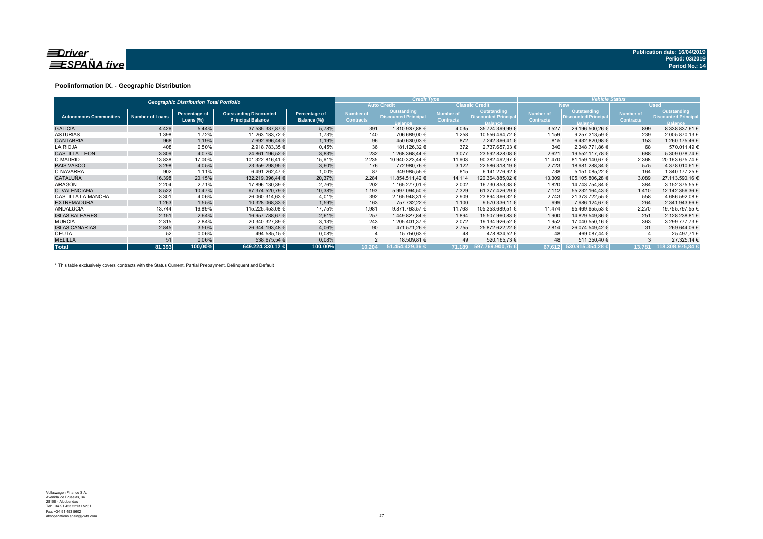

### **Poolinformation IX. - Geographic Distribution**

| <b>Geographic Distribution Total Portfolio</b> |                        |                               |                                                           |                              |                               | <b>Credit Type</b>                                           |                                      |                                                                     | <b>Vehicle Status</b>                |                                                              |                               |                                                             |  |
|------------------------------------------------|------------------------|-------------------------------|-----------------------------------------------------------|------------------------------|-------------------------------|--------------------------------------------------------------|--------------------------------------|---------------------------------------------------------------------|--------------------------------------|--------------------------------------------------------------|-------------------------------|-------------------------------------------------------------|--|
|                                                |                        |                               |                                                           |                              |                               | <b>Auto Credit</b>                                           |                                      | <b>Classic Credit</b>                                               | <b>New</b>                           |                                                              | <b>Used</b>                   |                                                             |  |
| <b>Autonomous Communities</b>                  | <b>Number of Loans</b> | Percentage of<br>Loans $(\%)$ | <b>Outstanding Discounted</b><br><b>Principal Balance</b> | Percentage of<br>Balance (%) | Number of<br><b>Contracts</b> | Outstanding<br><b>Discounted Principal</b><br><b>Balance</b> | <b>Number of</b><br><b>Contracts</b> | <b>Outstanding</b><br><b>Discounted Principal</b><br><b>Balance</b> | <b>Number of</b><br><b>Contracts</b> | Outstanding<br><b>Discounted Principal</b><br><b>Balance</b> | Number of<br><b>Contracts</b> | Outstanding<br><b>Discounted Principa</b><br><b>Balance</b> |  |
| <b>GALICIA</b>                                 | 4.426                  | 5,44%                         | 37.535.337,87 €                                           | 5,78%                        | 391                           | 1.810.937.88 €                                               | 4.035                                | 35.724.399,99 €                                                     | 3.527                                | 29.196.500,26 €                                              | 899                           | 8.338.837.61 €                                              |  |
| <b>ASTURIAS</b>                                | 1.398                  | 1,72%                         | 11.263.183,72 €                                           | 1,73%                        | 140                           | 706.689,00 €                                                 | 1.258                                | 10.556.494.72 €                                                     | 1.159                                | 9.257.313.59 €                                               | 239                           | 2.005.870,13 €                                              |  |
| <b>CANTABRIA</b>                               | 968                    | 1,19%                         | 7.692.996.44 €                                            | 1,19%                        | 96                            | 450.630.03 €                                                 | 872                                  | 7.242.366,41 €                                                      | 815                                  | 6.432.820,98 €                                               | 153                           | 1.260.175,46 €                                              |  |
| <b>LA RIOJA</b>                                | 408                    | 0,50%                         | 2.918.783,35 €                                            | 0,45%                        | 36                            | 181.126,32 €                                                 | 372                                  | 2.737.657,03 €                                                      | 340                                  | 2.348.771.86 €                                               | 68                            | 570.011,49 €                                                |  |
| <b>CASTILLA LEON</b>                           | 3.309                  | 4,07%                         | 24.861.196,52 €                                           | 3,83%                        | 232                           | 1.268.368,44 €                                               | 3.077                                | 23.592.828,08 €                                                     | 2.621                                | 19.552.117,78 €                                              | 688                           | 5.309.078,74 €                                              |  |
| C.MADRID                                       | 13.838                 | 17,00%                        | 101.322.816,41 €                                          | 15,61%                       | 2.235                         | 10.940.323,44 €                                              | 11.603                               | 90.382.492,97 €                                                     | 11.470                               | 81.159.140,67 €                                              | 2.368                         | 20.163.675,74 €                                             |  |
| <b>PAIS VASCO</b>                              | 3.298                  | 4,05%                         | 23.359.298.95 €                                           | 3,60%                        | 176                           | 772.980.76 €                                                 | 3.122                                | 22.586.318.19 €                                                     | 2.723                                | 18.981.288.34 €                                              | 575                           | 4.378.010.61 €                                              |  |
| C.NAVARRA                                      | 902                    | 1,11%                         | 6.491.262,47 €                                            | 1,00%                        | 87                            | 349.985.55 €                                                 | 815                                  | 6.141.276,92 €                                                      | 738                                  | 5.151.085.22 €                                               | 164                           | 1.340.177.25 €                                              |  |
| <b>CATALUÑA</b>                                | 16.398                 | 20,15%                        | 132.219.396.44 €                                          | 20,37%                       | 2.284                         | 11.854.511,42 €                                              | 14.114                               | 120.364.885.02 €                                                    | 13.309                               | 105.105.806.28 €                                             | 3.089                         | 27.113.590,16 €                                             |  |
| ARAGÓN                                         | 2.204                  | 2,71%                         | 17.896.130,39 €                                           | 2,76%                        | 202                           | 1.165.277,01 €                                               | 2.002                                | 16.730.853,38 €                                                     | 1.820                                | 14.743.754,84 €                                              | 384                           | 3.152.375,55 €                                              |  |
| C. VALENCIANA                                  | 8.522                  | 10.47%                        | 67.374.520,79 €                                           | 10,38%                       | 1.193                         | 5.997.094,50 €                                               | 7.329                                | 61.377.426.29 €                                                     | 7.112                                | 55.232.164,43 €                                              | 1.410                         | 12.142.356,36 €                                             |  |
| <b>CASTILLA LA MANCHA</b>                      | 3.301                  | 4,06%                         | 26.060.314.63 €                                           | 4,01%                        | 392                           | 2.165.948,31 €                                               | 2.909                                | 23.894.366,32 €                                                     | 2.743                                | 21.373.722.55 €                                              | 558                           | 4.686.592.08 €                                              |  |
| <b>EXTREMADURA</b>                             | 1.263                  | 1,55%                         | 10.328.068.33 €                                           | 1,59%                        | 163                           | 757.732.22 €                                                 | 1.100                                | 9.570.336.11 €                                                      | 999                                  | 7.986.124.67 €                                               | 264                           | 2.341.943,66 €                                              |  |
| <b>ANDALUCIA</b>                               | 13.744                 | 16,89%                        | 115.225.453,08 €                                          | 17,75%                       | 1.981                         | 9.871.763,57 €                                               | 11.763                               | 105.353.689,51 €                                                    | 11.474                               | 95.469.655,53 €                                              | 2.270                         | 19.755.797,55 €                                             |  |
| <b>ISLAS BALEARES</b>                          | 2.151                  | 2,64%                         | 16.957.788,67 €                                           | 2,61%                        | 257                           | 1.449.827,84 €                                               | 1.894                                | 15.507.960,83 €                                                     | 1.900                                | 14.829.549,86 €                                              | 251                           | 2.128.238,81 €                                              |  |
| <b>MURCIA</b>                                  | 2.315                  | 2,84%                         | 20.340.327,89 €                                           | 3,13%                        | 243                           | 1.205.401,37 €                                               | 2.072                                | 19.134.926,52 €                                                     | 1.952                                | 17.040.550,16 €                                              | 363                           | 3.299.777,73 €                                              |  |
| <b>ISLAS CANARIAS</b>                          | 2.845                  | 3,50%                         | 26.344.193,48 €                                           | 4,06%                        | 90                            | 471.571,26 €                                                 | 2.755                                | 25.872.622,22 €                                                     | 2.814                                | 26.074.549.42 €                                              | 31                            | 269.644,06 €                                                |  |
| CEUTA                                          | 52                     | 0,06%                         | 494.585,15 €                                              | 0,08%                        |                               | 15.750,63 €                                                  | 48                                   | 478.834,52 €                                                        | 48                                   | 469.087,44 €                                                 |                               | 25.497,71 €                                                 |  |
| <b>MELILLA</b>                                 | 51                     | 0,06%                         | 538.675,54 €                                              | 0,08%                        |                               | 18.509,81 €                                                  | 49                                   | 520.165,73 €                                                        | 48                                   | 511.350,40 €                                                 |                               | 27.325,14 €                                                 |  |
| <b>Total</b>                                   | 81.393                 | 100.00%                       | 649.224.330.12 €                                          | 100.00%                      | 10.204                        | 51.454.429.36 €                                              |                                      | 71.189 597.769.900.76 €                                             |                                      | 67.612 530.915.354.28 €                                      | 13.781                        | 118.308.975.84 €                                            |  |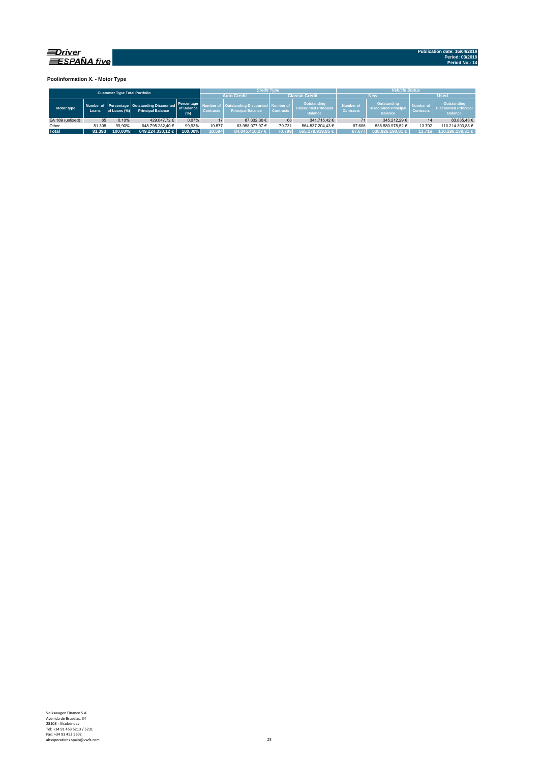

**Poolinformation X. - Motor Type**

|                                      |        |              |                                                                         |                                   |                  | <b>Credit Type</b>                                                  |                  |                                                              |                                      | <b>Vehicle Status</b>                                        |                                      |                                                              |  |
|--------------------------------------|--------|--------------|-------------------------------------------------------------------------|-----------------------------------|------------------|---------------------------------------------------------------------|------------------|--------------------------------------------------------------|--------------------------------------|--------------------------------------------------------------|--------------------------------------|--------------------------------------------------------------|--|
| <b>Customer Type Total Portfolio</b> |        |              |                                                                         |                                   |                  | <b>Auto Credit</b>                                                  |                  | <b>Classic Credit</b>                                        |                                      | <b>New</b>                                                   | <b>Used</b>                          |                                                              |  |
| Motor type                           | Loans  | of Loans (%) | Number of Percentage Outstanding Discounted<br><b>Principal Balance</b> | Percentage<br>of Balance<br>(9/6) | <b>Contracts</b> | <b>Outstanding Discounted Number of</b><br><b>Principal Balance</b> | <b>Contracts</b> | Outstanding<br><b>Discounted Principal</b><br><b>Balance</b> | <b>Number of</b><br><b>Contracts</b> | Outstanding<br><b>Discounted Principal</b><br><b>Balance</b> | <b>Number of</b><br><b>Contracts</b> | Outstanding<br><b>Discounted Principal</b><br><b>Balance</b> |  |
| EA 189 (unfixed)                     | 85     | 0.10%        | 429.047.72€                                                             | 0.07%                             | 17               | 87,332,30 €                                                         | 68               | 341.715.42 €                                                 |                                      | 345.212.29€                                                  |                                      | 83.835.43 €                                                  |  |
| Other                                | 81.308 | 99.90%       | 648.795.282.40 €                                                        | 99.93%                            | 10.577           | 83.958.077.97 €                                                     | 70.731           | 564.837.204.43 €                                             | 67.606                               | 538.580.978.52 €                                             | 13.702                               | 110.214.303.88 €                                             |  |
| <b>Total</b>                         | 81.393 | 100.00%      | 649.224.330.12 €                                                        | 100.00%                           | 10.594           | 84.045.410.27 €                                                     | 70.799           | 565.178.919.85 €                                             | 67.677                               | 538.926.190.81 €                                             | 13.716                               | 110.298.139.31 €                                             |  |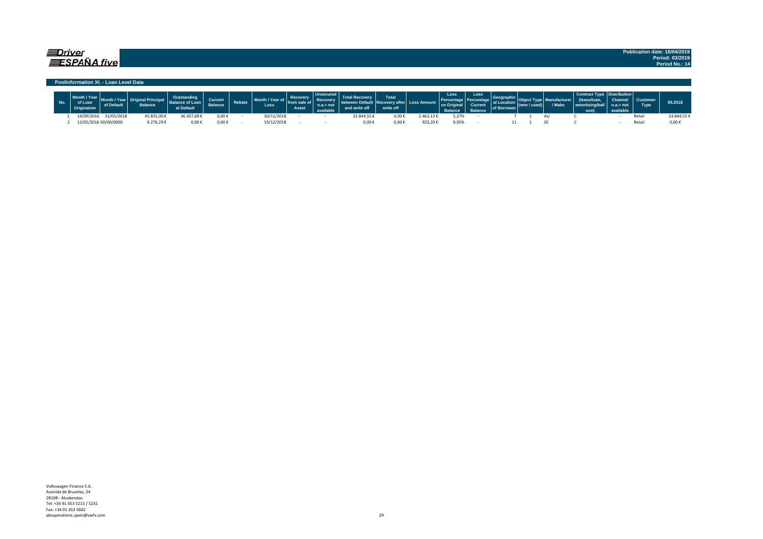## $\equiv$ Driver  $\equiv$ SPAÑA five

#### **Poolinformation XI. - Loan Level Data**

| Loar       |                       | <b>Balance</b>      | at Default | <b>Current</b><br><b>Balance</b> | <b>Rebate</b> | Loss       | Recovery<br>from<br>Asset | وبالملحيلة ومعدو |             | Total<br>write off | <b>Loss Amount</b> | Loss<br>on Original<br><b>Ralance</b> | Loss<br>Current<br>Ralance | of Borrow | V Make | amortising/ba<br>oon) | ibution l<br>Channel.<br>not | <b>Type</b> | 05.2018    |
|------------|-----------------------|---------------------|------------|----------------------------------|---------------|------------|---------------------------|------------------|-------------|--------------------|--------------------|---------------------------------------|----------------------------|-----------|--------|-----------------------|------------------------------|-------------|------------|
| 14/09/2016 | 31/05/2018            | 45.835,00€          | 16.307,68€ | 0,00€                            |               | 30/11/2018 |                           |                  | 33.844,55 ₺ | 0,00               | .463,136           | 5,37%                                 |                            |           |        |                       |                              | Reta        | 33.844.55€ |
|            | 12/05/2016 00/00/0000 | 9.276.29 $\epsilon$ | $0.00*$    | $0,00 \in$                       |               | 19/12/2018 |                           |                  | 0.006       | $0.00*$            | 923.20€            | 9,95%                                 |                            |           |        |                       |                              | Reta        | 0,00       |